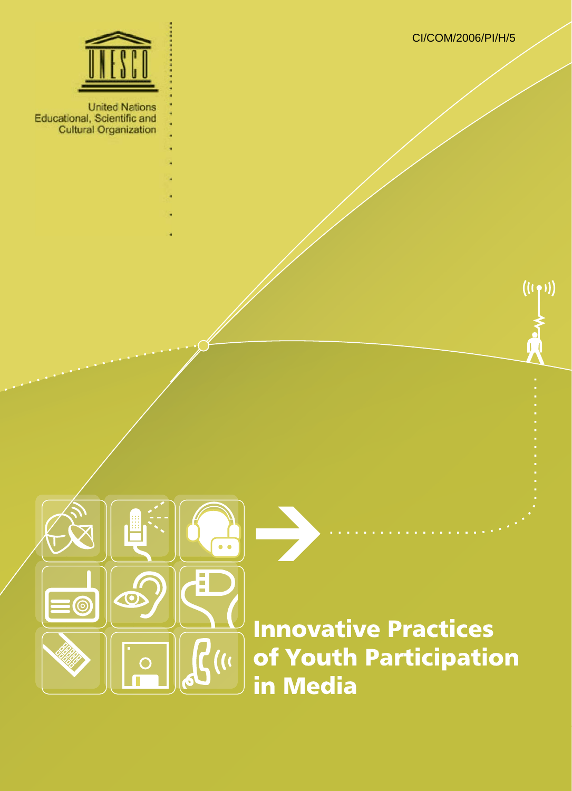CI/COM/2006/PI/H/5

 $((\eta_1)$ 



**United Nations** Educational, Scientific and **Cultural Organization** 



**Innovative Practices** of Youth Participation in Media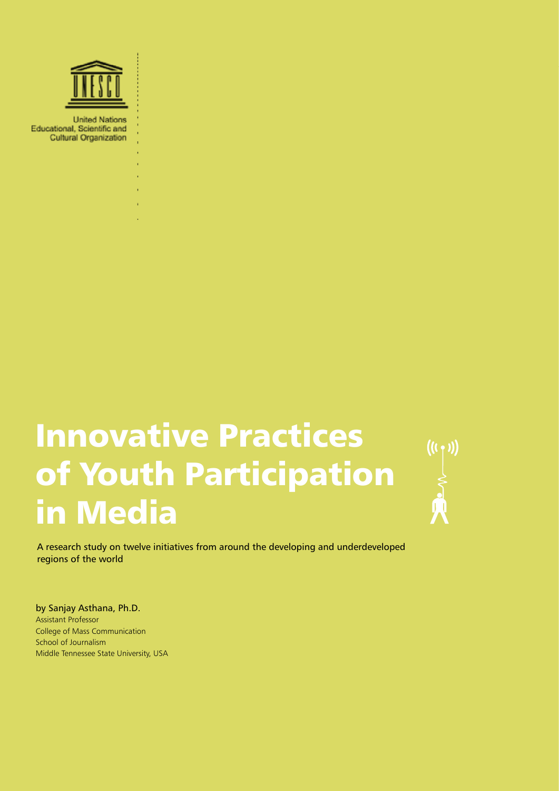

**United Nations** Educational, Scientific and Cultural Organization

Innovative Practices of Youth Participation in Media



A research study on twelve initiatives from around the developing and underdeveloped regions of the world

by Sanjay Asthana, Ph.D. Assistant Professor College of Mass Communication School of Journalism Middle Tennessee State University, USA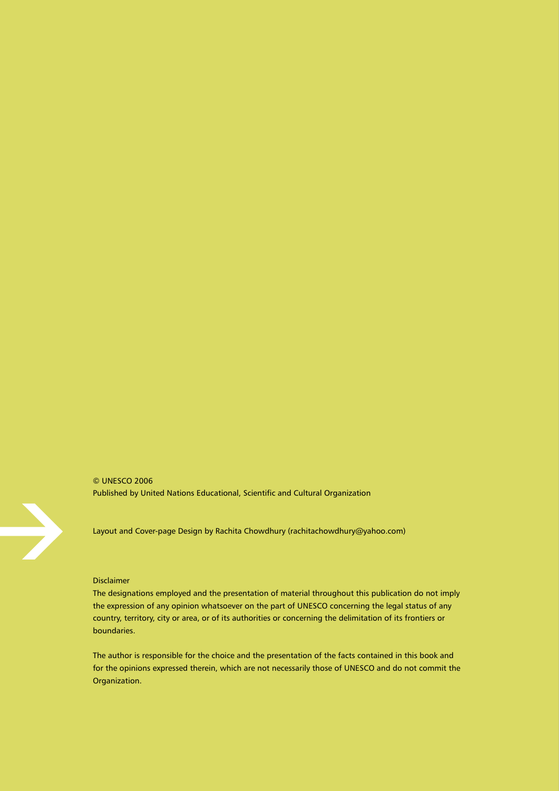© UNESCO 2006 Published by United Nations Educational, Scientific and Cultural Organization

Layout and Cover-page Design by Rachita Chowdhury (rachitachowdhury@yahoo.com)

#### Disclaimer

Æ

The designations employed and the presentation of material throughout this publication do not imply the expression of any opinion whatsoever on the part of UNESCO concerning the legal status of any country, territory, city or area, or of its authorities or concerning the delimitation of its frontiers or boundaries.

The author is responsible for the choice and the presentation of the facts contained in this book and for the opinions expressed therein, which are not necessarily those of UNESCO and do not commit the Organization.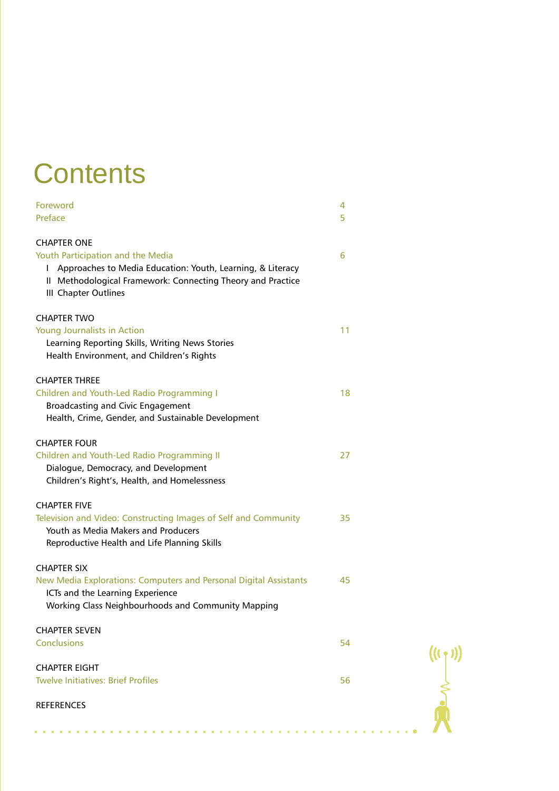## **Contents**

| Foreword                                                          | 4  |
|-------------------------------------------------------------------|----|
| Preface                                                           | 5  |
|                                                                   |    |
| <b>CHAPTER ONE</b>                                                |    |
| Youth Participation and the Media                                 | 6  |
| Approaches to Media Education: Youth, Learning, & Literacy<br>L   |    |
| II Methodological Framework: Connecting Theory and Practice       |    |
| III Chapter Outlines                                              |    |
| <b>CHAPTER TWO</b>                                                |    |
| <b>Young Journalists in Action</b>                                | 11 |
| Learning Reporting Skills, Writing News Stories                   |    |
|                                                                   |    |
| Health Environment, and Children's Rights                         |    |
| <b>CHAPTER THREE</b>                                              |    |
| Children and Youth-Led Radio Programming I                        | 18 |
| <b>Broadcasting and Civic Engagement</b>                          |    |
| Health, Crime, Gender, and Sustainable Development                |    |
|                                                                   |    |
| <b>CHAPTER FOUR</b>                                               |    |
| Children and Youth-Led Radio Programming II                       | 27 |
| Dialogue, Democracy, and Development                              |    |
| Children's Right's, Health, and Homelessness                      |    |
| <b>CHAPTER FIVE</b>                                               |    |
| Television and Video: Constructing Images of Self and Community   | 35 |
| <b>Youth as Media Makers and Producers</b>                        |    |
| Reproductive Health and Life Planning Skills                      |    |
|                                                                   |    |
| <b>CHAPTER SIX</b>                                                |    |
| New Media Explorations: Computers and Personal Digital Assistants | 45 |
| ICTs and the Learning Experience                                  |    |
| Working Class Neighbourhoods and Community Mapping                |    |
|                                                                   |    |
| <b>CHAPTER SEVEN</b>                                              |    |
| Conclusions                                                       | 54 |
| <b>CHAPTER EIGHT</b>                                              |    |
| <b>Twelve Initiatives: Brief Profiles</b>                         | 56 |
|                                                                   |    |
| <b>REFERENCES</b>                                                 |    |
|                                                                   |    |

 $\begin{picture}(120,115) \put(0,0){\line(1,0){155}} \put(15,0){\line(1,0){155}} \put(15,0){\line(1,0){155}} \put(15,0){\line(1,0){155}} \put(15,0){\line(1,0){155}} \put(15,0){\line(1,0){155}} \put(15,0){\line(1,0){155}} \put(15,0){\line(1,0){155}} \put(15,0){\line(1,0){155}} \put(15,0){\line(1,0){155}} \put(15,0){\line(1,0){155$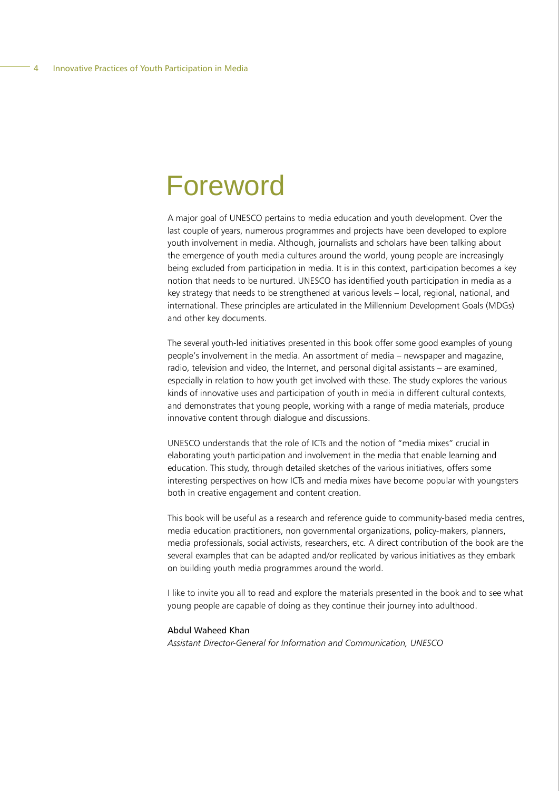### Foreword

A major goal of UNESCO pertains to media education and youth development. Over the last couple of years, numerous programmes and projects have been developed to explore youth involvement in media. Although, journalists and scholars have been talking about the emergence of youth media cultures around the world, young people are increasingly being excluded from participation in media. It is in this context, participation becomes a key notion that needs to be nurtured. UNESCO has identified youth participation in media as a key strategy that needs to be strengthened at various levels – local, regional, national, and international. These principles are articulated in the Millennium Development Goals (MDGs) and other key documents.

The several youth-led initiatives presented in this book offer some good examples of young people's involvement in the media. An assortment of media – newspaper and magazine, radio, television and video, the Internet, and personal digital assistants – are examined, especially in relation to how youth get involved with these. The study explores the various kinds of innovative uses and participation of youth in media in different cultural contexts, and demonstrates that young people, working with a range of media materials, produce innovative content through dialogue and discussions.

UNESCO understands that the role of ICTs and the notion of "media mixes" crucial in elaborating youth participation and involvement in the media that enable learning and education. This study, through detailed sketches of the various initiatives, offers some interesting perspectives on how ICTs and media mixes have become popular with youngsters both in creative engagement and content creation.

This book will be useful as a research and reference guide to community-based media centres, media education practitioners, non governmental organizations, policy-makers, planners, media professionals, social activists, researchers, etc. A direct contribution of the book are the several examples that can be adapted and/or replicated by various initiatives as they embark on building youth media programmes around the world.

I like to invite you all to read and explore the materials presented in the book and to see what young people are capable of doing as they continue their journey into adulthood.

#### Abdul Waheed Khan

*Assistant Director-General for Information and Communication, UNESCO*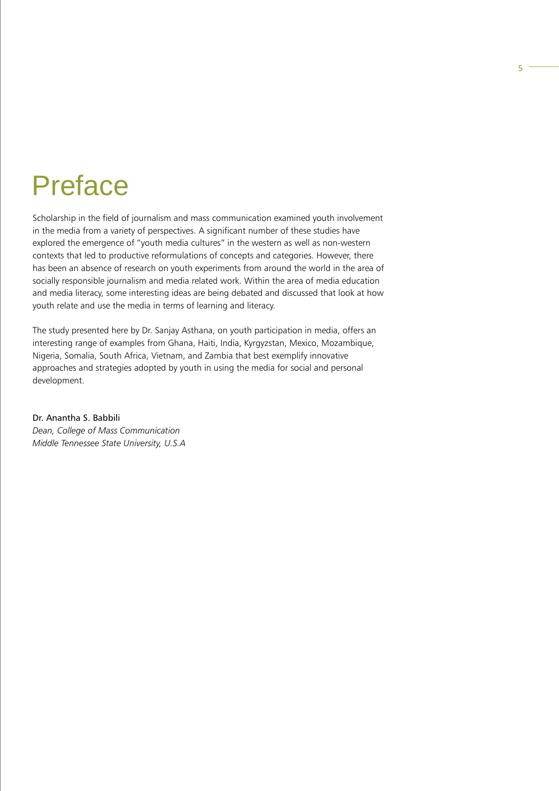## Preface

Scholarship in the field of journalism and mass communication examined youth involvement in the media from a variety of perspectives. A significant number of these studies have explored the emergence of "youth media cultures" in the western as well as non-western contexts that led to productive reformulations of concepts and categories. However, there has been an absence of research on youth experiments from around the world in the area of socially responsible journalism and media related work. Within the area of media education and media literacy, some interesting ideas are being debated and discussed that look at how youth relate and use the media in terms of learning and literacy.

The study presented here by Dr. Sanjay Asthana, on youth participation in media, offers an interesting range of examples from Ghana, Haiti, India, Kyrgyzstan, Mexico, Mozambique, Nigeria, Somalia, South Africa, Vietnam, and Zambia that best exemplify innovative approaches and strategies adopted by youth in using the media for social and personal development.

Dr. Anantha S. Babbili *Dean, College of Mass Communication Middle Tennessee State University, U.S.A*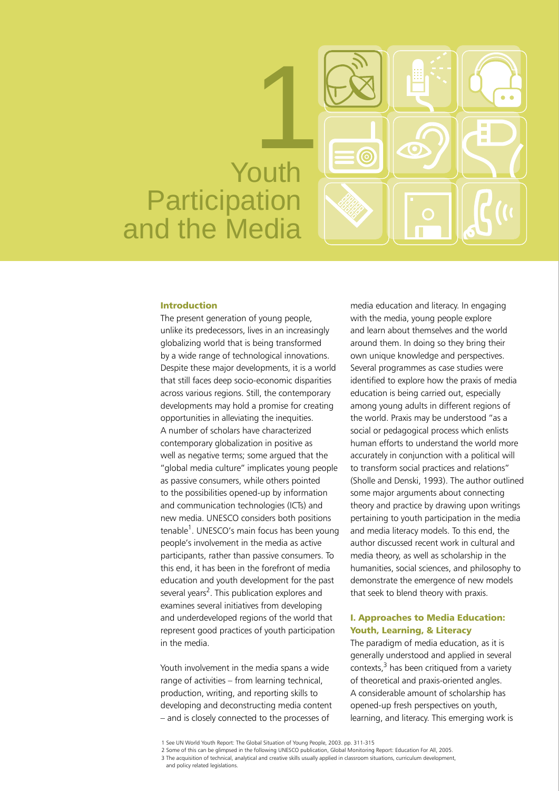## Youth **Participation** and the Media 1

#### Introduction

The present generation of young people, unlike its predecessors, lives in an increasingly globalizing world that is being transformed by a wide range of technological innovations. Despite these major developments, it is a world that still faces deep socio-economic disparities across various regions. Still, the contemporary developments may hold a promise for creating opportunities in alleviating the inequities. A number of scholars have characterized contemporary globalization in positive as well as negative terms; some argued that the "global media culture" implicates young people as passive consumers, while others pointed to the possibilities opened-up by information and communication technologies (ICTs) and new media. UNESCO considers both positions tenable<sup>1</sup>. UNESCO's main focus has been young people's involvement in the media as active participants, rather than passive consumers. To this end, it has been in the forefront of media education and youth development for the past several years<sup>2</sup>. This publication explores and examines several initiatives from developing and underdeveloped regions of the world that represent good practices of youth participation in the media.

Youth involvement in the media spans a wide range of activities – from learning technical, production, writing, and reporting skills to developing and deconstructing media content – and is closely connected to the processes of

media education and literacy. In engaging with the media, young people explore and learn about themselves and the world around them. In doing so they bring their own unique knowledge and perspectives. Several programmes as case studies were identified to explore how the praxis of media education is being carried out, especially among young adults in different regions of the world. Praxis may be understood "as a social or pedagogical process which enlists human efforts to understand the world more accurately in conjunction with a political will to transform social practices and relations" (Sholle and Denski, 1993). The author outlined some major arguments about connecting theory and practice by drawing upon writings pertaining to youth participation in the media and media literacy models. To this end, the author discussed recent work in cultural and media theory, as well as scholarship in the humanities, social sciences, and philosophy to demonstrate the emergence of new models that seek to blend theory with praxis.

#### I. Approaches to Media Education: Youth, Learning, & Literacy

The paradigm of media education, as it is generally understood and applied in several  $contexts$ , has been critiqued from a variety of theoretical and praxis-oriented angles. A considerable amount of scholarship has opened-up fresh perspectives on youth, learning, and literacy. This emerging work is

and policy related legislations.

<sup>1</sup> See UN World Youth Report: The Global Situation of Young People, 2003. pp. 311-315

<sup>2</sup> Some of this can be glimpsed in the following UNESCO publication, Global Monitoring Report: Education For All, 2005.

<sup>3</sup> The acquisition of technical, analytical and creative skills usually applied in classroom situations, curriculum development,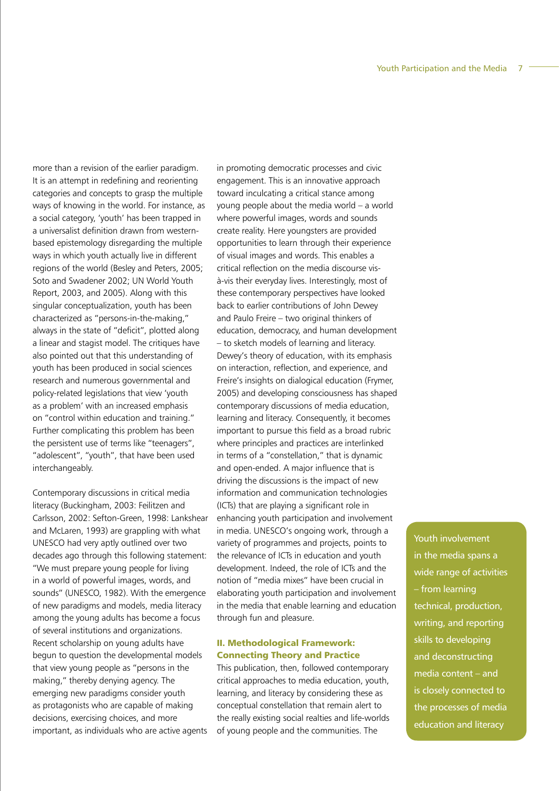7

more than a revision of the earlier paradigm. It is an attempt in redefining and reorienting categories and concepts to grasp the multiple ways of knowing in the world. For instance, as a social category, 'youth' has been trapped in a universalist definition drawn from westernbased epistemology disregarding the multiple ways in which youth actually live in different regions of the world (Besley and Peters, 2005; Soto and Swadener 2002; UN World Youth Report, 2003, and 2005). Along with this singular conceptualization, youth has been characterized as "persons-in-the-making," always in the state of "deficit", plotted along a linear and stagist model. The critiques have also pointed out that this understanding of youth has been produced in social sciences research and numerous governmental and policy-related legislations that view 'youth as a problem' with an increased emphasis on "control within education and training." Further complicating this problem has been the persistent use of terms like "teenagers", "adolescent", "youth", that have been used interchangeably.

Contemporary discussions in critical media literacy (Buckingham, 2003: Feilitzen and Carlsson, 2002: Sefton-Green, 1998: Lankshear and McLaren, 1993) are grappling with what UNESCO had very aptly outlined over two decades ago through this following statement: "We must prepare young people for living in a world of powerful images, words, and sounds" (UNESCO, 1982). With the emergence of new paradigms and models, media literacy among the young adults has become a focus of several institutions and organizations. Recent scholarship on young adults have begun to question the developmental models that view young people as "persons in the making," thereby denying agency. The emerging new paradigms consider youth as protagonists who are capable of making decisions, exercising choices, and more important, as individuals who are active agents in promoting democratic processes and civic engagement. This is an innovative approach toward inculcating a critical stance among young people about the media world – a world where powerful images, words and sounds create reality. Here youngsters are provided opportunities to learn through their experience of visual images and words. This enables a critical reflection on the media discourse visà-vis their everyday lives. Interestingly, most of these contemporary perspectives have looked back to earlier contributions of John Dewey and Paulo Freire – two original thinkers of education, democracy, and human development – to sketch models of learning and literacy. Dewey's theory of education, with its emphasis on interaction, reflection, and experience, and Freire's insights on dialogical education (Frymer, 2005) and developing consciousness has shaped contemporary discussions of media education, learning and literacy. Consequently, it becomes important to pursue this field as a broad rubric where principles and practices are interlinked in terms of a "constellation," that is dynamic and open-ended. A major influence that is driving the discussions is the impact of new information and communication technologies (ICTs) that are playing a significant role in enhancing youth participation and involvement in media. UNESCO's ongoing work, through a variety of programmes and projects, points to the relevance of ICTs in education and youth development. Indeed, the role of ICTs and the notion of "media mixes" have been crucial in elaborating youth participation and involvement in the media that enable learning and education through fun and pleasure.

#### II. Methodological Framework: Connecting Theory and Practice

This publication, then, followed contemporary critical approaches to media education, youth, learning, and literacy by considering these as conceptual constellation that remain alert to the really existing social realties and life-worlds of young people and the communities. The

Youth involvement in the media spans a wide range of activities – from learning technical, production, writing, and reporting skills to developing and deconstructing media content – and is closely connected to the processes of media education and literacy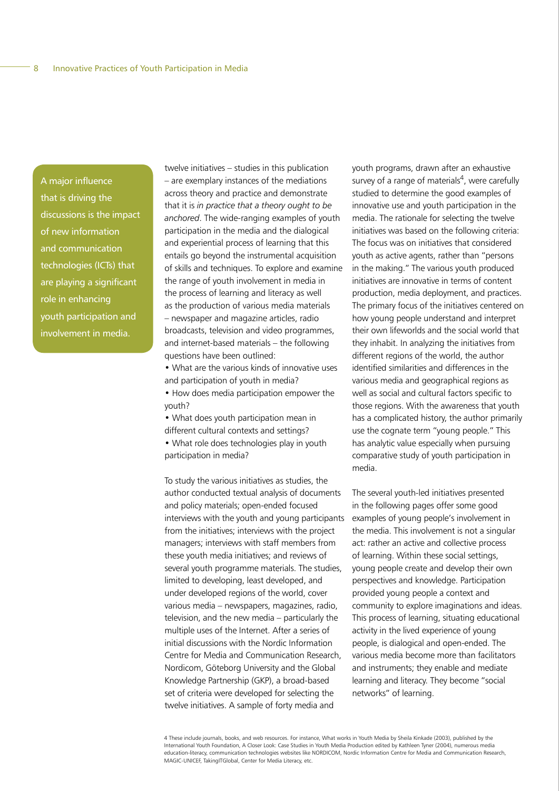A major influence that is driving the discussions is the impact of new information and communication technologies (ICTs) that are playing a significant role in enhancing youth participation and involvement in media.

twelve initiatives – studies in this publication – are exemplary instances of the mediations across theory and practice and demonstrate that it is *in practice that a theory ought to be anchored*. The wide-ranging examples of youth participation in the media and the dialogical and experiential process of learning that this entails go beyond the instrumental acquisition of skills and techniques. To explore and examine the range of youth involvement in media in the process of learning and literacy as well as the production of various media materials – newspaper and magazine articles, radio broadcasts, television and video programmes, and internet-based materials – the following questions have been outlined:

- What are the various kinds of innovative uses and participation of youth in media?
- How does media participation empower the youth?
- What does youth participation mean in different cultural contexts and settings?
- What role does technologies play in youth participation in media?

To study the various initiatives as studies, the author conducted textual analysis of documents and policy materials; open-ended focused interviews with the youth and young participants from the initiatives; interviews with the project managers; interviews with staff members from these youth media initiatives; and reviews of several youth programme materials. The studies, limited to developing, least developed, and under developed regions of the world, cover various media – newspapers, magazines, radio, television, and the new media – particularly the multiple uses of the Internet. After a series of initial discussions with the Nordic Information Centre for Media and Communication Research, Nordicom, Göteborg University and the Global Knowledge Partnership (GKP), a broad-based set of criteria were developed for selecting the twelve initiatives. A sample of forty media and

youth programs, drawn after an exhaustive survey of a range of materials<sup>4</sup>, were carefully studied to determine the good examples of innovative use and youth participation in the media. The rationale for selecting the twelve initiatives was based on the following criteria: The focus was on initiatives that considered youth as active agents, rather than "persons in the making." The various youth produced initiatives are innovative in terms of content production, media deployment, and practices. The primary focus of the initiatives centered on how young people understand and interpret their own lifeworlds and the social world that they inhabit. In analyzing the initiatives from different regions of the world, the author identified similarities and differences in the various media and geographical regions as well as social and cultural factors specific to those regions. With the awareness that youth has a complicated history, the author primarily use the cognate term "young people." This has analytic value especially when pursuing comparative study of youth participation in media.

The several youth-led initiatives presented in the following pages offer some good examples of young people's involvement in the media. This involvement is not a singular act: rather an active and collective process of learning. Within these social settings, young people create and develop their own perspectives and knowledge. Participation provided young people a context and community to explore imaginations and ideas. This process of learning, situating educational activity in the lived experience of young people, is dialogical and open-ended. The various media become more than facilitators and instruments; they enable and mediate learning and literacy. They become "social networks" of learning.

<sup>4</sup> These include journals, books, and web resources. For instance, What works in Youth Media by Sheila Kinkade (2003), published by the International Youth Foundation, A Closer Look: Case Studies in Youth Media Production edited by Kathleen Tyner (2004), numerous media education-literacy, communication technologies websites like NORDICOM, Nordic Information Centre for Media and Communication Research, MAGIC-UNICEF, TakingITGlobal, Center for Media Literacy, etc.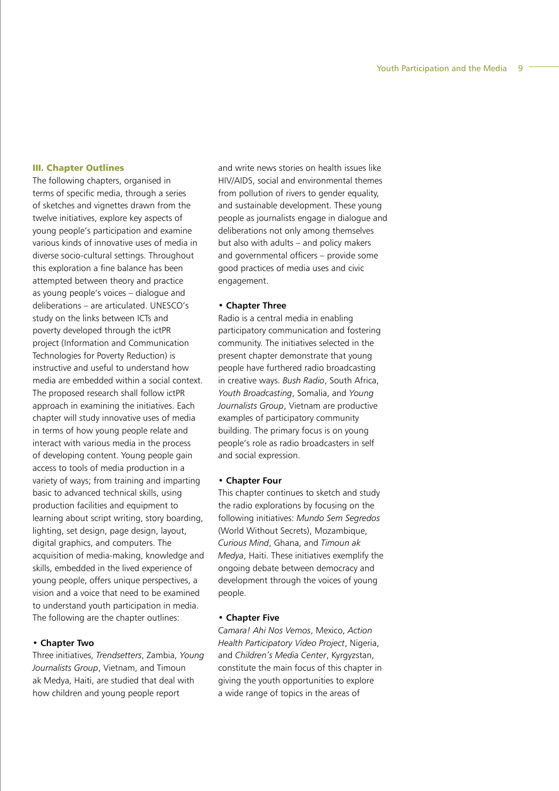#### III. Chapter Outlines

The following chapters, organised in terms of specific media, through a series of sketches and vignettes drawn from the twelve initiatives, explore key aspects of young people's participation and examine various kinds of innovative uses of media in diverse socio-cultural settings. Throughout this exploration a fine balance has been attempted between theory and practice as young people's voices – dialogue and deliberations – are articulated. UNESCO's study on the links between ICTs and poverty developed through the ictPR project (Information and Communication Technologies for Poverty Reduction) is instructive and useful to understand how media are embedded within a social context. The proposed research shall follow ictPR approach in examining the initiatives. Each chapter will study innovative uses of media in terms of how young people relate and interact with various media in the process of developing content. Young people gain access to tools of media production in a variety of ways; from training and imparting basic to advanced technical skills, using production facilities and equipment to learning about script writing, story boarding, lighting, set design, page design, layout, digital graphics, and computers. The acquisition of media-making, knowledge and skills, embedded in the lived experience of young people, offers unique perspectives, a vision and a voice that need to be examined to understand youth participation in media. The following are the chapter outlines:

#### • **Chapter Two**

Three initiatives, *Trendsetters*, Zambia, *Young Journalists Group*, Vietnam, and Timoun ak Medya, Haiti, are studied that deal with how children and young people report

and write news stories on health issues like HIV/AIDS, social and environmental themes from pollution of rivers to gender equality, and sustainable development. These young people as journalists engage in dialogue and deliberations not only among themselves but also with adults – and policy makers and governmental officers – provide some good practices of media uses and civic engagement.

#### • **Chapter Three**

Radio is a central media in enabling participatory communication and fostering community. The initiatives selected in the present chapter demonstrate that young people have furthered radio broadcasting in creative ways. *Bush Radio*, South Africa, *Youth Broadcasting*, Somalia, and *Young Journalists Group*, Vietnam are productive examples of participatory community building. The primary focus is on young people's role as radio broadcasters in self and social expression.

#### • **Chapter Four**

This chapter continues to sketch and study the radio explorations by focusing on the following initiatives: *Mundo Sem Segredos*  (World Without Secrets), Mozambique, *Curious Mind*, Ghana, and *Timoun ak Medya*, Haiti. These initiatives exemplify the ongoing debate between democracy and development through the voices of young people.

#### • **Chapter Five**

*Camara! Ahi Nos Vemos*, Mexico, *Action Health Participatory Video Project*, Nigeria, and *Children's Media Center*, Kyrgyzstan, constitute the main focus of this chapter in giving the youth opportunities to explore a wide range of topics in the areas of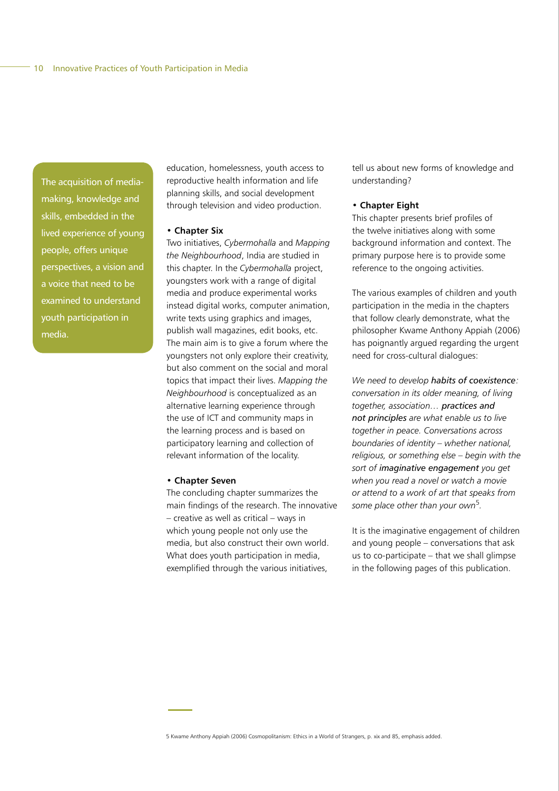The acquisition of mediamaking, knowledge and skills, embedded in the lived experience of young people, offers unique perspectives, a vision and a voice that need to be examined to understand youth participation in media.

education, homelessness, youth access to reproductive health information and life planning skills, and social development through television and video production.

#### • **Chapter Six**

Two initiatives, *Cybermohalla* and *Mapping the Neighbourhood*, India are studied in this chapter. In the *Cybermohalla* project, youngsters work with a range of digital media and produce experimental works instead digital works, computer animation, write texts using graphics and images, publish wall magazines, edit books, etc. The main aim is to give a forum where the youngsters not only explore their creativity, but also comment on the social and moral topics that impact their lives. *Mapping the Neighbourhood* is conceptualized as an alternative learning experience through the use of ICT and community maps in the learning process and is based on participatory learning and collection of relevant information of the locality.

#### • **Chapter Seven**

The concluding chapter summarizes the main findings of the research. The innovative – creative as well as critical – ways in which young people not only use the media, but also construct their own world. What does youth participation in media, exemplified through the various initiatives,

tell us about new forms of knowledge and understanding?

#### • **Chapter Eight**

This chapter presents brief profiles of the twelve initiatives along with some background information and context. The primary purpose here is to provide some reference to the ongoing activities.

The various examples of children and youth participation in the media in the chapters that follow clearly demonstrate, what the philosopher Kwame Anthony Appiah (2006) has poignantly argued regarding the urgent need for cross-cultural dialogues:

*We need to develop habits of coexistence: conversation in its older meaning, of living together, association… practices and not principles are what enable us to live together in peace. Conversations across boundaries of identity – whether national, religious, or something else – begin with the sort of imaginative engagement you get when you read a novel or watch a movie or attend to a work of art that speaks from some place other than your own*<sup>5</sup> *.*

It is the imaginative engagement of children and young people – conversations that ask us to co-participate – that we shall glimpse in the following pages of this publication.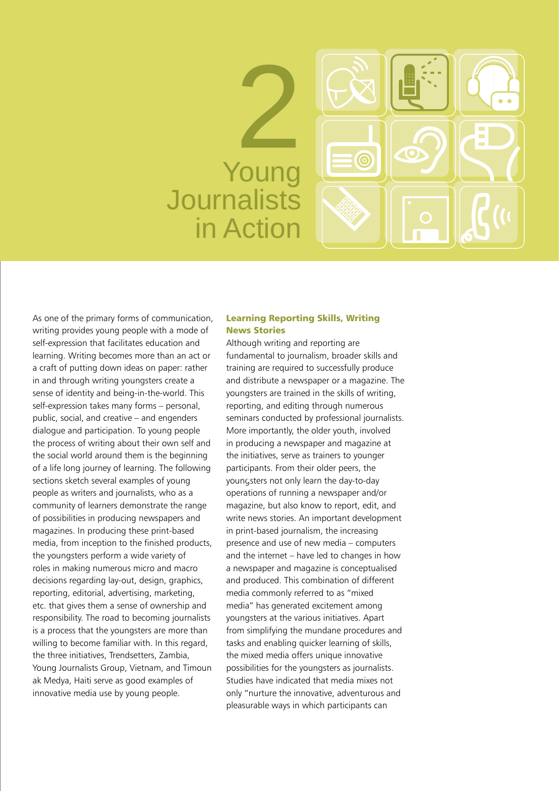

As one of the primary forms of communication, writing provides young people with a mode of self-expression that facilitates education and learning. Writing becomes more than an act or a craft of putting down ideas on paper: rather in and through writing youngsters create a sense of identity and being-in-the-world. This self-expression takes many forms – personal, public, social, and creative – and engenders dialogue and participation. To young people the process of writing about their own self and the social world around them is the beginning of a life long journey of learning. The following sections sketch several examples of young people as writers and journalists, who as a community of learners demonstrate the range of possibilities in producing newspapers and magazines. In producing these print-based media, from inception to the finished products, the youngsters perform a wide variety of roles in making numerous micro and macro decisions regarding lay-out, design, graphics, reporting, editorial, advertising, marketing, etc. that gives them a sense of ownership and responsibility. The road to becoming journalists is a process that the youngsters are more than willing to become familiar with. In this regard, the three initiatives, Trendsetters, Zambia, Young Journalists Group, Vietnam, and Timoun ak Medya, Haiti serve as good examples of innovative media use by young people.

#### Learning Reporting Skills, Writing News Stories

Although writing and reporting are fundamental to journalism, broader skills and training are required to successfully produce and distribute a newspaper or a magazine. The youngsters are trained in the skills of writing, reporting, and editing through numerous seminars conducted by professional journalists. More importantly, the older youth, involved in producing a newspaper and magazine at the initiatives, serve as trainers to younger participants. From their older peers, the youngsters not only learn the day-to-day operations of running a newspaper and/or magazine, but also know to report, edit, and write news stories. An important development in print-based journalism, the increasing presence and use of new media – computers and the internet – have led to changes in how a newspaper and magazine is conceptualised and produced. This combination of different media commonly referred to as "mixed media" has generated excitement among youngsters at the various initiatives. Apart from simplifying the mundane procedures and tasks and enabling quicker learning of skills, the mixed media offers unique innovative possibilities for the youngsters as journalists. Studies have indicated that media mixes not only "nurture the innovative, adventurous and pleasurable ways in which participants can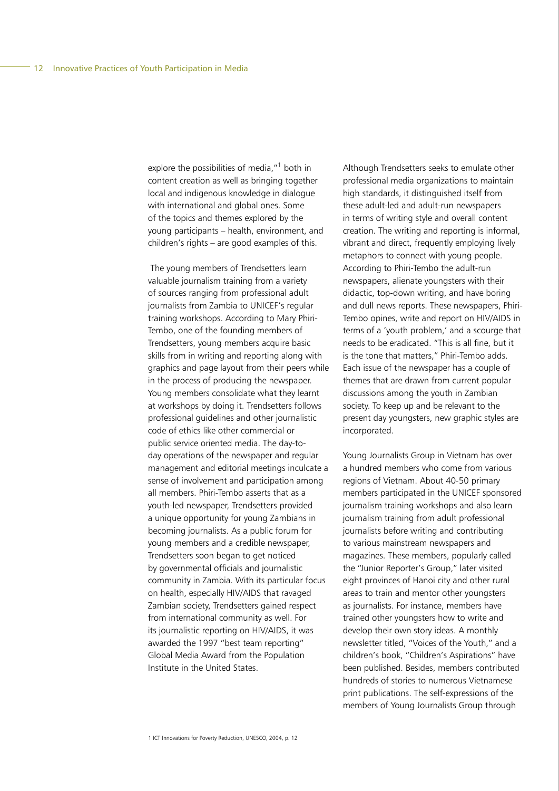explore the possibilities of media,"<sup>1</sup> both in content creation as well as bringing together local and indigenous knowledge in dialogue with international and global ones. Some of the topics and themes explored by the young participants – health, environment, and children's rights – are good examples of this.

 The young members of Trendsetters learn valuable journalism training from a variety of sources ranging from professional adult journalists from Zambia to UNICEF's regular training workshops. According to Mary Phiri-Tembo, one of the founding members of Trendsetters, young members acquire basic skills from in writing and reporting along with graphics and page layout from their peers while in the process of producing the newspaper. Young members consolidate what they learnt at workshops by doing it. Trendsetters follows professional guidelines and other journalistic code of ethics like other commercial or public service oriented media. The day-today operations of the newspaper and regular management and editorial meetings inculcate a sense of involvement and participation among all members. Phiri-Tembo asserts that as a youth-led newspaper, Trendsetters provided a unique opportunity for young Zambians in becoming journalists. As a public forum for young members and a credible newspaper, Trendsetters soon began to get noticed by governmental officials and journalistic community in Zambia. With its particular focus on health, especially HIV/AIDS that ravaged Zambian society, Trendsetters gained respect from international community as well. For its journalistic reporting on HIV/AIDS, it was awarded the 1997 "best team reporting" Global Media Award from the Population Institute in the United States.

Although Trendsetters seeks to emulate other professional media organizations to maintain high standards, it distinguished itself from these adult-led and adult-run newspapers in terms of writing style and overall content creation. The writing and reporting is informal, vibrant and direct, frequently employing lively metaphors to connect with young people. According to Phiri-Tembo the adult-run newspapers, alienate youngsters with their didactic, top-down writing, and have boring and dull news reports. These newspapers, Phiri-Tembo opines, write and report on HIV/AIDS in terms of a 'youth problem,' and a scourge that needs to be eradicated. "This is all fine, but it is the tone that matters," Phiri-Tembo adds. Each issue of the newspaper has a couple of themes that are drawn from current popular discussions among the youth in Zambian society. To keep up and be relevant to the present day youngsters, new graphic styles are incorporated.

Young Journalists Group in Vietnam has over a hundred members who come from various regions of Vietnam. About 40-50 primary members participated in the UNICEF sponsored journalism training workshops and also learn journalism training from adult professional journalists before writing and contributing to various mainstream newspapers and magazines. These members, popularly called the "Junior Reporter's Group," later visited eight provinces of Hanoi city and other rural areas to train and mentor other youngsters as journalists. For instance, members have trained other youngsters how to write and develop their own story ideas. A monthly newsletter titled, "Voices of the Youth," and a children's book, "Children's Aspirations" have been published. Besides, members contributed hundreds of stories to numerous Vietnamese print publications. The self-expressions of the members of Young Journalists Group through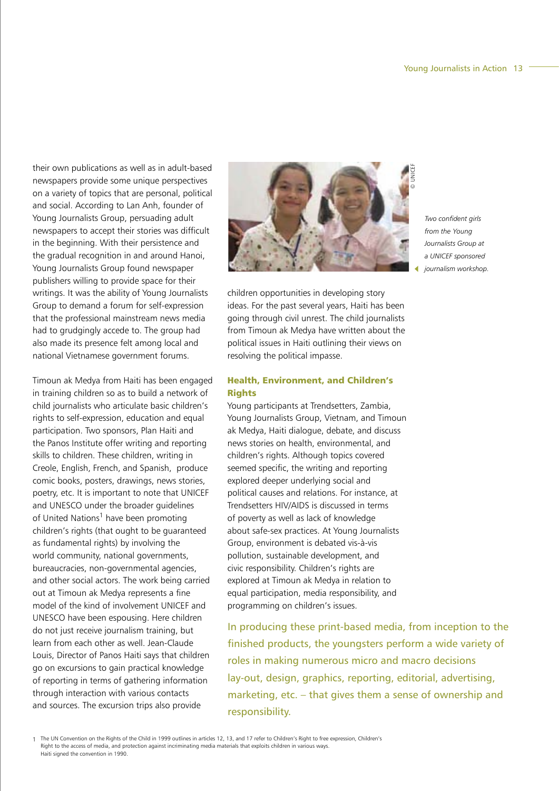their own publications as well as in adult-based newspapers provide some unique perspectives on a variety of topics that are personal, political and social. According to Lan Anh, founder of Young Journalists Group, persuading adult newspapers to accept their stories was difficult in the beginning. With their persistence and the gradual recognition in and around Hanoi, Young Journalists Group found newspaper publishers willing to provide space for their writings. It was the ability of Young Journalists Group to demand a forum for self-expression that the professional mainstream news media had to grudgingly accede to. The group had also made its presence felt among local and national Vietnamese government forums.

Timoun ak Medya from Haiti has been engaged in training children so as to build a network of child journalists who articulate basic children's rights to self-expression, education and equal participation. Two sponsors, Plan Haiti and the Panos Institute offer writing and reporting skills to children. These children, writing in Creole, English, French, and Spanish, produce comic books, posters, drawings, news stories, poetry, etc. It is important to note that UNICEF and UNESCO under the broader guidelines of United Nations<sup>1</sup> have been promoting children's rights (that ought to be guaranteed as fundamental rights) by involving the world community, national governments, bureaucracies, non-governmental agencies, and other social actors. The work being carried out at Timoun ak Medya represents a fine model of the kind of involvement UNICEF and UNESCO have been espousing. Here children do not just receive journalism training, but learn from each other as well. Jean-Claude Louis, Director of Panos Haiti says that children go on excursions to gain practical knowledge of reporting in terms of gathering information through interaction with various contacts and sources. The excursion trips also provide



*Journalists Group at a UNICEF sponsored journalism workshop.*

*Two confident girls from the Young* 

children opportunities in developing story ideas. For the past several years, Haiti has been going through civil unrest. The child journalists from Timoun ak Medya have written about the political issues in Haiti outlining their views on resolving the political impasse.

#### Health, Environment, and Children's **Rights**

Young participants at Trendsetters, Zambia, Young Journalists Group, Vietnam, and Timoun ak Medya, Haiti dialogue, debate, and discuss news stories on health, environmental, and children's rights. Although topics covered seemed specific, the writing and reporting explored deeper underlying social and political causes and relations. For instance, at Trendsetters HIV/AIDS is discussed in terms of poverty as well as lack of knowledge about safe-sex practices. At Young Journalists Group, environment is debated vis-à-vis pollution, sustainable development, and civic responsibility. Children's rights are explored at Timoun ak Medya in relation to equal participation, media responsibility, and programming on children's issues.

In producing these print-based media, from inception to the finished products, the youngsters perform a wide variety of roles in making numerous micro and macro decisions lay-out, design, graphics, reporting, editorial, advertising, marketing, etc. – that gives them a sense of ownership and responsibility.

<sup>1</sup> The UN Convention on the Rights of the Child in 1999 outlines in articles 12, 13, and 17 refer to Children's Right to free expression, Children's Right to the access of media, and protection against incriminating media materials that exploits children in various ways. Haiti signed the convention in 1990.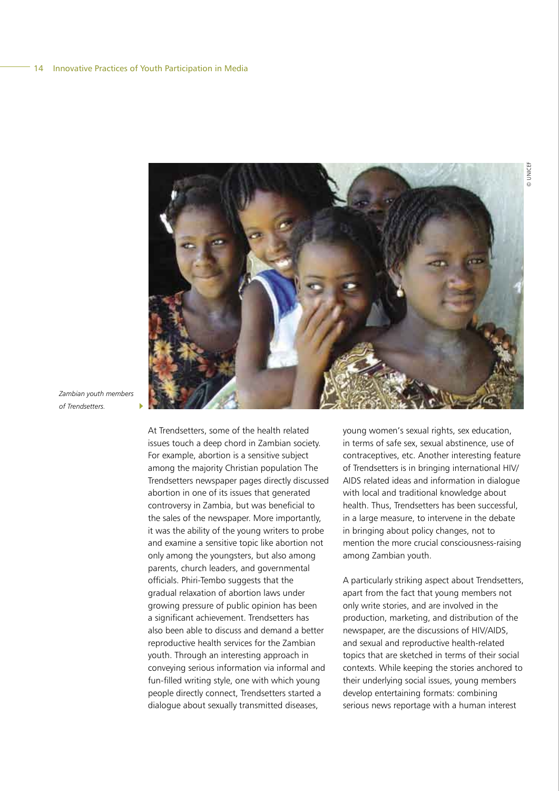

*Zambian youth members of Trendsetters.*

> At Trendsetters, some of the health related issues touch a deep chord in Zambian society. For example, abortion is a sensitive subject among the majority Christian population The Trendsetters newspaper pages directly discussed abortion in one of its issues that generated controversy in Zambia, but was beneficial to the sales of the newspaper. More importantly, it was the ability of the young writers to probe and examine a sensitive topic like abortion not only among the youngsters, but also among parents, church leaders, and governmental officials. Phiri-Tembo suggests that the gradual relaxation of abortion laws under growing pressure of public opinion has been a significant achievement. Trendsetters has also been able to discuss and demand a better reproductive health services for the Zambian youth. Through an interesting approach in conveying serious information via informal and fun-filled writing style, one with which young people directly connect, Trendsetters started a dialogue about sexually transmitted diseases,

young women's sexual rights, sex education, in terms of safe sex, sexual abstinence, use of contraceptives, etc. Another interesting feature of Trendsetters is in bringing international HIV/ AIDS related ideas and information in dialogue with local and traditional knowledge about health. Thus, Trendsetters has been successful, in a large measure, to intervene in the debate in bringing about policy changes, not to mention the more crucial consciousness-raising among Zambian youth.

A particularly striking aspect about Trendsetters, apart from the fact that young members not only write stories, and are involved in the production, marketing, and distribution of the newspaper, are the discussions of HIV/AIDS, and sexual and reproductive health-related topics that are sketched in terms of their social contexts. While keeping the stories anchored to their underlying social issues, young members develop entertaining formats: combining serious news reportage with a human interest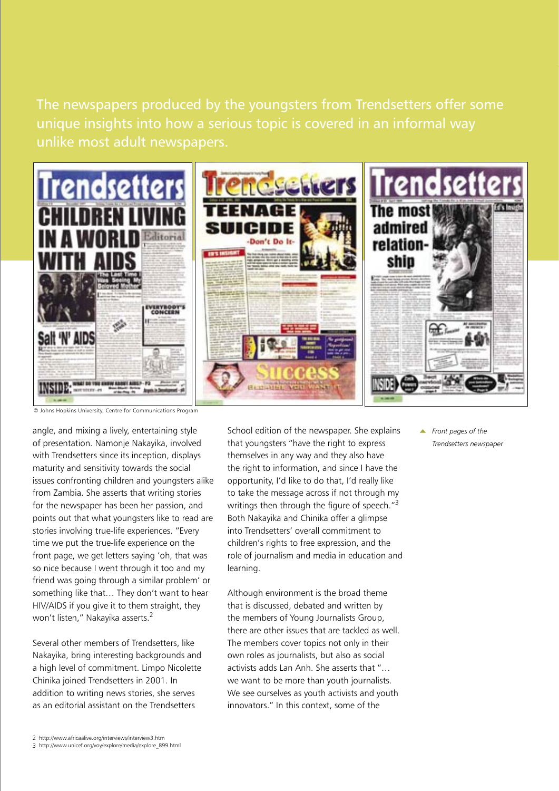The newspapers produced by the youngsters from Trendsetters offer some unique insights into how a serious topic is covered in an informal way unlike most adult newspapers.



© Johns Hopkins University, Centre for Communications Program

angle, and mixing a lively, entertaining style of presentation. Namonje Nakayika, involved with Trendsetters since its inception, displays maturity and sensitivity towards the social issues confronting children and youngsters alike from Zambia. She asserts that writing stories for the newspaper has been her passion, and points out that what youngsters like to read are stories involving true-life experiences. "Every time we put the true-life experience on the front page, we get letters saying 'oh, that was so nice because I went through it too and my friend was going through a similar problem' or something like that… They don't want to hear HIV/AIDS if you give it to them straight, they won't listen," Nakayika asserts.<sup>2</sup>

Several other members of Trendsetters, like Nakayika, bring interesting backgrounds and a high level of commitment. Limpo Nicolette Chinika joined Trendsetters in 2001. In addition to writing news stories, she serves as an editorial assistant on the Trendsetters

School edition of the newspaper. She explains that youngsters "have the right to express themselves in any way and they also have the right to information, and since I have the opportunity, I'd like to do that, I'd really like to take the message across if not through my writings then through the figure of speech."<sup>3</sup> Both Nakayika and Chinika offer a glimpse into Trendsetters' overall commitment to children's rights to free expression, and the role of journalism and media in education and learning.

Although environment is the broad theme that is discussed, debated and written by the members of Young Journalists Group, there are other issues that are tackled as well. The members cover topics not only in their own roles as journalists, but also as social activists adds Lan Anh. She asserts that "… we want to be more than youth journalists. We see ourselves as youth activists and youth innovators." In this context, some of the

*Front pages of the Trendsetters newspaper*

- 2 http://www.africaalive.org/interviews/interview3.htm
- 3 http://www.unicef.org/voy/explore/media/explore\_899.html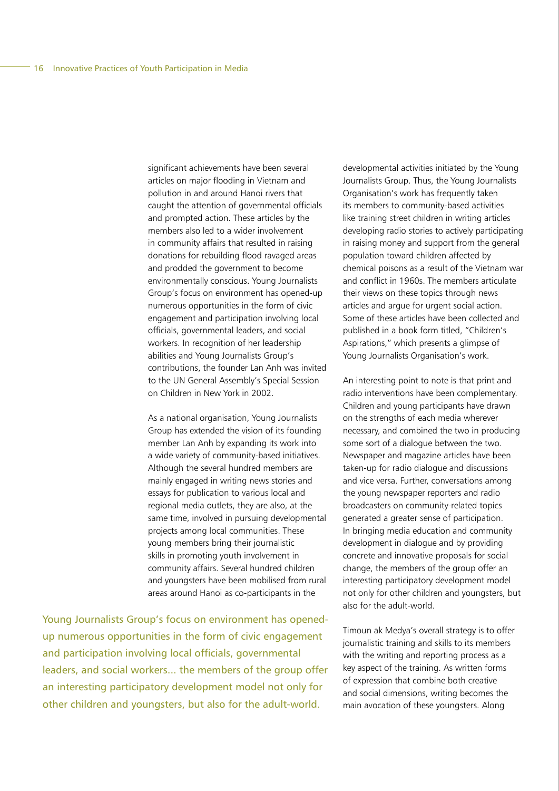significant achievements have been several articles on major flooding in Vietnam and pollution in and around Hanoi rivers that caught the attention of governmental officials and prompted action. These articles by the members also led to a wider involvement in community affairs that resulted in raising donations for rebuilding flood ravaged areas and prodded the government to become environmentally conscious. Young Journalists Group's focus on environment has opened-up numerous opportunities in the form of civic engagement and participation involving local officials, governmental leaders, and social workers. In recognition of her leadership abilities and Young Journalists Group's contributions, the founder Lan Anh was invited to the UN General Assembly's Special Session on Children in New York in 2002.

As a national organisation, Young Journalists Group has extended the vision of its founding member Lan Anh by expanding its work into a wide variety of community-based initiatives. Although the several hundred members are mainly engaged in writing news stories and essays for publication to various local and regional media outlets, they are also, at the same time, involved in pursuing developmental projects among local communities. These young members bring their journalistic skills in promoting youth involvement in community affairs. Several hundred children and youngsters have been mobilised from rural areas around Hanoi as co-participants in the

Young Journalists Group's focus on environment has openedup numerous opportunities in the form of civic engagement and participation involving local officials, governmental leaders, and social workers... the members of the group offer an interesting participatory development model not only for other children and youngsters, but also for the adult-world.

developmental activities initiated by the Young Journalists Group. Thus, the Young Journalists Organisation's work has frequently taken its members to community-based activities like training street children in writing articles developing radio stories to actively participating in raising money and support from the general population toward children affected by chemical poisons as a result of the Vietnam war and conflict in 1960s. The members articulate their views on these topics through news articles and argue for urgent social action. Some of these articles have been collected and published in a book form titled, "Children's Aspirations," which presents a glimpse of Young Journalists Organisation's work.

An interesting point to note is that print and radio interventions have been complementary. Children and young participants have drawn on the strengths of each media wherever necessary, and combined the two in producing some sort of a dialogue between the two. Newspaper and magazine articles have been taken-up for radio dialogue and discussions and vice versa. Further, conversations among the young newspaper reporters and radio broadcasters on community-related topics generated a greater sense of participation. In bringing media education and community development in dialogue and by providing concrete and innovative proposals for social change, the members of the group offer an interesting participatory development model not only for other children and youngsters, but also for the adult-world.

Timoun ak Medya's overall strategy is to offer journalistic training and skills to its members with the writing and reporting process as a key aspect of the training. As written forms of expression that combine both creative and social dimensions, writing becomes the main avocation of these youngsters. Along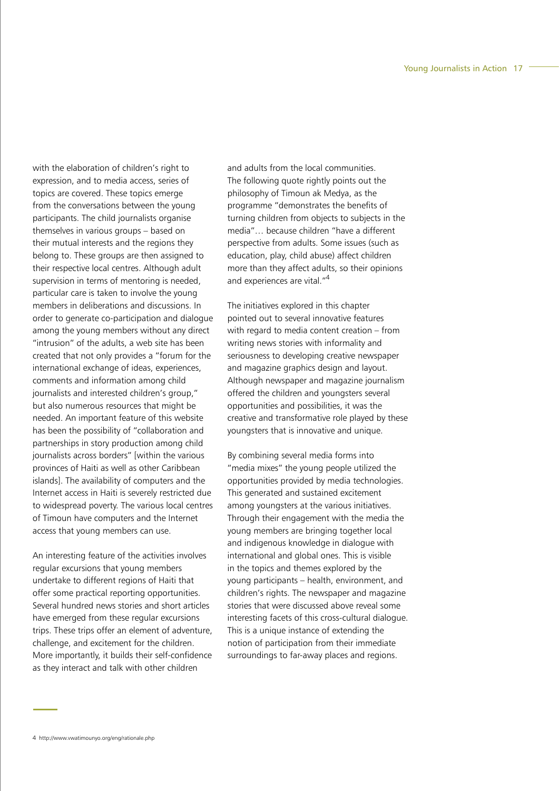with the elaboration of children's right to expression, and to media access, series of topics are covered. These topics emerge from the conversations between the young participants. The child journalists organise themselves in various groups – based on their mutual interests and the regions they belong to. These groups are then assigned to their respective local centres. Although adult supervision in terms of mentoring is needed, particular care is taken to involve the young members in deliberations and discussions. In order to generate co-participation and dialogue among the young members without any direct "intrusion" of the adults, a web site has been created that not only provides a "forum for the international exchange of ideas, experiences, comments and information among child journalists and interested children's group," but also numerous resources that might be needed. An important feature of this website has been the possibility of "collaboration and partnerships in story production among child journalists across borders" [within the various provinces of Haiti as well as other Caribbean islands]. The availability of computers and the Internet access in Haiti is severely restricted due to widespread poverty. The various local centres of Timoun have computers and the Internet access that young members can use.

An interesting feature of the activities involves regular excursions that young members undertake to different regions of Haiti that offer some practical reporting opportunities. Several hundred news stories and short articles have emerged from these regular excursions trips. These trips offer an element of adventure, challenge, and excitement for the children. More importantly, it builds their self-confidence as they interact and talk with other children

and adults from the local communities. The following quote rightly points out the philosophy of Timoun ak Medya, as the programme "demonstrates the benefits of turning children from objects to subjects in the media"… because children "have a different perspective from adults. Some issues (such as education, play, child abuse) affect children more than they affect adults, so their opinions and experiences are vital."<sup>4</sup>

The initiatives explored in this chapter pointed out to several innovative features with regard to media content creation – from writing news stories with informality and seriousness to developing creative newspaper and magazine graphics design and layout. Although newspaper and magazine journalism offered the children and youngsters several opportunities and possibilities, it was the creative and transformative role played by these youngsters that is innovative and unique.

By combining several media forms into "media mixes" the young people utilized the opportunities provided by media technologies. This generated and sustained excitement among youngsters at the various initiatives. Through their engagement with the media the young members are bringing together local and indigenous knowledge in dialogue with international and global ones. This is visible in the topics and themes explored by the young participants – health, environment, and children's rights. The newspaper and magazine stories that were discussed above reveal some interesting facets of this cross-cultural dialogue. This is a unique instance of extending the notion of participation from their immediate surroundings to far-away places and regions.

<sup>4</sup> http://www.vwatimounyo.org/eng/rationale.php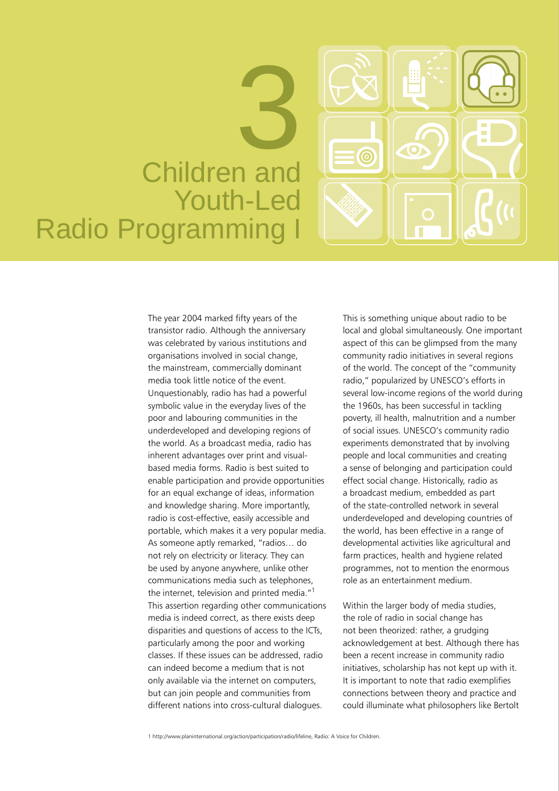# Children and Youth-Led Radio Programming I 3

The year 2004 marked fifty years of the transistor radio. Although the anniversary was celebrated by various institutions and organisations involved in social change, the mainstream, commercially dominant media took little notice of the event. Unquestionably, radio has had a powerful symbolic value in the everyday lives of the poor and labouring communities in the underdeveloped and developing regions of the world. As a broadcast media, radio has inherent advantages over print and visualbased media forms. Radio is best suited to enable participation and provide opportunities for an equal exchange of ideas, information and knowledge sharing. More importantly, radio is cost-effective, easily accessible and portable, which makes it a very popular media. As someone aptly remarked, "radios… do not rely on electricity or literacy. They can be used by anyone anywhere, unlike other communications media such as telephones, the internet, television and printed media."<sup>1</sup> This assertion regarding other communications media is indeed correct, as there exists deep disparities and questions of access to the ICTs, particularly among the poor and working classes. If these issues can be addressed, radio can indeed become a medium that is not only available via the internet on computers, but can join people and communities from different nations into cross-cultural dialogues.

This is something unique about radio to be local and global simultaneously. One important aspect of this can be glimpsed from the many community radio initiatives in several regions of the world. The concept of the "community radio," popularized by UNESCO's efforts in several low-income regions of the world during the 1960s, has been successful in tackling poverty, ill health, malnutrition and a number of social issues. UNESCO's community radio experiments demonstrated that by involving people and local communities and creating a sense of belonging and participation could effect social change. Historically, radio as a broadcast medium, embedded as part of the state-controlled network in several underdeveloped and developing countries of the world, has been effective in a range of developmental activities like agricultural and farm practices, health and hygiene related programmes, not to mention the enormous role as an entertainment medium.

Within the larger body of media studies, the role of radio in social change has not been theorized: rather, a grudging acknowledgement at best. Although there has been a recent increase in community radio initiatives, scholarship has not kept up with it. It is important to note that radio exemplifies connections between theory and practice and could illuminate what philosophers like Bertolt

1 http://www.planinternational.org/action/participation/radio/lifeline, Radio: A Voice for Children.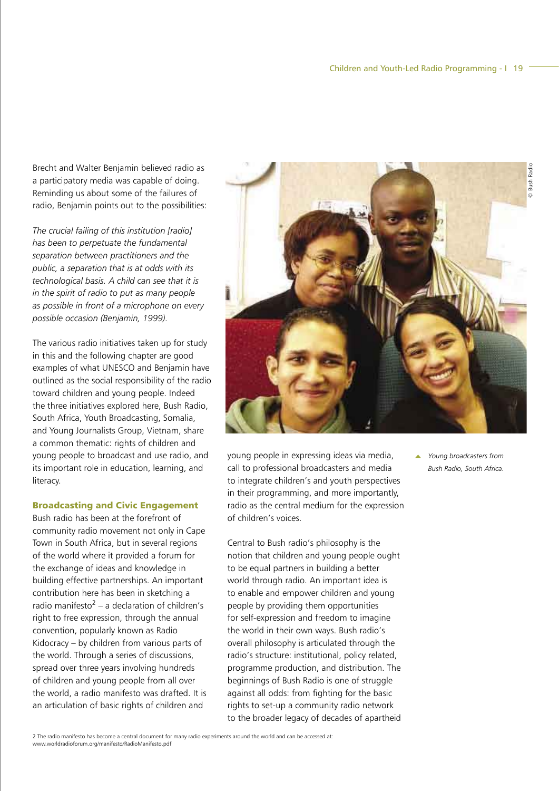Brecht and Walter Benjamin believed radio as a participatory media was capable of doing. Reminding us about some of the failures of radio, Benjamin points out to the possibilities:

*The crucial failing of this institution [radio] has been to perpetuate the fundamental separation between practitioners and the public, a separation that is at odds with its technological basis. A child can see that it is in the spirit of radio to put as many people as possible in front of a microphone on every possible occasion (Benjamin, 1999).*

The various radio initiatives taken up for study in this and the following chapter are good examples of what UNESCO and Benjamin have outlined as the social responsibility of the radio toward children and young people. Indeed the three initiatives explored here, Bush Radio, South Africa, Youth Broadcasting, Somalia, and Young Journalists Group, Vietnam, share a common thematic: rights of children and young people to broadcast and use radio, and its important role in education, learning, and literacy.

#### Broadcasting and Civic Engagement

Bush radio has been at the forefront of community radio movement not only in Cape Town in South Africa, but in several regions of the world where it provided a forum for the exchange of ideas and knowledge in building effective partnerships. An important contribution here has been in sketching a radio manifesto $2 - a$  declaration of children's right to free expression, through the annual convention, popularly known as Radio Kidocracy – by children from various parts of the world. Through a series of discussions, spread over three years involving hundreds of children and young people from all over the world, a radio manifesto was drafted. It is an articulation of basic rights of children and



young people in expressing ideas via media, call to professional broadcasters and media to integrate children's and youth perspectives in their programming, and more importantly, radio as the central medium for the expression of children's voices.

Central to Bush radio's philosophy is the notion that children and young people ought to be equal partners in building a better world through radio. An important idea is to enable and empower children and young people by providing them opportunities for self-expression and freedom to imagine the world in their own ways. Bush radio's overall philosophy is articulated through the radio's structure: institutional, policy related, programme production, and distribution. The beginnings of Bush Radio is one of struggle against all odds: from fighting for the basic rights to set-up a community radio network to the broader legacy of decades of apartheid

*Young broadcasters from Bush Radio, South Africa.*

2 The radio manifesto has become a central document for many radio experiments around the world and can be accessed at: www.worldradioforum.org/manifesto/RadioManifesto.pdf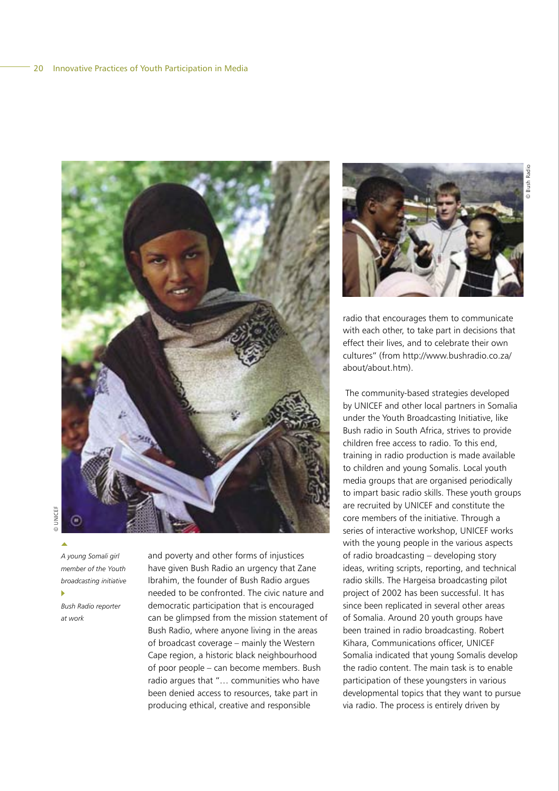

## © UNICEF

*A young Somali girl member of the Youth broadcasting initiative*

*Bush Radio reporter at work*

and poverty and other forms of injustices have given Bush Radio an urgency that Zane Ibrahim, the founder of Bush Radio argues needed to be confronted. The civic nature and democratic participation that is encouraged can be glimpsed from the mission statement of Bush Radio, where anyone living in the areas of broadcast coverage – mainly the Western Cape region, a historic black neighbourhood of poor people – can become members. Bush radio argues that "… communities who have been denied access to resources, take part in producing ethical, creative and responsible



radio that encourages them to communicate with each other, to take part in decisions that effect their lives, and to celebrate their own cultures" (from http://www.bushradio.co.za/ about/about.htm).

 The community-based strategies developed by UNICEF and other local partners in Somalia under the Youth Broadcasting Initiative, like Bush radio in South Africa, strives to provide children free access to radio. To this end, training in radio production is made available to children and young Somalis. Local youth media groups that are organised periodically to impart basic radio skills. These youth groups are recruited by UNICEF and constitute the core members of the initiative. Through a series of interactive workshop, UNICEF works with the young people in the various aspects of radio broadcasting – developing story ideas, writing scripts, reporting, and technical radio skills. The Hargeisa broadcasting pilot project of 2002 has been successful. It has since been replicated in several other areas of Somalia. Around 20 youth groups have been trained in radio broadcasting. Robert Kihara, Communications officer, UNICEF Somalia indicated that young Somalis develop the radio content. The main task is to enable participation of these youngsters in various developmental topics that they want to pursue via radio. The process is entirely driven by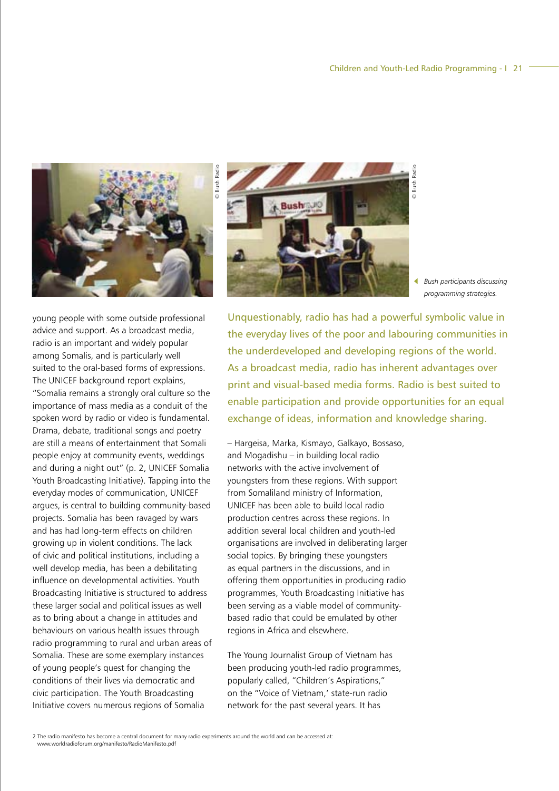

young people with some outside professional advice and support. As a broadcast media, radio is an important and widely popular among Somalis, and is particularly well suited to the oral-based forms of expressions. The UNICEF background report explains, "Somalia remains a strongly oral culture so the importance of mass media as a conduit of the spoken word by radio or video is fundamental. Drama, debate, traditional songs and poetry are still a means of entertainment that Somali people enjoy at community events, weddings and during a night out" (p. 2, UNICEF Somalia Youth Broadcasting Initiative). Tapping into the everyday modes of communication, UNICEF argues, is central to building community-based projects. Somalia has been ravaged by wars and has had long-term effects on children growing up in violent conditions. The lack of civic and political institutions, including a well develop media, has been a debilitating influence on developmental activities. Youth Broadcasting Initiative is structured to address these larger social and political issues as well as to bring about a change in attitudes and behaviours on various health issues through radio programming to rural and urban areas of Somalia. These are some exemplary instances of young people's quest for changing the conditions of their lives via democratic and civic participation. The Youth Broadcasting Initiative covers numerous regions of Somalia



*Bush participants discussing programming strategies.*

Unquestionably, radio has had a powerful symbolic value in the everyday lives of the poor and labouring communities in the underdeveloped and developing regions of the world. As a broadcast media, radio has inherent advantages over print and visual-based media forms. Radio is best suited to enable participation and provide opportunities for an equal exchange of ideas, information and knowledge sharing.

– Hargeisa, Marka, Kismayo, Galkayo, Bossaso, and Mogadishu – in building local radio networks with the active involvement of youngsters from these regions. With support from Somaliland ministry of Information, UNICEF has been able to build local radio production centres across these regions. In addition several local children and youth-led organisations are involved in deliberating larger social topics. By bringing these youngsters as equal partners in the discussions, and in offering them opportunities in producing radio programmes, Youth Broadcasting Initiative has been serving as a viable model of communitybased radio that could be emulated by other regions in Africa and elsewhere.

The Young Journalist Group of Vietnam has been producing youth-led radio programmes, popularly called, "Children's Aspirations," on the "Voice of Vietnam,' state-run radio network for the past several years. It has

2 The radio manifesto has become a central document for many radio experiments around the world and can be accessed at: www.worldradioforum.org/manifesto/RadioManifesto.pdf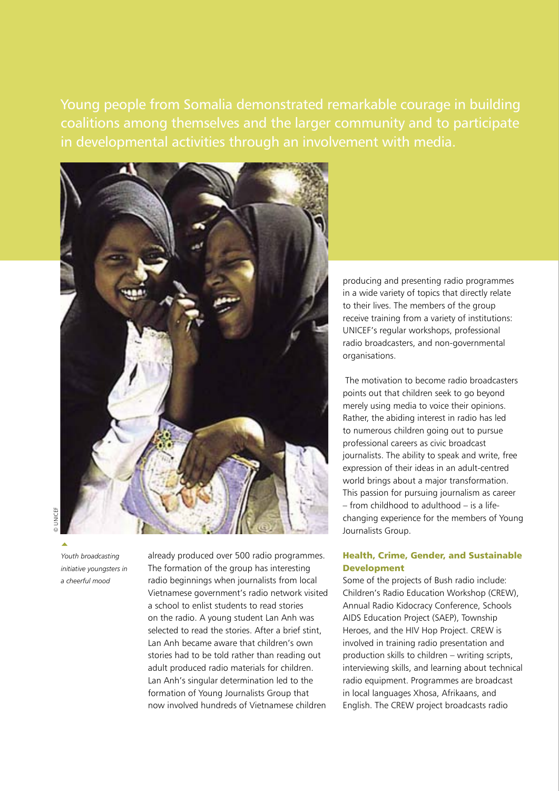Young people from Somalia demonstrated remarkable courage in building coalitions among themselves and the larger community and to participate in developmental activities through an involvement with media.



© UNICEF

*Youth broadcasting initiative youngsters in a cheerful mood*

already produced over 500 radio programmes. The formation of the group has interesting radio beginnings when journalists from local Vietnamese government's radio network visited a school to enlist students to read stories on the radio. A young student Lan Anh was selected to read the stories. After a brief stint, Lan Anh became aware that children's own stories had to be told rather than reading out adult produced radio materials for children. Lan Anh's singular determination led to the formation of Young Journalists Group that now involved hundreds of Vietnamese children

producing and presenting radio programmes in a wide variety of topics that directly relate to their lives. The members of the group receive training from a variety of institutions: UNICEF's regular workshops, professional radio broadcasters, and non-governmental organisations.

 The motivation to become radio broadcasters points out that children seek to go beyond merely using media to voice their opinions. Rather, the abiding interest in radio has led to numerous children going out to pursue professional careers as civic broadcast journalists. The ability to speak and write, free expression of their ideas in an adult-centred world brings about a major transformation. This passion for pursuing journalism as career – from childhood to adulthood – is a lifechanging experience for the members of Young Journalists Group.

#### Health, Crime, Gender, and Sustainable Development

Some of the projects of Bush radio include: Children's Radio Education Workshop (CREW), Annual Radio Kidocracy Conference, Schools AIDS Education Project (SAEP), Township Heroes, and the HIV Hop Project. CREW is involved in training radio presentation and production skills to children – writing scripts, interviewing skills, and learning about technical radio equipment. Programmes are broadcast in local languages Xhosa, Afrikaans, and English. The CREW project broadcasts radio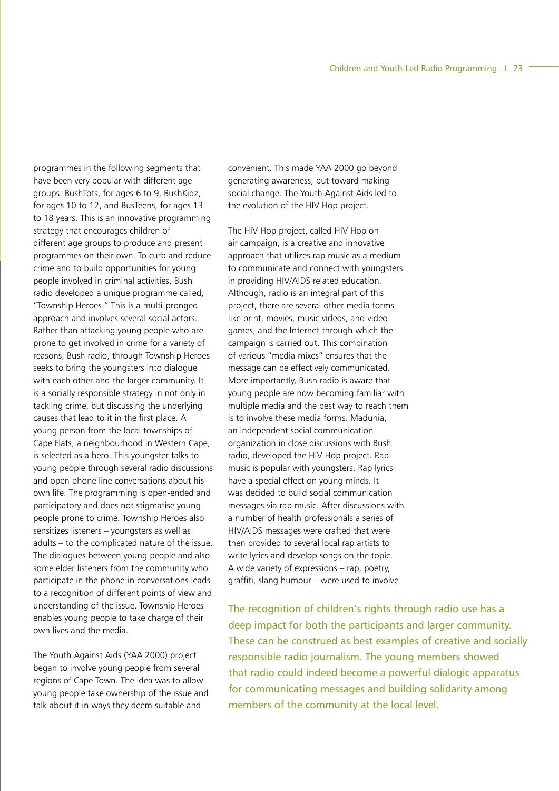programmes in the following segments that have been very popular with different age groups: BushTots, for ages 6 to 9, BushKidz, for ages 10 to 12, and BusTeens, for ages 13 to 18 years. This is an innovative programming strategy that encourages children of different age groups to produce and present programmes on their own. To curb and reduce crime and to build opportunities for young people involved in criminal activities, Bush radio developed a unique programme called, "Township Heroes." This is a multi-pronged approach and involves several social actors. Rather than attacking young people who are prone to get involved in crime for a variety of reasons, Bush radio, through Township Heroes seeks to bring the youngsters into dialogue with each other and the larger community. It is a socially responsible strategy in not only in tackling crime, but discussing the underlying causes that lead to it in the first place. A young person from the local townships of Cape Flats, a neighbourhood in Western Cape, is selected as a hero. This youngster talks to young people through several radio discussions and open phone line conversations about his own life. The programming is open-ended and participatory and does not stigmatise young people prone to crime. Township Heroes also sensitizes listeners – youngsters as well as adults – to the complicated nature of the issue. The dialogues between young people and also some elder listeners from the community who participate in the phone-in conversations leads to a recognition of different points of view and understanding of the issue. Township Heroes enables young people to take charge of their own lives and the media.

The Youth Against Aids (YAA 2000) project began to involve young people from several regions of Cape Town. The idea was to allow young people take ownership of the issue and talk about it in ways they deem suitable and

convenient. This made YAA 2000 go beyond generating awareness, but toward making social change. The Youth Against Aids led to the evolution of the HIV Hop project.

The HIV Hop project, called HIV Hop onair campaign, is a creative and innovative approach that utilizes rap music as a medium to communicate and connect with youngsters in providing HIV/AIDS related education. Although, radio is an integral part of this project, there are several other media forms like print, movies, music videos, and video games, and the Internet through which the campaign is carried out. This combination of various "media mixes" ensures that the message can be effectively communicated. More importantly, Bush radio is aware that young people are now becoming familiar with multiple media and the best way to reach them is to involve these media forms. Madunia, an independent social communication organization in close discussions with Bush radio, developed the HIV Hop project. Rap music is popular with youngsters. Rap lyrics have a special effect on young minds. It was decided to build social communication messages via rap music. After discussions with a number of health professionals a series of HIV/AIDS messages were crafted that were then provided to several local rap artists to write lyrics and develop songs on the topic. A wide variety of expressions – rap, poetry, graffiti, slang humour – were used to involve

The recognition of children's rights through radio use has a deep impact for both the participants and larger community. These can be construed as best examples of creative and socially responsible radio journalism. The young members showed that radio could indeed become a powerful dialogic apparatus for communicating messages and building solidarity among members of the community at the local level.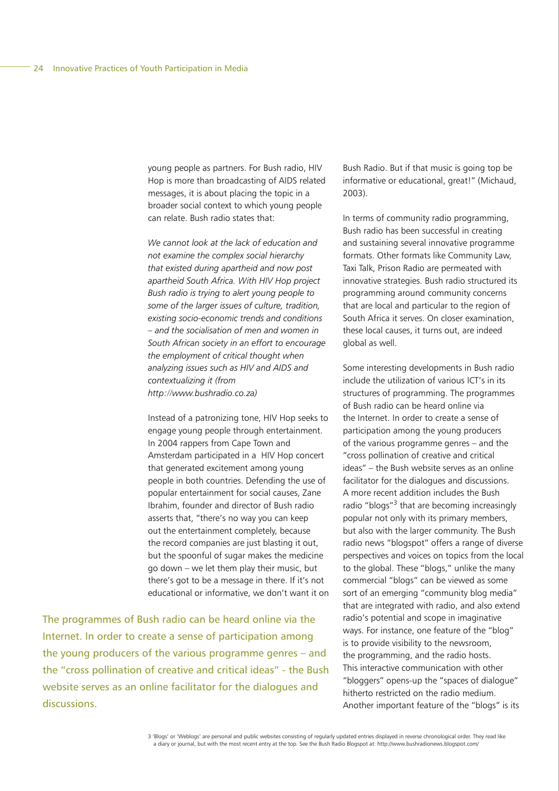young people as partners. For Bush radio, HIV Hop is more than broadcasting of AIDS related messages, it is about placing the topic in a broader social context to which young people can relate. Bush radio states that:

*We cannot look at the lack of education and not examine the complex social hierarchy that existed during apartheid and now post apartheid South Africa. With HIV Hop project Bush radio is trying to alert young people to some of the larger issues of culture, tradition, existing socio-economic trends and conditions – and the socialisation of men and women in South African society in an effort to encourage the employment of critical thought when analyzing issues such as HIV and AIDS and contextualizing it (from http://www.bushradio.co.za)*

Instead of a patronizing tone, HIV Hop seeks to engage young people through entertainment. In 2004 rappers from Cape Town and Amsterdam participated in a HIV Hop concert that generated excitement among young people in both countries. Defending the use of popular entertainment for social causes, Zane Ibrahim, founder and director of Bush radio asserts that, "there's no way you can keep out the entertainment completely, because the record companies are just blasting it out, but the spoonful of sugar makes the medicine go down – we let them play their music, but there's got to be a message in there. If it's not educational or informative, we don't want it on

The programmes of Bush radio can be heard online via the Internet. In order to create a sense of participation among the young producers of the various programme genres – and the "cross pollination of creative and critical ideas" - the Bush website serves as an online facilitator for the dialogues and discussions.

Bush Radio. But if that music is going top be informative or educational, great!" (Michaud, 2003).

In terms of community radio programming, Bush radio has been successful in creating and sustaining several innovative programme formats. Other formats like Community Law, Taxi Talk, Prison Radio are permeated with innovative strategies. Bush radio structured its programming around community concerns that are local and particular to the region of South Africa it serves. On closer examination, these local causes, it turns out, are indeed global as well.

Some interesting developments in Bush radio include the utilization of various ICT's in its structures of programming. The programmes of Bush radio can be heard online via the Internet. In order to create a sense of participation among the young producers of the various programme genres – and the "cross pollination of creative and critical ideas" – the Bush website serves as an online facilitator for the dialogues and discussions. A more recent addition includes the Bush radio "blogs"<sup>3</sup> that are becoming increasingly popular not only with its primary members, but also with the larger community. The Bush radio news "blogspot" offers a range of diverse perspectives and voices on topics from the local to the global. These "blogs," unlike the many commercial "blogs" can be viewed as some sort of an emerging "community blog media" that are integrated with radio, and also extend radio's potential and scope in imaginative ways. For instance, one feature of the "blog" is to provide visibility to the newsroom, the programming, and the radio hosts. This interactive communication with other "bloggers" opens-up the "spaces of dialogue" hitherto restricted on the radio medium. Another important feature of the "blogs" is its

3 'Blogs' or 'Weblogs' are personal and public websites consisting of regularly updated entries displayed in reverse chronological order. They read like a diary or journal, but with the most recent entry at the top. See the Bush Radio Blogspot at: http://www.bushradionews.blogspot.com/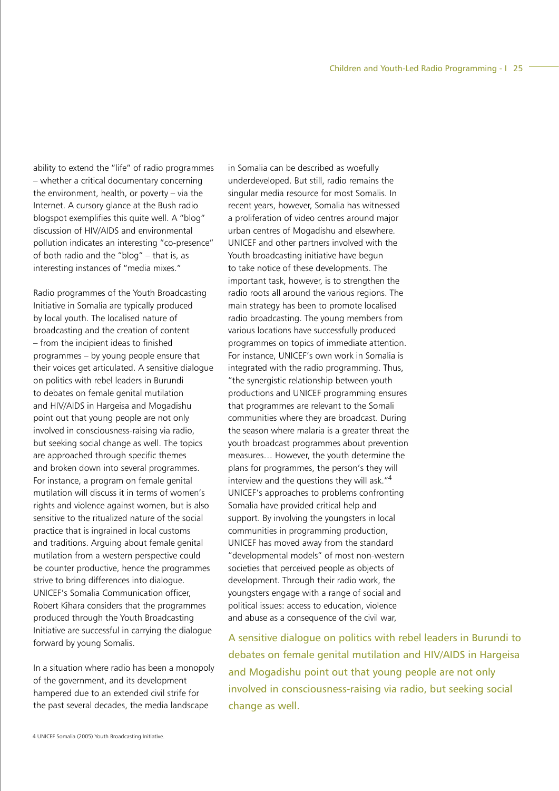ability to extend the "life" of radio programmes – whether a critical documentary concerning the environment, health, or poverty – via the Internet. A cursory glance at the Bush radio blogspot exemplifies this quite well. A "blog" discussion of HIV/AIDS and environmental pollution indicates an interesting "co-presence" of both radio and the "blog" – that is, as interesting instances of "media mixes."

Radio programmes of the Youth Broadcasting Initiative in Somalia are typically produced by local youth. The localised nature of broadcasting and the creation of content – from the incipient ideas to finished programmes – by young people ensure that their voices get articulated. A sensitive dialogue on politics with rebel leaders in Burundi to debates on female genital mutilation and HIV/AIDS in Hargeisa and Mogadishu point out that young people are not only involved in consciousness-raising via radio, but seeking social change as well. The topics are approached through specific themes and broken down into several programmes. For instance, a program on female genital mutilation will discuss it in terms of women's rights and violence against women, but is also sensitive to the ritualized nature of the social practice that is ingrained in local customs and traditions. Arguing about female genital mutilation from a western perspective could be counter productive, hence the programmes strive to bring differences into dialogue. UNICEF's Somalia Communication officer, Robert Kihara considers that the programmes produced through the Youth Broadcasting Initiative are successful in carrying the dialogue forward by young Somalis.

In a situation where radio has been a monopoly of the government, and its development hampered due to an extended civil strife for the past several decades, the media landscape

in Somalia can be described as woefully underdeveloped. But still, radio remains the singular media resource for most Somalis. In recent years, however, Somalia has witnessed a proliferation of video centres around major urban centres of Mogadishu and elsewhere. UNICEF and other partners involved with the Youth broadcasting initiative have begun to take notice of these developments. The important task, however, is to strengthen the radio roots all around the various regions. The main strategy has been to promote localised radio broadcasting. The young members from various locations have successfully produced programmes on topics of immediate attention. For instance, UNICEF's own work in Somalia is integrated with the radio programming. Thus, "the synergistic relationship between youth productions and UNICEF programming ensures that programmes are relevant to the Somali communities where they are broadcast. During the season where malaria is a greater threat the youth broadcast programmes about prevention measures… However, the youth determine the plans for programmes, the person's they will interview and the questions they will ask."4 UNICEF's approaches to problems confronting Somalia have provided critical help and support. By involving the youngsters in local communities in programming production, UNICEF has moved away from the standard "developmental models" of most non-western societies that perceived people as objects of development. Through their radio work, the youngsters engage with a range of social and political issues: access to education, violence and abuse as a consequence of the civil war,

A sensitive dialogue on politics with rebel leaders in Burundi to debates on female genital mutilation and HIV/AIDS in Hargeisa and Mogadishu point out that young people are not only involved in consciousness-raising via radio, but seeking social change as well.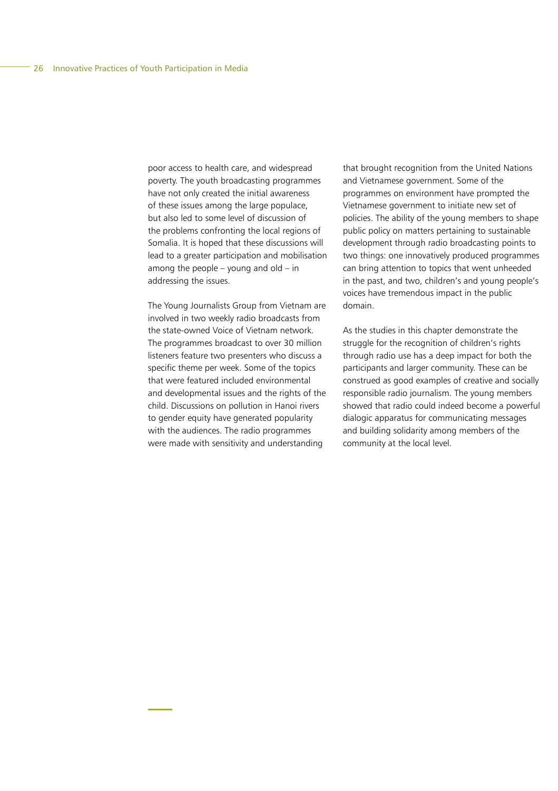poor access to health care, and widespread poverty. The youth broadcasting programmes have not only created the initial awareness of these issues among the large populace, but also led to some level of discussion of the problems confronting the local regions of Somalia. It is hoped that these discussions will lead to a greater participation and mobilisation among the people – young and old – in addressing the issues.

The Young Journalists Group from Vietnam are involved in two weekly radio broadcasts from the state-owned Voice of Vietnam network. The programmes broadcast to over 30 million listeners feature two presenters who discuss a specific theme per week. Some of the topics that were featured included environmental and developmental issues and the rights of the child. Discussions on pollution in Hanoi rivers to gender equity have generated popularity with the audiences. The radio programmes were made with sensitivity and understanding

that brought recognition from the United Nations and Vietnamese government. Some of the programmes on environment have prompted the Vietnamese government to initiate new set of policies. The ability of the young members to shape public policy on matters pertaining to sustainable development through radio broadcasting points to two things: one innovatively produced programmes can bring attention to topics that went unheeded in the past, and two, children's and young people's voices have tremendous impact in the public domain.

As the studies in this chapter demonstrate the struggle for the recognition of children's rights through radio use has a deep impact for both the participants and larger community. These can be construed as good examples of creative and socially responsible radio journalism. The young members showed that radio could indeed become a powerful dialogic apparatus for communicating messages and building solidarity among members of the community at the local level.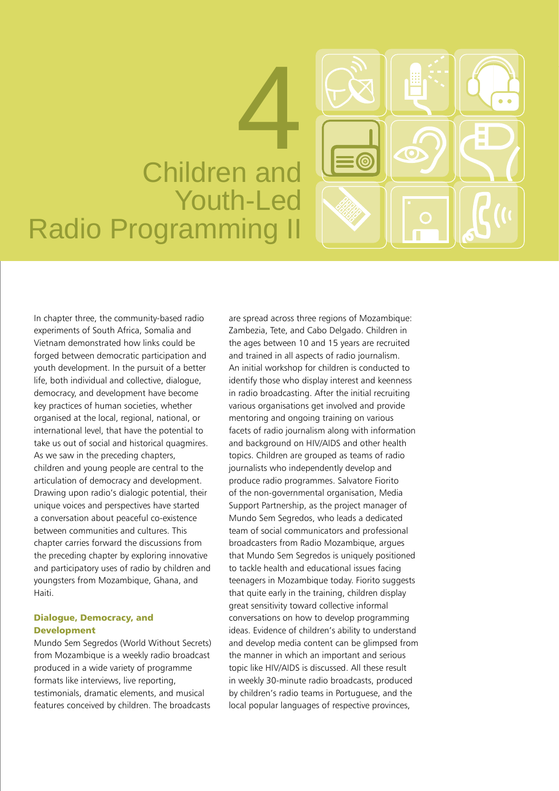# Children and Youth-Led Radio Programming II 4

In chapter three, the community-based radio experiments of South Africa, Somalia and Vietnam demonstrated how links could be forged between democratic participation and youth development. In the pursuit of a better life, both individual and collective, dialogue, democracy, and development have become key practices of human societies, whether organised at the local, regional, national, or international level, that have the potential to take us out of social and historical quagmires. As we saw in the preceding chapters, children and young people are central to the articulation of democracy and development. Drawing upon radio's dialogic potential, their unique voices and perspectives have started a conversation about peaceful co-existence between communities and cultures. This chapter carries forward the discussions from the preceding chapter by exploring innovative and participatory uses of radio by children and youngsters from Mozambique, Ghana, and Haiti.

#### Dialogue, Democracy, and Development

Mundo Sem Segredos (World Without Secrets) from Mozambique is a weekly radio broadcast produced in a wide variety of programme formats like interviews, live reporting, testimonials, dramatic elements, and musical features conceived by children. The broadcasts

are spread across three regions of Mozambique: Zambezia, Tete, and Cabo Delgado. Children in the ages between 10 and 15 years are recruited and trained in all aspects of radio journalism. An initial workshop for children is conducted to identify those who display interest and keenness in radio broadcasting. After the initial recruiting various organisations get involved and provide mentoring and ongoing training on various facets of radio journalism along with information and background on HIV/AIDS and other health topics. Children are grouped as teams of radio journalists who independently develop and produce radio programmes. Salvatore Fiorito of the non-governmental organisation, Media Support Partnership, as the project manager of Mundo Sem Segredos, who leads a dedicated team of social communicators and professional broadcasters from Radio Mozambique, argues that Mundo Sem Segredos is uniquely positioned to tackle health and educational issues facing teenagers in Mozambique today. Fiorito suggests that quite early in the training, children display great sensitivity toward collective informal conversations on how to develop programming ideas. Evidence of children's ability to understand and develop media content can be glimpsed from the manner in which an important and serious topic like HIV/AIDS is discussed. All these result in weekly 30-minute radio broadcasts, produced by children's radio teams in Portuguese, and the local popular languages of respective provinces,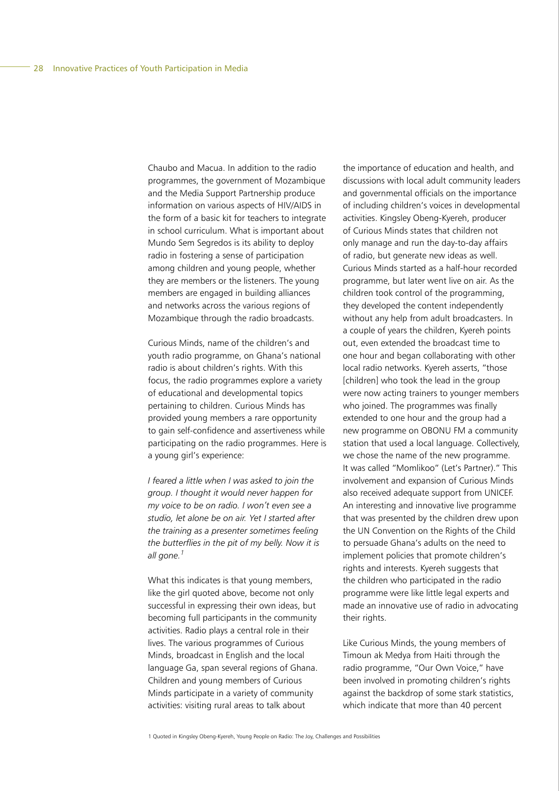Chaubo and Macua. In addition to the radio programmes, the government of Mozambique and the Media Support Partnership produce information on various aspects of HIV/AIDS in the form of a basic kit for teachers to integrate in school curriculum. What is important about Mundo Sem Segredos is its ability to deploy radio in fostering a sense of participation among children and young people, whether they are members or the listeners. The young members are engaged in building alliances and networks across the various regions of Mozambique through the radio broadcasts.

Curious Minds, name of the children's and youth radio programme, on Ghana's national radio is about children's rights. With this focus, the radio programmes explore a variety of educational and developmental topics pertaining to children. Curious Minds has provided young members a rare opportunity to gain self-confidence and assertiveness while participating on the radio programmes. Here is a young girl's experience:

*I feared a little when I was asked to join the group. I thought it would never happen for my voice to be on radio. I won't even see a studio, let alone be on air. Yet I started after the training as a presenter sometimes feeling the butterflies in the pit of my belly. Now it is all gone.<sup>1</sup>*

What this indicates is that young members, like the girl quoted above, become not only successful in expressing their own ideas, but becoming full participants in the community activities. Radio plays a central role in their lives. The various programmes of Curious Minds, broadcast in English and the local language Ga, span several regions of Ghana. Children and young members of Curious Minds participate in a variety of community activities: visiting rural areas to talk about

the importance of education and health, and discussions with local adult community leaders and governmental officials on the importance of including children's voices in developmental activities. Kingsley Obeng-Kyereh, producer of Curious Minds states that children not only manage and run the day-to-day affairs of radio, but generate new ideas as well. Curious Minds started as a half-hour recorded programme, but later went live on air. As the children took control of the programming, they developed the content independently without any help from adult broadcasters. In a couple of years the children, Kyereh points out, even extended the broadcast time to one hour and began collaborating with other local radio networks. Kyereh asserts, "those [children] who took the lead in the group were now acting trainers to younger members who joined. The programmes was finally extended to one hour and the group had a new programme on OBONU FM a community station that used a local language. Collectively, we chose the name of the new programme. It was called "Momlikoo" (Let's Partner)." This involvement and expansion of Curious Minds also received adequate support from UNICEF. An interesting and innovative live programme that was presented by the children drew upon the UN Convention on the Rights of the Child to persuade Ghana's adults on the need to implement policies that promote children's rights and interests. Kyereh suggests that the children who participated in the radio programme were like little legal experts and made an innovative use of radio in advocating their rights.

Like Curious Minds, the young members of Timoun ak Medya from Haiti through the radio programme, "Our Own Voice," have been involved in promoting children's rights against the backdrop of some stark statistics, which indicate that more than 40 percent

1 Quoted in Kingsley Obeng-Kyereh, Young People on Radio: The Joy, Challenges and Possibilities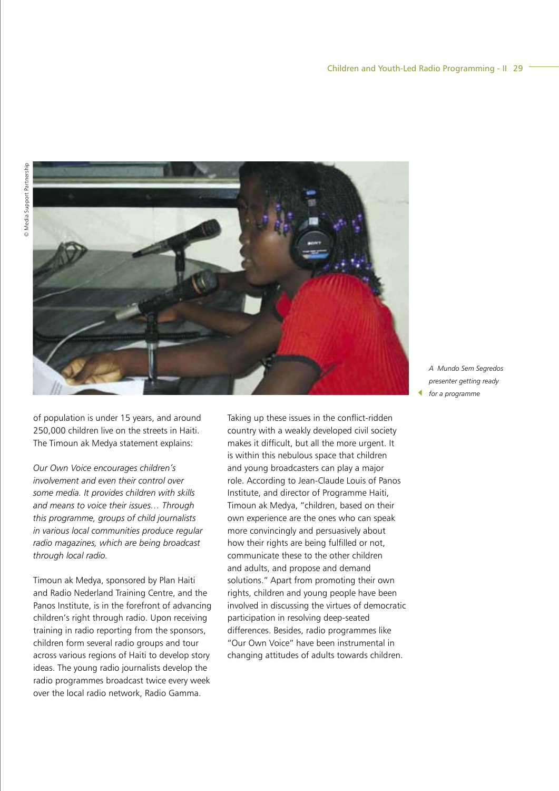

*A Mundo Sem Segredos presenter getting ready for a programme*

of population is under 15 years, and around 250,000 children live on the streets in Haiti. The Timoun ak Medya statement explains:

*Our Own Voice encourages children's involvement and even their control over some media. It provides children with skills and means to voice their issues… Through this programme, groups of child journalists in various local communities produce regular radio magazines, which are being broadcast through local radio.*

Timoun ak Medya, sponsored by Plan Haiti and Radio Nederland Training Centre, and the Panos Institute, is in the forefront of advancing children's right through radio. Upon receiving training in radio reporting from the sponsors, children form several radio groups and tour across various regions of Haiti to develop story ideas. The young radio journalists develop the radio programmes broadcast twice every week over the local radio network, Radio Gamma.

Taking up these issues in the conflict-ridden country with a weakly developed civil society makes it difficult, but all the more urgent. It is within this nebulous space that children and young broadcasters can play a major role. According to Jean-Claude Louis of Panos Institute, and director of Programme Haiti, Timoun ak Medya, "children, based on their own experience are the ones who can speak more convincingly and persuasively about how their rights are being fulfilled or not, communicate these to the other children and adults, and propose and demand solutions." Apart from promoting their own rights, children and young people have been involved in discussing the virtues of democratic participation in resolving deep-seated differences. Besides, radio programmes like "Our Own Voice" have been instrumental in changing attitudes of adults towards children.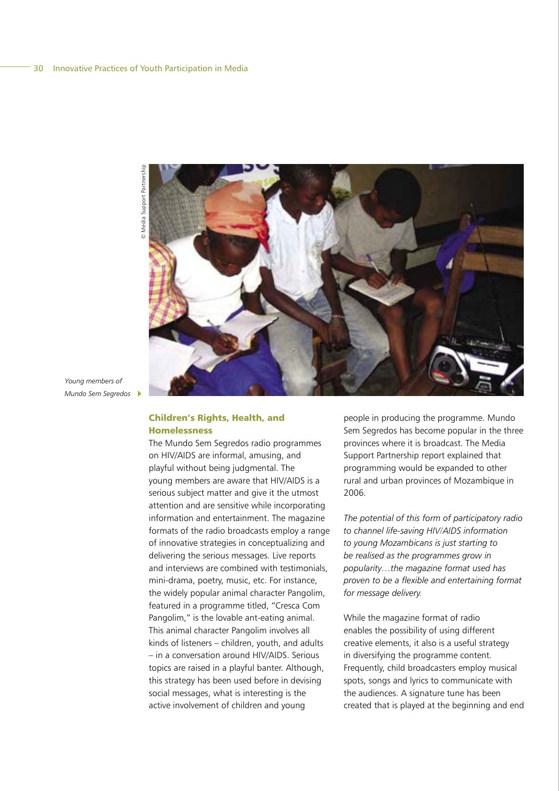

*Young members of Mundo Sem Segredos*

#### Children's Rights, Health, and Homelessness

The Mundo Sem Segredos radio programmes on HIV/AIDS are informal, amusing, and playful without being judgmental. The young members are aware that HIV/AIDS is a serious subject matter and give it the utmost attention and are sensitive while incorporating information and entertainment. The magazine formats of the radio broadcasts employ a range of innovative strategies in conceptualizing and delivering the serious messages. Live reports and interviews are combined with testimonials, mini-drama, poetry, music, etc. For instance, the widely popular animal character Pangolim, featured in a programme titled, "Cresca Com Pangolim," is the lovable ant-eating animal. This animal character Pangolim involves all kinds of listeners – children, youth, and adults – in a conversation around HIV/AIDS. Serious topics are raised in a playful banter. Although, this strategy has been used before in devising social messages, what is interesting is the active involvement of children and young

people in producing the programme. Mundo Sem Segredos has become popular in the three provinces where it is broadcast. The Media Support Partnership report explained that programming would be expanded to other rural and urban provinces of Mozambique in 2006.

*The potential of this form of participatory radio to channel life-saving HIV/AIDS information to young Mozambicans is just starting to be realised as the programmes grow in popularity…the magazine format used has proven to be a flexible and entertaining format for message delivery.* 

While the magazine format of radio enables the possibility of using different creative elements, it also is a useful strategy in diversifying the programme content. Frequently, child broadcasters employ musical spots, songs and lyrics to communicate with the audiences. A signature tune has been created that is played at the beginning and end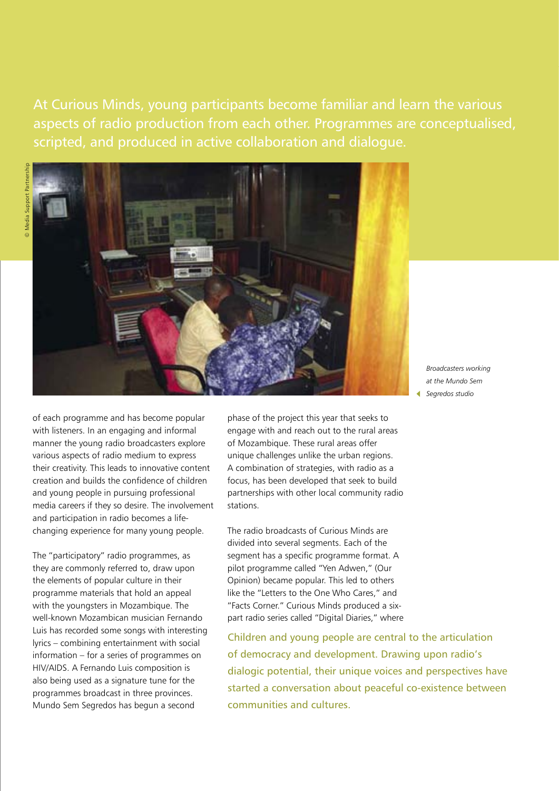At Curious Minds, young participants become familiar and learn the various aspects of radio production from each other. Programmes are conceptualised, scripted, and produced in active collaboration and dialogue.



*Broadcasters working at the Mundo Sem Segredos studio* 

of each programme and has become popular with listeners. In an engaging and informal manner the young radio broadcasters explore various aspects of radio medium to express their creativity. This leads to innovative content creation and builds the confidence of children and young people in pursuing professional media careers if they so desire. The involvement and participation in radio becomes a lifechanging experience for many young people.

The "participatory" radio programmes, as they are commonly referred to, draw upon the elements of popular culture in their programme materials that hold an appeal with the youngsters in Mozambique. The well-known Mozambican musician Fernando Luis has recorded some songs with interesting lyrics – combining entertainment with social information – for a series of programmes on HIV/AIDS. A Fernando Luis composition is also being used as a signature tune for the programmes broadcast in three provinces. Mundo Sem Segredos has begun a second

phase of the project this year that seeks to engage with and reach out to the rural areas of Mozambique. These rural areas offer unique challenges unlike the urban regions. A combination of strategies, with radio as a focus, has been developed that seek to build partnerships with other local community radio stations.

The radio broadcasts of Curious Minds are divided into several segments. Each of the segment has a specific programme format. A pilot programme called "Yen Adwen," (Our Opinion) became popular. This led to others like the "Letters to the One Who Cares," and "Facts Corner." Curious Minds produced a sixpart radio series called "Digital Diaries," where

Children and young people are central to the articulation of democracy and development. Drawing upon radio's dialogic potential, their unique voices and perspectives have started a conversation about peaceful co-existence between communities and cultures.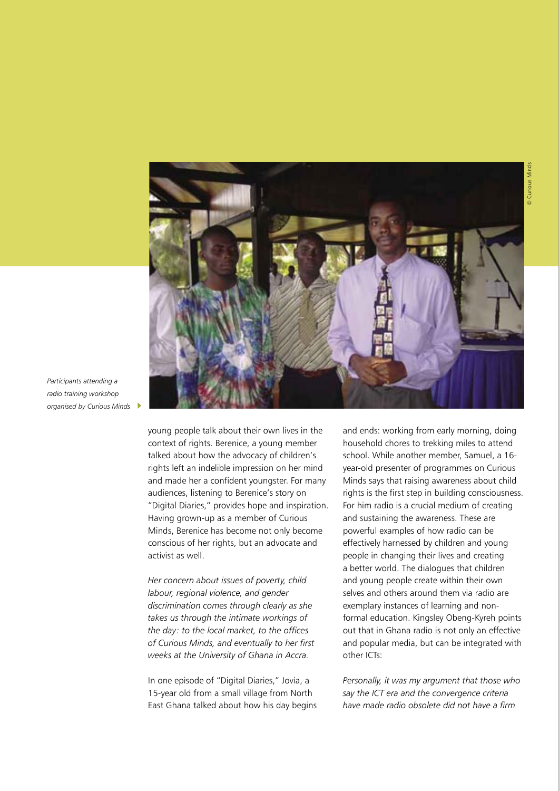

*Participants attending a radio training workshop organised by Curious Minds*

> young people talk about their own lives in the context of rights. Berenice, a young member talked about how the advocacy of children's rights left an indelible impression on her mind and made her a confident youngster. For many audiences, listening to Berenice's story on "Digital Diaries," provides hope and inspiration. Having grown-up as a member of Curious Minds, Berenice has become not only become conscious of her rights, but an advocate and activist as well.

*Her concern about issues of poverty, child labour, regional violence, and gender discrimination comes through clearly as she takes us through the intimate workings of the day: to the local market, to the offices of Curious Minds, and eventually to her first weeks at the University of Ghana in Accra.*

In one episode of "Digital Diaries," Jovia, a 15-year old from a small village from North East Ghana talked about how his day begins and ends: working from early morning, doing household chores to trekking miles to attend school. While another member, Samuel, a 16 year-old presenter of programmes on Curious Minds says that raising awareness about child rights is the first step in building consciousness. For him radio is a crucial medium of creating and sustaining the awareness. These are powerful examples of how radio can be effectively harnessed by children and young people in changing their lives and creating a better world. The dialogues that children and young people create within their own selves and others around them via radio are exemplary instances of learning and nonformal education. Kingsley Obeng-Kyreh points out that in Ghana radio is not only an effective and popular media, but can be integrated with other ICTs:

*Personally, it was my argument that those who say the ICT era and the convergence criteria have made radio obsolete did not have a firm*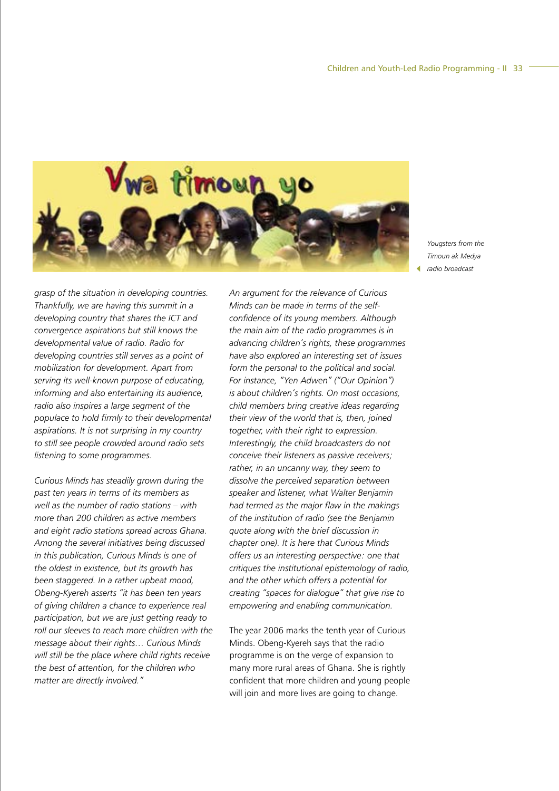

*Yougsters from the Timoun ak Medya radio broadcast*

*grasp of the situation in developing countries. Thankfully, we are having this summit in a developing country that shares the ICT and convergence aspirations but still knows the developmental value of radio. Radio for developing countries still serves as a point of mobilization for development. Apart from serving its well-known purpose of educating, informing and also entertaining its audience, radio also inspires a large segment of the populace to hold firmly to their developmental aspirations. It is not surprising in my country to still see people crowded around radio sets listening to some programmes.*

*Curious Minds has steadily grown during the past ten years in terms of its members as well as the number of radio stations – with more than 200 children as active members and eight radio stations spread across Ghana. Among the several initiatives being discussed in this publication, Curious Minds is one of the oldest in existence, but its growth has been staggered. In a rather upbeat mood, Obeng-Kyereh asserts "it has been ten years of giving children a chance to experience real participation, but we are just getting ready to roll our sleeves to reach more children with the message about their rights… Curious Minds will still be the place where child rights receive the best of attention, for the children who matter are directly involved."*

*An argument for the relevance of Curious Minds can be made in terms of the selfconfidence of its young members. Although the main aim of the radio programmes is in advancing children's rights, these programmes have also explored an interesting set of issues form the personal to the political and social. For instance, "Yen Adwen" ("Our Opinion") is about children's rights. On most occasions, child members bring creative ideas regarding their view of the world that is, then, joined together, with their right to expression. Interestingly, the child broadcasters do not conceive their listeners as passive receivers; rather, in an uncanny way, they seem to dissolve the perceived separation between speaker and listener, what Walter Benjamin had termed as the major flaw in the makings of the institution of radio (see the Benjamin quote along with the brief discussion in chapter one). It is here that Curious Minds offers us an interesting perspective: one that critiques the institutional epistemology of radio, and the other which offers a potential for creating "spaces for dialogue" that give rise to empowering and enabling communication.*

The year 2006 marks the tenth year of Curious Minds. Obeng-Kyereh says that the radio programme is on the verge of expansion to many more rural areas of Ghana. She is rightly confident that more children and young people will join and more lives are going to change.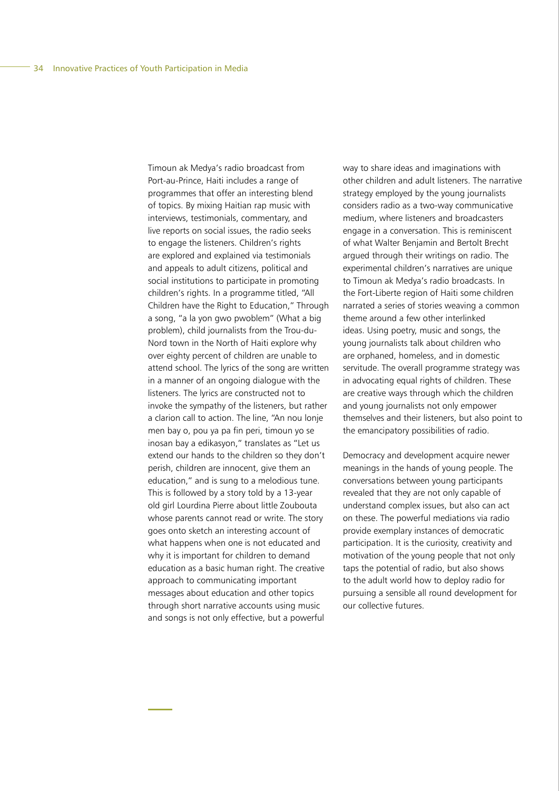Timoun ak Medya's radio broadcast from Port-au-Prince, Haiti includes a range of programmes that offer an interesting blend of topics. By mixing Haitian rap music with interviews, testimonials, commentary, and live reports on social issues, the radio seeks to engage the listeners. Children's rights are explored and explained via testimonials and appeals to adult citizens, political and social institutions to participate in promoting children's rights. In a programme titled, "All Children have the Right to Education," Through a song, "a la yon gwo pwoblem" (What a big problem), child journalists from the Trou-du-Nord town in the North of Haiti explore why over eighty percent of children are unable to attend school. The lyrics of the song are written in a manner of an ongoing dialogue with the listeners. The lyrics are constructed not to invoke the sympathy of the listeners, but rather a clarion call to action. The line, "An nou lonje men bay o, pou ya pa fin peri, timoun yo se inosan bay a edikasyon," translates as "Let us extend our hands to the children so they don't perish, children are innocent, give them an education," and is sung to a melodious tune. This is followed by a story told by a 13-year old girl Lourdina Pierre about little Zoubouta whose parents cannot read or write. The story goes onto sketch an interesting account of what happens when one is not educated and why it is important for children to demand education as a basic human right. The creative approach to communicating important messages about education and other topics through short narrative accounts using music and songs is not only effective, but a powerful

way to share ideas and imaginations with other children and adult listeners. The narrative strategy employed by the young journalists considers radio as a two-way communicative medium, where listeners and broadcasters engage in a conversation. This is reminiscent of what Walter Benjamin and Bertolt Brecht argued through their writings on radio. The experimental children's narratives are unique to Timoun ak Medya's radio broadcasts. In the Fort-Liberte region of Haiti some children narrated a series of stories weaving a common theme around a few other interlinked ideas. Using poetry, music and songs, the young journalists talk about children who are orphaned, homeless, and in domestic servitude. The overall programme strategy was in advocating equal rights of children. These are creative ways through which the children and young journalists not only empower themselves and their listeners, but also point to the emancipatory possibilities of radio.

Democracy and development acquire newer meanings in the hands of young people. The conversations between young participants revealed that they are not only capable of understand complex issues, but also can act on these. The powerful mediations via radio provide exemplary instances of democratic participation. It is the curiosity, creativity and motivation of the young people that not only taps the potential of radio, but also shows to the adult world how to deploy radio for pursuing a sensible all round development for our collective futures.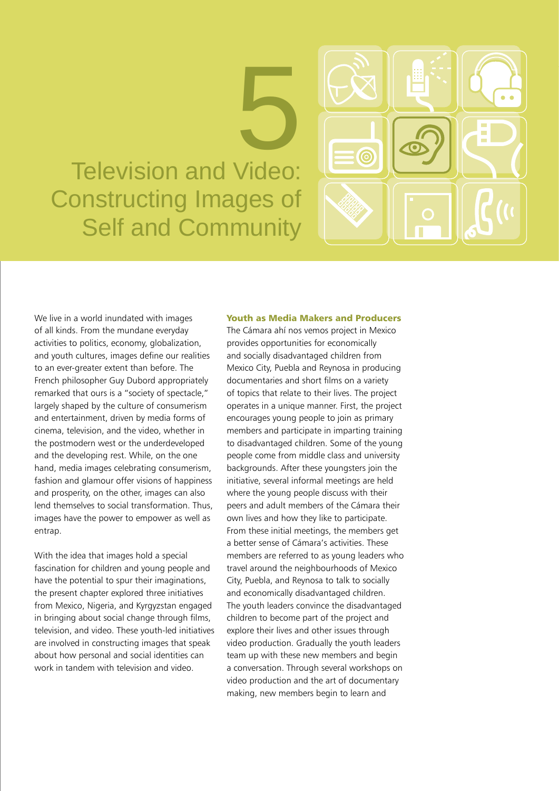Television and Video: Constructing Images of Self and Community 5

We live in a world inundated with images of all kinds. From the mundane everyday activities to politics, economy, globalization, and youth cultures, images define our realities to an ever-greater extent than before. The French philosopher Guy Dubord appropriately remarked that ours is a "society of spectacle," largely shaped by the culture of consumerism and entertainment, driven by media forms of cinema, television, and the video, whether in the postmodern west or the underdeveloped and the developing rest. While, on the one hand, media images celebrating consumerism, fashion and glamour offer visions of happiness and prosperity, on the other, images can also lend themselves to social transformation. Thus, images have the power to empower as well as entrap.

With the idea that images hold a special fascination for children and young people and have the potential to spur their imaginations, the present chapter explored three initiatives from Mexico, Nigeria, and Kyrgyzstan engaged in bringing about social change through films, television, and video. These youth-led initiatives are involved in constructing images that speak about how personal and social identities can work in tandem with television and video.

#### Youth as Media Makers and Producers

The Cámara ahí nos vemos project in Mexico provides opportunities for economically and socially disadvantaged children from Mexico City, Puebla and Reynosa in producing documentaries and short films on a variety of topics that relate to their lives. The project operates in a unique manner. First, the project encourages young people to join as primary members and participate in imparting training to disadvantaged children. Some of the young people come from middle class and university backgrounds. After these youngsters join the initiative, several informal meetings are held where the young people discuss with their peers and adult members of the Cámara their own lives and how they like to participate. From these initial meetings, the members get a better sense of Cámara's activities. These members are referred to as young leaders who travel around the neighbourhoods of Mexico City, Puebla, and Reynosa to talk to socially and economically disadvantaged children. The youth leaders convince the disadvantaged children to become part of the project and explore their lives and other issues through video production. Gradually the youth leaders team up with these new members and begin a conversation. Through several workshops on video production and the art of documentary making, new members begin to learn and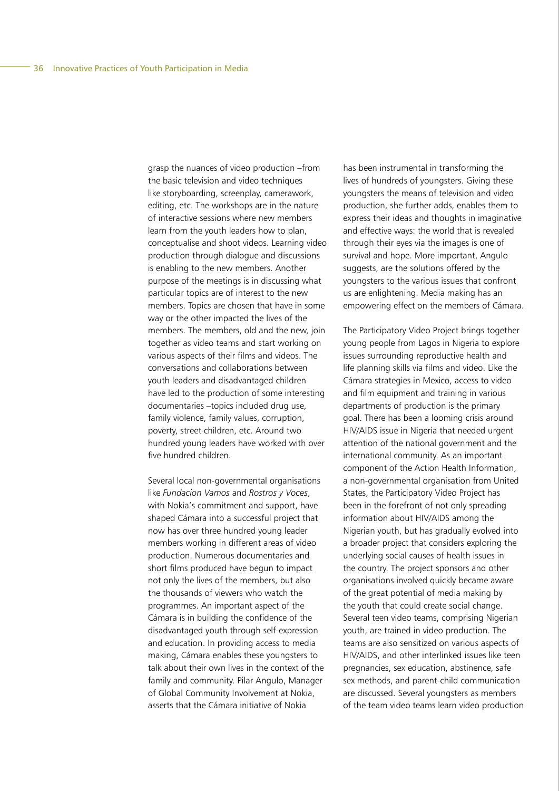grasp the nuances of video production –from the basic television and video techniques like storyboarding, screenplay, camerawork, editing, etc. The workshops are in the nature of interactive sessions where new members learn from the youth leaders how to plan, conceptualise and shoot videos. Learning video production through dialogue and discussions is enabling to the new members. Another purpose of the meetings is in discussing what particular topics are of interest to the new members. Topics are chosen that have in some way or the other impacted the lives of the members. The members, old and the new, join together as video teams and start working on various aspects of their films and videos. The conversations and collaborations between youth leaders and disadvantaged children have led to the production of some interesting documentaries –topics included drug use, family violence, family values, corruption, poverty, street children, etc. Around two hundred young leaders have worked with over five hundred children.

Several local non-governmental organisations like *Fundacion Vamos* and *Rostros y Voces*, with Nokia's commitment and support, have shaped Cámara into a successful project that now has over three hundred young leader members working in different areas of video production. Numerous documentaries and short films produced have begun to impact not only the lives of the members, but also the thousands of viewers who watch the programmes. An important aspect of the Cámara is in building the confidence of the disadvantaged youth through self-expression and education. In providing access to media making, Cámara enables these youngsters to talk about their own lives in the context of the family and community. Pilar Angulo, Manager of Global Community Involvement at Nokia, asserts that the Cámara initiative of Nokia

has been instrumental in transforming the lives of hundreds of youngsters. Giving these youngsters the means of television and video production, she further adds, enables them to express their ideas and thoughts in imaginative and effective ways: the world that is revealed through their eyes via the images is one of survival and hope. More important, Angulo suggests, are the solutions offered by the youngsters to the various issues that confront us are enlightening. Media making has an empowering effect on the members of Cámara.

The Participatory Video Project brings together young people from Lagos in Nigeria to explore issues surrounding reproductive health and life planning skills via films and video. Like the Cámara strategies in Mexico, access to video and film equipment and training in various departments of production is the primary goal. There has been a looming crisis around HIV/AIDS issue in Nigeria that needed urgent attention of the national government and the international community. As an important component of the Action Health Information, a non-governmental organisation from United States, the Participatory Video Project has been in the forefront of not only spreading information about HIV/AIDS among the Nigerian youth, but has gradually evolved into a broader project that considers exploring the underlying social causes of health issues in the country. The project sponsors and other organisations involved quickly became aware of the great potential of media making by the youth that could create social change. Several teen video teams, comprising Nigerian youth, are trained in video production. The teams are also sensitized on various aspects of HIV/AIDS, and other interlinked issues like teen pregnancies, sex education, abstinence, safe sex methods, and parent-child communication are discussed. Several youngsters as members of the team video teams learn video production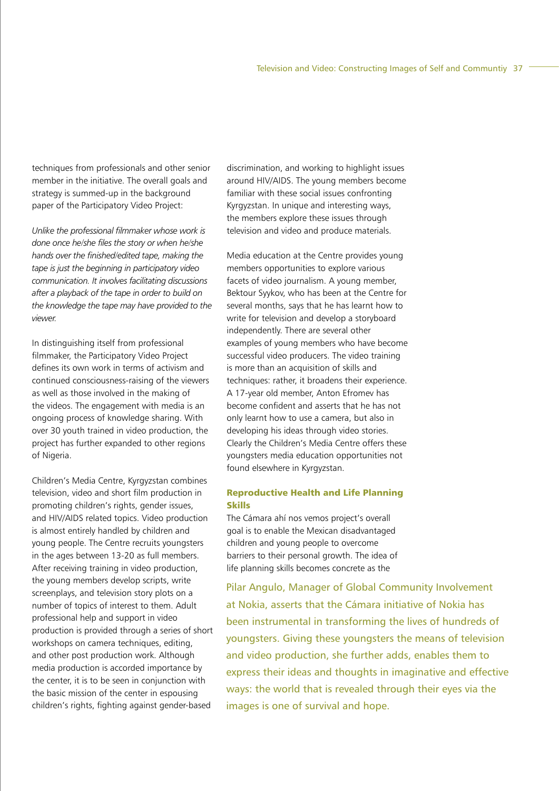techniques from professionals and other senior member in the initiative. The overall goals and strategy is summed-up in the background paper of the Participatory Video Project:

*Unlike the professional filmmaker whose work is done once he/she files the story or when he/she hands over the finished/edited tape, making the tape is just the beginning in participatory video communication. It involves facilitating discussions after a playback of the tape in order to build on the knowledge the tape may have provided to the viewer.*

In distinguishing itself from professional filmmaker, the Participatory Video Project defines its own work in terms of activism and continued consciousness-raising of the viewers as well as those involved in the making of the videos. The engagement with media is an ongoing process of knowledge sharing. With over 30 youth trained in video production, the project has further expanded to other regions of Nigeria.

Children's Media Centre, Kyrgyzstan combines television, video and short film production in promoting children's rights, gender issues, and HIV/AIDS related topics. Video production is almost entirely handled by children and young people. The Centre recruits youngsters in the ages between 13-20 as full members. After receiving training in video production, the young members develop scripts, write screenplays, and television story plots on a number of topics of interest to them. Adult professional help and support in video production is provided through a series of short workshops on camera techniques, editing, and other post production work. Although media production is accorded importance by the center, it is to be seen in conjunction with the basic mission of the center in espousing children's rights, fighting against gender-based

discrimination, and working to highlight issues around HIV/AIDS. The young members become familiar with these social issues confronting Kyrgyzstan. In unique and interesting ways, the members explore these issues through television and video and produce materials.

Media education at the Centre provides young members opportunities to explore various facets of video journalism. A young member, Bektour Syykov, who has been at the Centre for several months, says that he has learnt how to write for television and develop a storyboard independently. There are several other examples of young members who have become successful video producers. The video training is more than an acquisition of skills and techniques: rather, it broadens their experience. A 17-year old member, Anton Efromev has become confident and asserts that he has not only learnt how to use a camera, but also in developing his ideas through video stories. Clearly the Children's Media Centre offers these youngsters media education opportunities not found elsewhere in Kyrgyzstan.

## Reproductive Health and Life Planning Skills

The Cámara ahí nos vemos project's overall goal is to enable the Mexican disadvantaged children and young people to overcome barriers to their personal growth. The idea of life planning skills becomes concrete as the

Pilar Angulo, Manager of Global Community Involvement at Nokia, asserts that the Cámara initiative of Nokia has been instrumental in transforming the lives of hundreds of youngsters. Giving these youngsters the means of television and video production, she further adds, enables them to express their ideas and thoughts in imaginative and effective ways: the world that is revealed through their eyes via the images is one of survival and hope.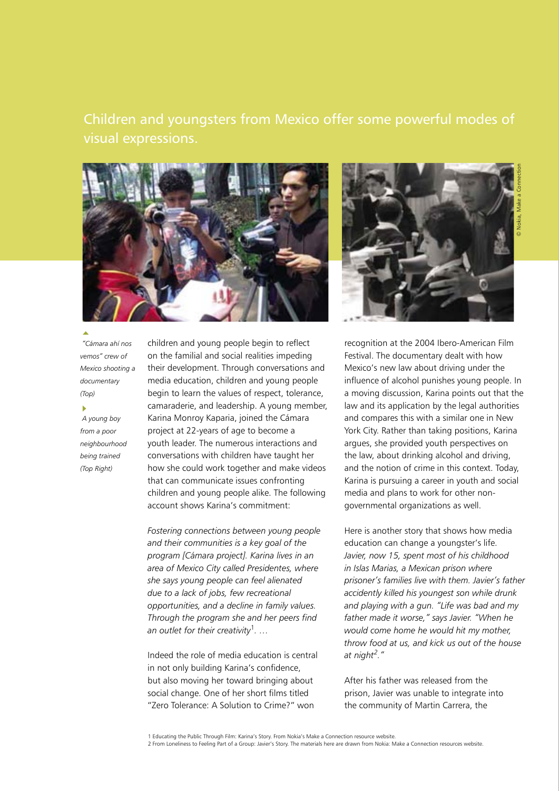# Children and youngsters from Mexico offer some powerful modes of visual expressions.



 *"Cámara ahí nos vemos" crew of Mexico shooting a documentary*

## *(Top)* b

 *A young boy from a poor neighbourhood being trained (Top Right)*

children and young people begin to reflect on the familial and social realities impeding their development. Through conversations and media education, children and young people begin to learn the values of respect, tolerance, camaraderie, and leadership. A young member, Karina Monroy Kaparia, joined the Cámara project at 22-years of age to become a youth leader. The numerous interactions and conversations with children have taught her how she could work together and make videos that can communicate issues confronting children and young people alike. The following account shows Karina's commitment:

*Fostering connections between young people and their communities is a key goal of the program [Cámara project]. Karina lives in an area of Mexico City called Presidentes, where she says young people can feel alienated due to a lack of jobs, few recreational opportunities, and a decline in family values. Through the program she and her peers find an outlet for their creativity*<sup>1</sup> *. …*

Indeed the role of media education is central in not only building Karina's confidence, but also moving her toward bringing about social change. One of her short films titled "Zero Tolerance: A Solution to Crime?" won



recognition at the 2004 Ibero-American Film Festival. The documentary dealt with how Mexico's new law about driving under the influence of alcohol punishes young people. In a moving discussion, Karina points out that the law and its application by the legal authorities and compares this with a similar one in New York City. Rather than taking positions, Karina argues, she provided youth perspectives on the law, about drinking alcohol and driving, and the notion of crime in this context. Today, Karina is pursuing a career in youth and social media and plans to work for other nongovernmental organizations as well.

Here is another story that shows how media education can change a youngster's life. *Javier, now 15, spent most of his childhood in Islas Marias, a Mexican prison where prisoner's families live with them. Javier's father accidently killed his youngest son while drunk and playing with a gun. "Life was bad and my father made it worse," says Javier. "When he would come home he would hit my mother, throw food at us, and kick us out of the house at night<sup>2</sup> ."* 

After his father was released from the prison, Javier was unable to integrate into the community of Martin Carrera, the

2 From Loneliness to Feeling Part of a Group: Javier's Story. The materials here are drawn from Nokia: Make a Connection resources website.

<sup>1</sup> Educating the Public Through Film: Karina's Story. From Nokia's Make a Connection resource website.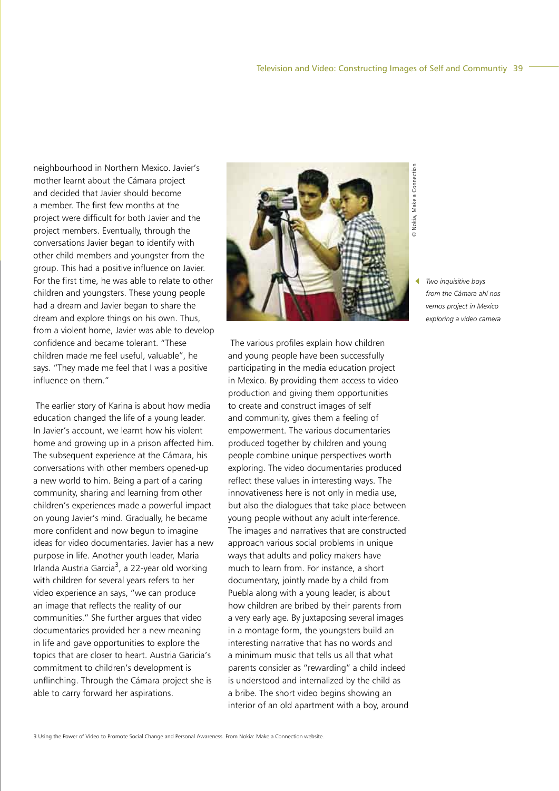neighbourhood in Northern Mexico. Javier's mother learnt about the Cámara project and decided that Javier should become a member. The first few months at the project were difficult for both Javier and the project members. Eventually, through the conversations Javier began to identify with other child members and youngster from the group. This had a positive influence on Javier. For the first time, he was able to relate to other children and youngsters. These young people had a dream and Javier began to share the dream and explore things on his own. Thus, from a violent home, Javier was able to develop confidence and became tolerant. "These children made me feel useful, valuable", he says. "They made me feel that I was a positive influence on them."

 The earlier story of Karina is about how media education changed the life of a young leader. In Javier's account, we learnt how his violent home and growing up in a prison affected him. The subsequent experience at the Cámara, his conversations with other members opened-up a new world to him. Being a part of a caring community, sharing and learning from other children's experiences made a powerful impact on young Javier's mind. Gradually, he became more confident and now begun to imagine ideas for video documentaries. Javier has a new purpose in life. Another youth leader, Maria Irlanda Austria Garcia<sup>3</sup>, a 22-year old working with children for several years refers to her video experience an says, "we can produce an image that reflects the reality of our communities." She further argues that video documentaries provided her a new meaning in life and gave opportunities to explore the topics that are closer to heart. Austria Garicia's commitment to children's development is unflinching. Through the Cámara project she is able to carry forward her aspirations.



 The various profiles explain how children and young people have been successfully participating in the media education project in Mexico. By providing them access to video production and giving them opportunities to create and construct images of self and community, gives them a feeling of empowerment. The various documentaries produced together by children and young people combine unique perspectives worth exploring. The video documentaries produced reflect these values in interesting ways. The innovativeness here is not only in media use, but also the dialogues that take place between young people without any adult interference. The images and narratives that are constructed approach various social problems in unique ways that adults and policy makers have much to learn from. For instance, a short documentary, jointly made by a child from Puebla along with a young leader, is about how children are bribed by their parents from a very early age. By juxtaposing several images in a montage form, the youngsters build an interesting narrative that has no words and a minimum music that tells us all that what parents consider as "rewarding" a child indeed is understood and internalized by the child as a bribe. The short video begins showing an interior of an old apartment with a boy, around *Two inquisitive boys from the Cámara ahí nos vemos project in Mexico exploring a video camera*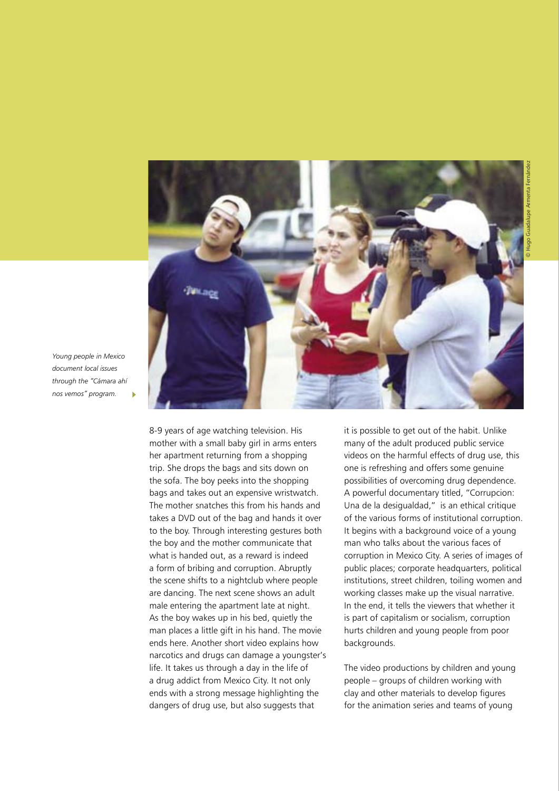

*Young people in Mexico document local issues through the "Cámara ahí nos vemos" program.*

> 8-9 years of age watching television. His mother with a small baby girl in arms enters her apartment returning from a shopping trip. She drops the bags and sits down on the sofa. The boy peeks into the shopping bags and takes out an expensive wristwatch. The mother snatches this from his hands and takes a DVD out of the bag and hands it over to the boy. Through interesting gestures both the boy and the mother communicate that what is handed out, as a reward is indeed a form of bribing and corruption. Abruptly the scene shifts to a nightclub where people are dancing. The next scene shows an adult male entering the apartment late at night. As the boy wakes up in his bed, quietly the man places a little gift in his hand. The movie ends here. Another short video explains how narcotics and drugs can damage a youngster's life. It takes us through a day in the life of a drug addict from Mexico City. It not only ends with a strong message highlighting the dangers of drug use, but also suggests that

it is possible to get out of the habit. Unlike many of the adult produced public service videos on the harmful effects of drug use, this one is refreshing and offers some genuine possibilities of overcoming drug dependence. A powerful documentary titled, "Corrupcion: Una de la desigualdad," is an ethical critique of the various forms of institutional corruption. It begins with a background voice of a young man who talks about the various faces of corruption in Mexico City. A series of images of public places; corporate headquarters, political institutions, street children, toiling women and working classes make up the visual narrative. In the end, it tells the viewers that whether it is part of capitalism or socialism, corruption hurts children and young people from poor backgrounds.

The video productions by children and young people – groups of children working with clay and other materials to develop figures for the animation series and teams of young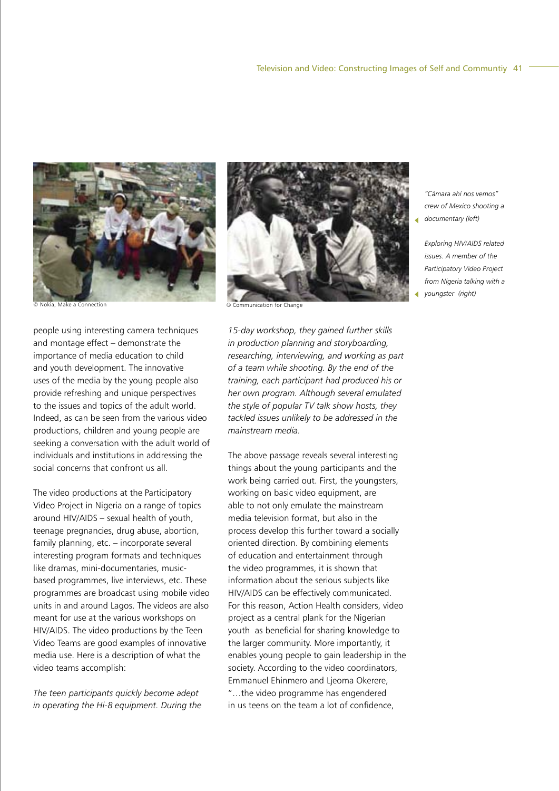

people using interesting camera techniques and montage effect – demonstrate the importance of media education to child and youth development. The innovative uses of the media by the young people also provide refreshing and unique perspectives to the issues and topics of the adult world. Indeed, as can be seen from the various video productions, children and young people are seeking a conversation with the adult world of individuals and institutions in addressing the social concerns that confront us all.

The video productions at the Participatory Video Project in Nigeria on a range of topics around HIV/AIDS – sexual health of youth, teenage pregnancies, drug abuse, abortion, family planning, etc. – incorporate several interesting program formats and techniques like dramas, mini-documentaries, musicbased programmes, live interviews, etc. These programmes are broadcast using mobile video units in and around Lagos. The videos are also meant for use at the various workshops on HIV/AIDS. The video productions by the Teen Video Teams are good examples of innovative media use. Here is a description of what the video teams accomplish:

*The teen participants quickly become adept in operating the Hi-8 equipment. During the* 



*15-day workshop, they gained further skills in production planning and storyboarding, researching, interviewing, and working as part of a team while shooting. By the end of the training, each participant had produced his or her own program. Although several emulated the style of popular TV talk show hosts, they tackled issues unlikely to be addressed in the mainstream media.*

The above passage reveals several interesting things about the young participants and the work being carried out. First, the youngsters, working on basic video equipment, are able to not only emulate the mainstream media television format, but also in the process develop this further toward a socially oriented direction. By combining elements of education and entertainment through the video programmes, it is shown that information about the serious subjects like HIV/AIDS can be effectively communicated. For this reason, Action Health considers, video project as a central plank for the Nigerian youth as beneficial for sharing knowledge to the larger community. More importantly, it enables young people to gain leadership in the society. According to the video coordinators, Emmanuel Ehinmero and Ljeoma Okerere, "…the video programme has engendered in us teens on the team a lot of confidence,

*"Cámara ahí nos vemos" crew of Mexico shooting a documentary (left)*

*Exploring HIV/AIDS related issues. A member of the Participatory Video Project from Nigeria talking with a youngster (right)*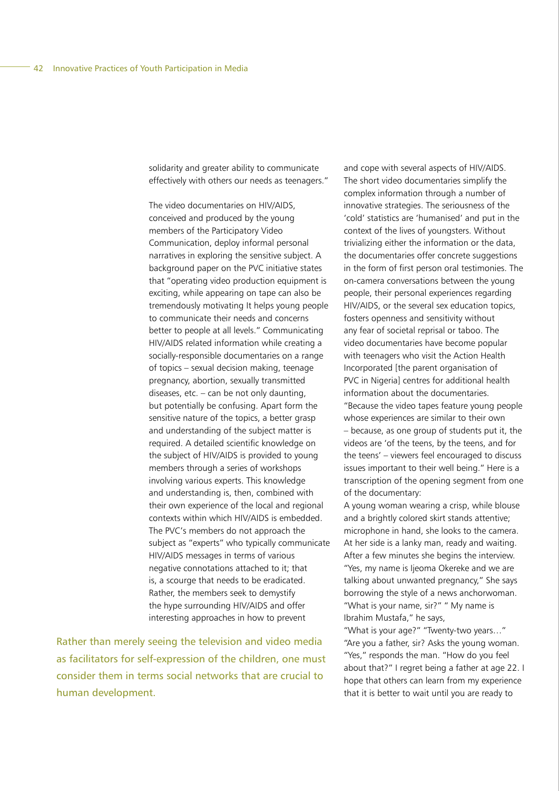solidarity and greater ability to communicate effectively with others our needs as teenagers."

The video documentaries on HIV/AIDS, conceived and produced by the young members of the Participatory Video Communication, deploy informal personal narratives in exploring the sensitive subject. A background paper on the PVC initiative states that "operating video production equipment is exciting, while appearing on tape can also be tremendously motivating It helps young people to communicate their needs and concerns better to people at all levels." Communicating HIV/AIDS related information while creating a socially-responsible documentaries on a range of topics – sexual decision making, teenage pregnancy, abortion, sexually transmitted diseases, etc. – can be not only daunting, but potentially be confusing. Apart form the sensitive nature of the topics, a better grasp and understanding of the subject matter is required. A detailed scientific knowledge on the subject of HIV/AIDS is provided to young members through a series of workshops involving various experts. This knowledge and understanding is, then, combined with their own experience of the local and regional contexts within which HIV/AIDS is embedded. The PVC's members do not approach the subject as "experts" who typically communicate HIV/AIDS messages in terms of various negative connotations attached to it; that is, a scourge that needs to be eradicated. Rather, the members seek to demystify the hype surrounding HIV/AIDS and offer interesting approaches in how to prevent

Rather than merely seeing the television and video media as facilitators for self-expression of the children, one must consider them in terms social networks that are crucial to human development.

and cope with several aspects of HIV/AIDS. The short video documentaries simplify the complex information through a number of innovative strategies. The seriousness of the 'cold' statistics are 'humanised' and put in the context of the lives of youngsters. Without trivializing either the information or the data, the documentaries offer concrete suggestions in the form of first person oral testimonies. The on-camera conversations between the young people, their personal experiences regarding HIV/AIDS, or the several sex education topics, fosters openness and sensitivity without any fear of societal reprisal or taboo. The video documentaries have become popular with teenagers who visit the Action Health Incorporated [the parent organisation of PVC in Nigeria] centres for additional health information about the documentaries. "Because the video tapes feature young people whose experiences are similar to their own – because, as one group of students put it, the videos are 'of the teens, by the teens, and for the teens' – viewers feel encouraged to discuss issues important to their well being." Here is a transcription of the opening segment from one of the documentary:

A young woman wearing a crisp, while blouse and a brightly colored skirt stands attentive; microphone in hand, she looks to the camera. At her side is a lanky man, ready and waiting. After a few minutes she begins the interview. "Yes, my name is Ijeoma Okereke and we are talking about unwanted pregnancy," She says borrowing the style of a news anchorwoman. "What is your name, sir?" " My name is Ibrahim Mustafa," he says,

"What is your age?" "Twenty-two years…" "Are you a father, sir? Asks the young woman. "Yes," responds the man. "How do you feel about that?" I regret being a father at age 22. I hope that others can learn from my experience that it is better to wait until you are ready to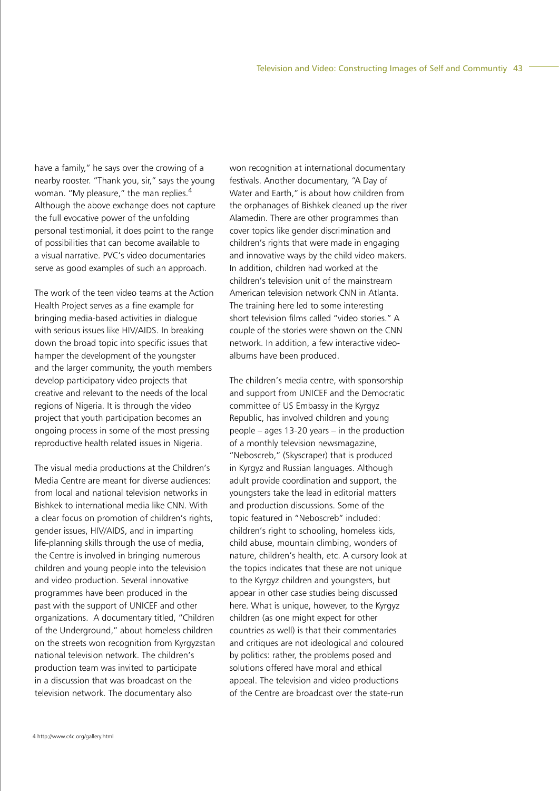have a family," he says over the crowing of a nearby rooster. "Thank you, sir," says the young woman. "My pleasure," the man replies.<sup>4</sup> Although the above exchange does not capture the full evocative power of the unfolding personal testimonial, it does point to the range of possibilities that can become available to a visual narrative. PVC's video documentaries serve as good examples of such an approach.

The work of the teen video teams at the Action Health Project serves as a fine example for bringing media-based activities in dialogue with serious issues like HIV/AIDS. In breaking down the broad topic into specific issues that hamper the development of the youngster and the larger community, the youth members develop participatory video projects that creative and relevant to the needs of the local regions of Nigeria. It is through the video project that youth participation becomes an ongoing process in some of the most pressing reproductive health related issues in Nigeria.

The visual media productions at the Children's Media Centre are meant for diverse audiences: from local and national television networks in Bishkek to international media like CNN. With a clear focus on promotion of children's rights, gender issues, HIV/AIDS, and in imparting life-planning skills through the use of media, the Centre is involved in bringing numerous children and young people into the television and video production. Several innovative programmes have been produced in the past with the support of UNICEF and other organizations. A documentary titled, "Children of the Underground," about homeless children on the streets won recognition from Kyrgyzstan national television network. The children's production team was invited to participate in a discussion that was broadcast on the television network. The documentary also

won recognition at international documentary festivals. Another documentary, "A Day of Water and Earth," is about how children from the orphanages of Bishkek cleaned up the river Alamedin. There are other programmes than cover topics like gender discrimination and children's rights that were made in engaging and innovative ways by the child video makers. In addition, children had worked at the children's television unit of the mainstream American television network CNN in Atlanta. The training here led to some interesting short television films called "video stories." A couple of the stories were shown on the CNN network. In addition, a few interactive videoalbums have been produced.

The children's media centre, with sponsorship and support from UNICEF and the Democratic committee of US Embassy in the Kyrgyz Republic, has involved children and young people – ages 13-20 years – in the production of a monthly television newsmagazine, "Neboscreb," (Skyscraper) that is produced in Kyrgyz and Russian languages. Although adult provide coordination and support, the youngsters take the lead in editorial matters and production discussions. Some of the topic featured in "Neboscreb" included: children's right to schooling, homeless kids, child abuse, mountain climbing, wonders of nature, children's health, etc. A cursory look at the topics indicates that these are not unique to the Kyrgyz children and youngsters, but appear in other case studies being discussed here. What is unique, however, to the Kyrgyz children (as one might expect for other countries as well) is that their commentaries and critiques are not ideological and coloured by politics: rather, the problems posed and solutions offered have moral and ethical appeal. The television and video productions of the Centre are broadcast over the state-run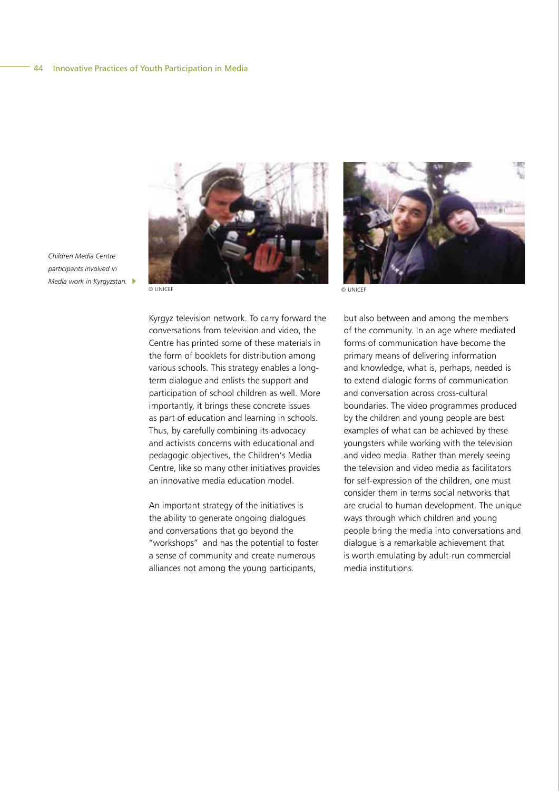



*Children Media Centre participants involved in Media work in Kyrgyzstan.*

Kyrgyz television network. To carry forward the conversations from television and video, the Centre has printed some of these materials in the form of booklets for distribution among various schools. This strategy enables a longterm dialogue and enlists the support and participation of school children as well. More importantly, it brings these concrete issues as part of education and learning in schools. Thus, by carefully combining its advocacy and activists concerns with educational and pedagogic objectives, the Children's Media Centre, like so many other initiatives provides an innovative media education model.

An important strategy of the initiatives is the ability to generate ongoing dialogues and conversations that go beyond the "workshops" and has the potential to foster a sense of community and create numerous alliances not among the young participants,

but also between and among the members of the community. In an age where mediated forms of communication have become the primary means of delivering information and knowledge, what is, perhaps, needed is to extend dialogic forms of communication and conversation across cross-cultural boundaries. The video programmes produced by the children and young people are best examples of what can be achieved by these youngsters while working with the television and video media. Rather than merely seeing the television and video media as facilitators for self-expression of the children, one must consider them in terms social networks that are crucial to human development. The unique ways through which children and young people bring the media into conversations and dialogue is a remarkable achievement that is worth emulating by adult-run commercial media institutions.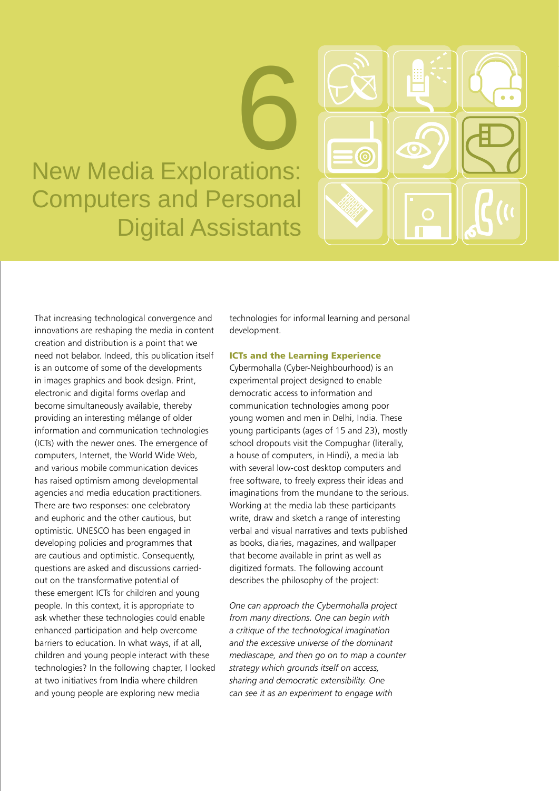New Media Explorations: Computers and Personal Digital Assistants 6

That increasing technological convergence and innovations are reshaping the media in content creation and distribution is a point that we need not belabor. Indeed, this publication itself is an outcome of some of the developments in images graphics and book design. Print, electronic and digital forms overlap and become simultaneously available, thereby providing an interesting mélange of older information and communication technologies (ICTs) with the newer ones. The emergence of computers, Internet, the World Wide Web, and various mobile communication devices has raised optimism among developmental agencies and media education practitioners. There are two responses: one celebratory and euphoric and the other cautious, but optimistic. UNESCO has been engaged in developing policies and programmes that are cautious and optimistic. Consequently, questions are asked and discussions carriedout on the transformative potential of these emergent ICTs for children and young people. In this context, it is appropriate to ask whether these technologies could enable enhanced participation and help overcome barriers to education. In what ways, if at all, children and young people interact with these technologies? In the following chapter, I looked at two initiatives from India where children and young people are exploring new media

technologies for informal learning and personal development.

## ICTs and the Learning Experience

Cybermohalla (Cyber-Neighbourhood) is an experimental project designed to enable democratic access to information and communication technologies among poor young women and men in Delhi, India. These young participants (ages of 15 and 23), mostly school dropouts visit the Compughar (literally, a house of computers, in Hindi), a media lab with several low-cost desktop computers and free software, to freely express their ideas and imaginations from the mundane to the serious. Working at the media lab these participants write, draw and sketch a range of interesting verbal and visual narratives and texts published as books, diaries, magazines, and wallpaper that become available in print as well as digitized formats. The following account describes the philosophy of the project:

*One can approach the Cybermohalla project from many directions. One can begin with a critique of the technological imagination and the excessive universe of the dominant mediascape, and then go on to map a counter strategy which grounds itself on access, sharing and democratic extensibility. One can see it as an experiment to engage with*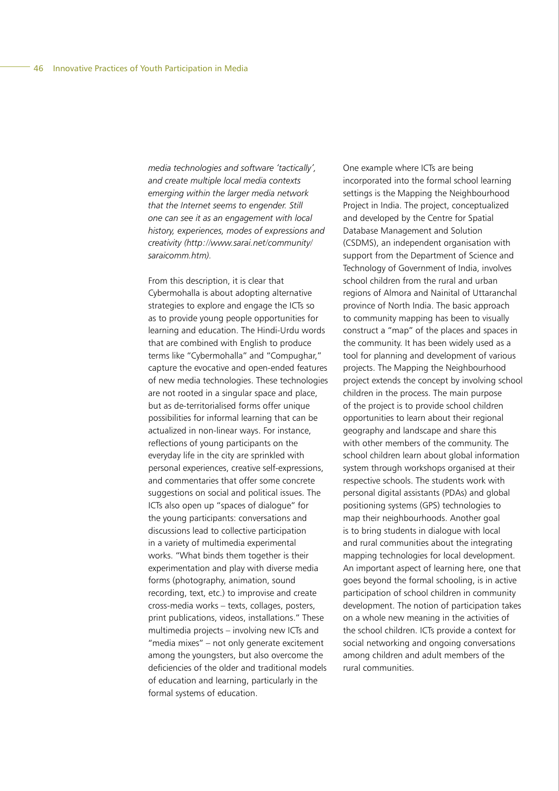*media technologies and software 'tactically', and create multiple local media contexts emerging within the larger media network that the Internet seems to engender. Still one can see it as an engagement with local history, experiences, modes of expressions and creativity (http://www.sarai.net/community/ saraicomm.htm).*

From this description, it is clear that Cybermohalla is about adopting alternative strategies to explore and engage the ICTs so as to provide young people opportunities for learning and education. The Hindi-Urdu words that are combined with English to produce terms like "Cybermohalla" and "Compughar," capture the evocative and open-ended features of new media technologies. These technologies are not rooted in a singular space and place, but as de-territorialised forms offer unique possibilities for informal learning that can be actualized in non-linear ways. For instance, reflections of young participants on the everyday life in the city are sprinkled with personal experiences, creative self-expressions, and commentaries that offer some concrete suggestions on social and political issues. The ICTs also open up "spaces of dialogue" for the young participants: conversations and discussions lead to collective participation in a variety of multimedia experimental works. "What binds them together is their experimentation and play with diverse media forms (photography, animation, sound recording, text, etc.) to improvise and create cross-media works – texts, collages, posters, print publications, videos, installations." These multimedia projects – involving new ICTs and "media mixes" – not only generate excitement among the youngsters, but also overcome the deficiencies of the older and traditional models of education and learning, particularly in the formal systems of education.

One example where ICTs are being incorporated into the formal school learning settings is the Mapping the Neighbourhood Project in India. The project, conceptualized and developed by the Centre for Spatial Database Management and Solution (CSDMS), an independent organisation with support from the Department of Science and Technology of Government of India, involves school children from the rural and urban regions of Almora and Nainital of Uttaranchal province of North India. The basic approach to community mapping has been to visually construct a "map" of the places and spaces in the community. It has been widely used as a tool for planning and development of various projects. The Mapping the Neighbourhood project extends the concept by involving school children in the process. The main purpose of the project is to provide school children opportunities to learn about their regional geography and landscape and share this with other members of the community. The school children learn about global information system through workshops organised at their respective schools. The students work with personal digital assistants (PDAs) and global positioning systems (GPS) technologies to map their neighbourhoods. Another goal is to bring students in dialogue with local and rural communities about the integrating mapping technologies for local development. An important aspect of learning here, one that goes beyond the formal schooling, is in active participation of school children in community development. The notion of participation takes on a whole new meaning in the activities of the school children. ICTs provide a context for social networking and ongoing conversations among children and adult members of the rural communities.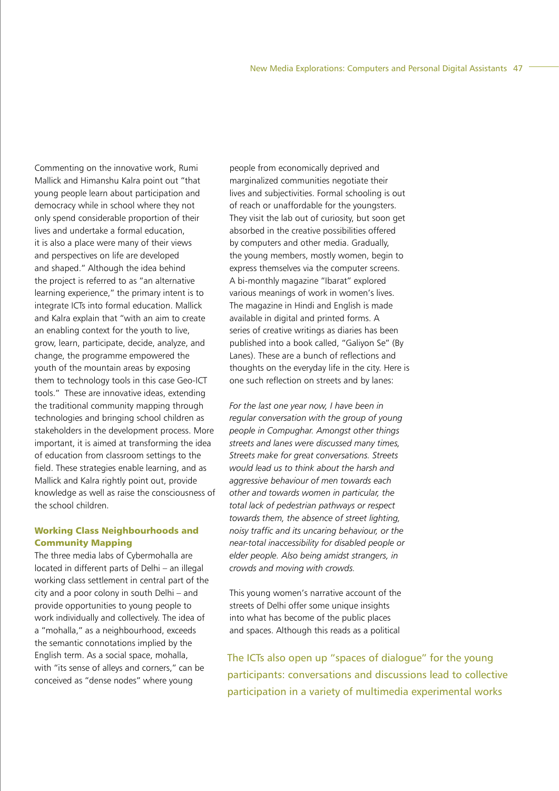Commenting on the innovative work, Rumi Mallick and Himanshu Kalra point out "that young people learn about participation and democracy while in school where they not only spend considerable proportion of their lives and undertake a formal education, it is also a place were many of their views and perspectives on life are developed and shaped." Although the idea behind the project is referred to as "an alternative learning experience," the primary intent is to integrate ICTs into formal education. Mallick and Kalra explain that "with an aim to create an enabling context for the youth to live, grow, learn, participate, decide, analyze, and change, the programme empowered the youth of the mountain areas by exposing them to technology tools in this case Geo-ICT tools." These are innovative ideas, extending the traditional community mapping through technologies and bringing school children as stakeholders in the development process. More important, it is aimed at transforming the idea of education from classroom settings to the field. These strategies enable learning, and as Mallick and Kalra rightly point out, provide knowledge as well as raise the consciousness of the school children.

## Working Class Neighbourhoods and Community Mapping

The three media labs of Cybermohalla are located in different parts of Delhi – an illegal working class settlement in central part of the city and a poor colony in south Delhi – and provide opportunities to young people to work individually and collectively. The idea of a "mohalla," as a neighbourhood, exceeds the semantic connotations implied by the English term. As a social space, mohalla, with "its sense of alleys and corners," can be conceived as "dense nodes" where young

people from economically deprived and marginalized communities negotiate their lives and subjectivities. Formal schooling is out of reach or unaffordable for the youngsters. They visit the lab out of curiosity, but soon get absorbed in the creative possibilities offered by computers and other media. Gradually, the young members, mostly women, begin to express themselves via the computer screens. A bi-monthly magazine "Ibarat" explored various meanings of work in women's lives. The magazine in Hindi and English is made available in digital and printed forms. A series of creative writings as diaries has been published into a book called, "Galiyon Se" (By Lanes). These are a bunch of reflections and thoughts on the everyday life in the city. Here is one such reflection on streets and by lanes:

*For the last one year now, I have been in regular conversation with the group of young people in Compughar. Amongst other things streets and lanes were discussed many times, Streets make for great conversations. Streets would lead us to think about the harsh and aggressive behaviour of men towards each other and towards women in particular, the total lack of pedestrian pathways or respect towards them, the absence of street lighting, noisy traffic and its uncaring behaviour, or the near-total inaccessibility for disabled people or elder people. Also being amidst strangers, in crowds and moving with crowds.*

This young women's narrative account of the streets of Delhi offer some unique insights into what has become of the public places and spaces. Although this reads as a political

The ICTs also open up "spaces of dialogue" for the young participants: conversations and discussions lead to collective participation in a variety of multimedia experimental works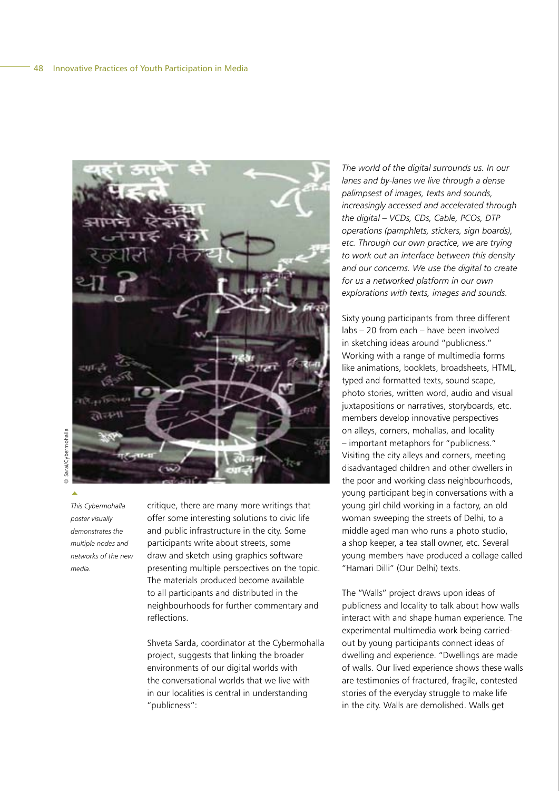

Sarai/Cybermohalla © Sarai/Cybermohalla

> *This Cybermohalla poster visually demonstrates the multiple nodes and networks of the new media.*

critique, there are many more writings that offer some interesting solutions to civic life and public infrastructure in the city. Some participants write about streets, some draw and sketch using graphics software presenting multiple perspectives on the topic. The materials produced become available to all participants and distributed in the neighbourhoods for further commentary and reflections.

Shveta Sarda, coordinator at the Cybermohalla project, suggests that linking the broader environments of our digital worlds with the conversational worlds that we live with in our localities is central in understanding "publicness":

*The world of the digital surrounds us. In our lanes and by-lanes we live through a dense palimpsest of images, texts and sounds, increasingly accessed and accelerated through the digital – VCDs, CDs, Cable, PCOs, DTP operations (pamphlets, stickers, sign boards), etc. Through our own practice, we are trying to work out an interface between this density and our concerns. We use the digital to create for us a networked platform in our own explorations with texts, images and sounds.* 

Sixty young participants from three different labs – 20 from each – have been involved in sketching ideas around "publicness." Working with a range of multimedia forms like animations, booklets, broadsheets, HTML, typed and formatted texts, sound scape, photo stories, written word, audio and visual juxtapositions or narratives, storyboards, etc. members develop innovative perspectives on alleys, corners, mohallas, and locality – important metaphors for "publicness." Visiting the city alleys and corners, meeting disadvantaged children and other dwellers in the poor and working class neighbourhoods, young participant begin conversations with a young girl child working in a factory, an old woman sweeping the streets of Delhi, to a middle aged man who runs a photo studio, a shop keeper, a tea stall owner, etc. Several young members have produced a collage called "Hamari Dilli" (Our Delhi) texts.

The "Walls" project draws upon ideas of publicness and locality to talk about how walls interact with and shape human experience. The experimental multimedia work being carriedout by young participants connect ideas of dwelling and experience. "Dwellings are made of walls. Our lived experience shows these walls are testimonies of fractured, fragile, contested stories of the everyday struggle to make life in the city. Walls are demolished. Walls get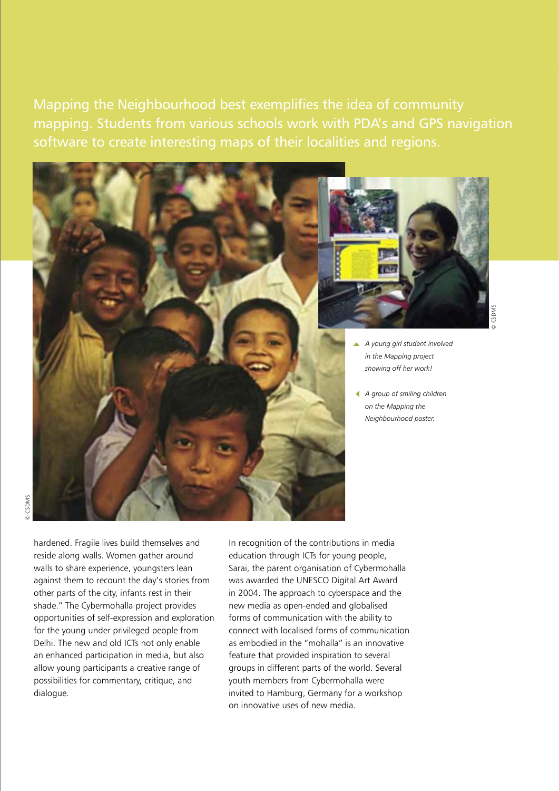Mapping the Neighbourhood best exemplifies the idea of community mapping. Students from various schools work with PDA's and GPS navigation software to create interesting maps of their localities and regions.





*A young girl student involved in the Mapping project showing off her work!*

hardened. Fragile lives build themselves and reside along walls. Women gather around walls to share experience, youngsters lean against them to recount the day's stories from other parts of the city, infants rest in their shade." The Cybermohalla project provides opportunities of self-expression and exploration for the young under privileged people from Delhi. The new and old ICTs not only enable an enhanced participation in media, but also allow young participants a creative range of possibilities for commentary, critique, and dialogue.

In recognition of the contributions in media education through ICTs for young people, Sarai, the parent organisation of Cybermohalla was awarded the UNESCO Digital Art Award in 2004. The approach to cyberspace and the new media as open-ended and globalised forms of communication with the ability to connect with localised forms of communication as embodied in the "mohalla" is an innovative feature that provided inspiration to several groups in different parts of the world. Several youth members from Cybermohalla were invited to Hamburg, Germany for a workshop on innovative uses of new media.

*A group of smiling children on the Mapping the Neighbourhood poster.*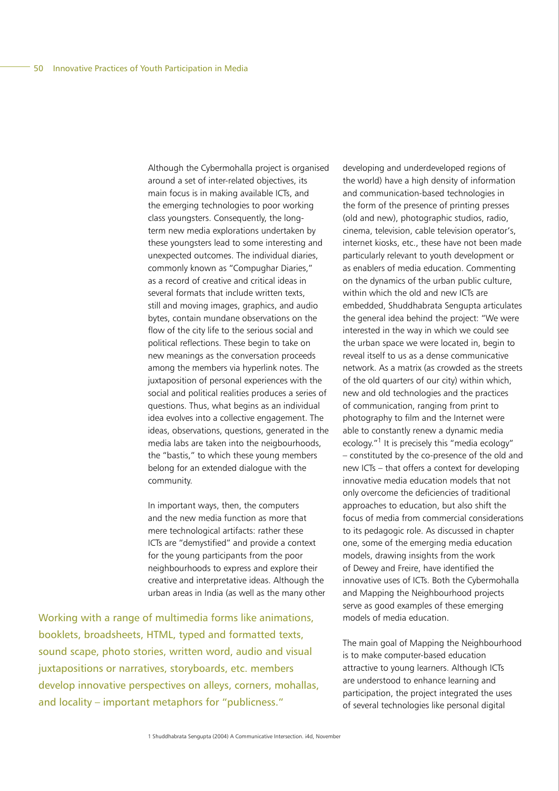Although the Cybermohalla project is organised around a set of inter-related objectives, its main focus is in making available ICTs, and the emerging technologies to poor working class youngsters. Consequently, the longterm new media explorations undertaken by these youngsters lead to some interesting and unexpected outcomes. The individual diaries, commonly known as "Compughar Diaries," as a record of creative and critical ideas in several formats that include written texts, still and moving images, graphics, and audio bytes, contain mundane observations on the flow of the city life to the serious social and political reflections. These begin to take on new meanings as the conversation proceeds among the members via hyperlink notes. The juxtaposition of personal experiences with the social and political realities produces a series of questions. Thus, what begins as an individual idea evolves into a collective engagement. The ideas, observations, questions, generated in the media labs are taken into the neigbourhoods, the "bastis," to which these young members belong for an extended dialogue with the community.

In important ways, then, the computers and the new media function as more that mere technological artifacts: rather these ICTs are "demystified" and provide a context for the young participants from the poor neighbourhoods to express and explore their creative and interpretative ideas. Although the urban areas in India (as well as the many other

Working with a range of multimedia forms like animations, booklets, broadsheets, HTML, typed and formatted texts, sound scape, photo stories, written word, audio and visual juxtapositions or narratives, storyboards, etc. members develop innovative perspectives on alleys, corners, mohallas, and locality – important metaphors for "publicness."

developing and underdeveloped regions of the world) have a high density of information and communication-based technologies in the form of the presence of printing presses (old and new), photographic studios, radio, cinema, television, cable television operator's, internet kiosks, etc., these have not been made particularly relevant to youth development or as enablers of media education. Commenting on the dynamics of the urban public culture, within which the old and new ICTs are embedded, Shuddhabrata Sengupta articulates the general idea behind the project: "We were interested in the way in which we could see the urban space we were located in, begin to reveal itself to us as a dense communicative network. As a matrix (as crowded as the streets of the old quarters of our city) within which, new and old technologies and the practices of communication, ranging from print to photography to film and the Internet were able to constantly renew a dynamic media ecology."<sup>1</sup> It is precisely this "media ecology" – constituted by the co-presence of the old and new ICTs – that offers a context for developing innovative media education models that not only overcome the deficiencies of traditional approaches to education, but also shift the focus of media from commercial considerations to its pedagogic role. As discussed in chapter one, some of the emerging media education models, drawing insights from the work of Dewey and Freire, have identified the innovative uses of ICTs. Both the Cybermohalla and Mapping the Neighbourhood projects serve as good examples of these emerging models of media education.

The main goal of Mapping the Neighbourhood is to make computer-based education attractive to young learners. Although ICTs are understood to enhance learning and participation, the project integrated the uses of several technologies like personal digital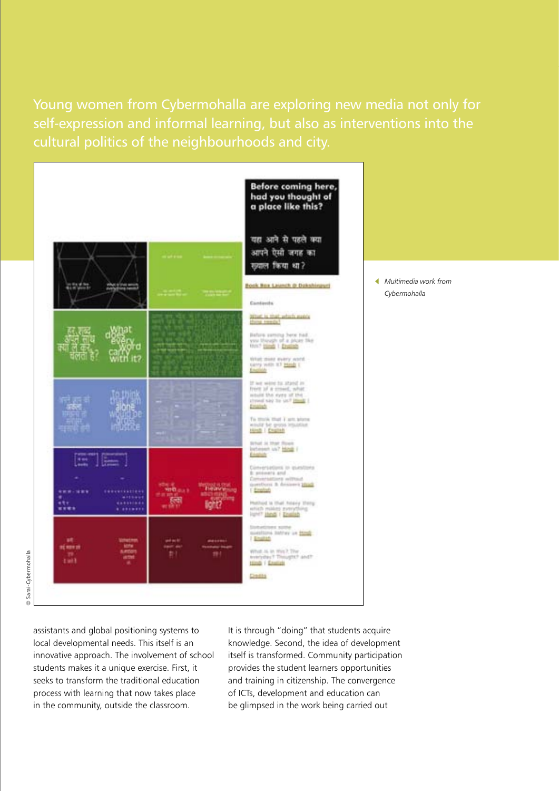Young women from Cybermohalla are exploring new media not only for self-expression and informal learning, but also as interventions into the cultural politics of the neighbourhoods and city.



*Multimedia work from Cybermohalla*

assistants and global positioning systems to local developmental needs. This itself is an innovative approach. The involvement of school students makes it a unique exercise. First, it seeks to transform the traditional education process with learning that now takes place in the community, outside the classroom.

It is through "doing" that students acquire knowledge. Second, the idea of development itself is transformed. Community participation provides the student learners opportunities and training in citizenship. The convergence of ICTs, development and education can be glimpsed in the work being carried out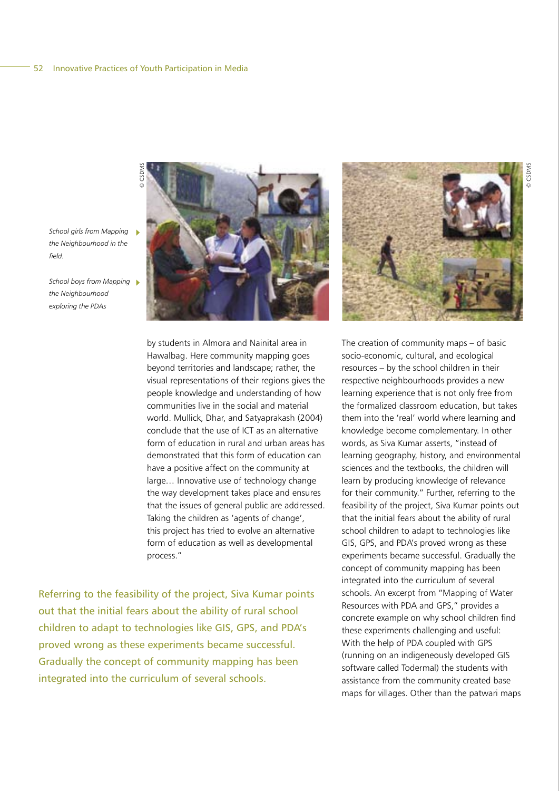*School girls from Mapping the Neighbourhood in the field.*

*School boys from Mapping the Neighbourhood exploring the PDAs*



by students in Almora and Nainital area in Hawalbag. Here community mapping goes beyond territories and landscape; rather, the visual representations of their regions gives the people knowledge and understanding of how communities live in the social and material world. Mullick, Dhar, and Satyaprakash (2004) conclude that the use of ICT as an alternative form of education in rural and urban areas has demonstrated that this form of education can have a positive affect on the community at large… Innovative use of technology change the way development takes place and ensures that the issues of general public are addressed. Taking the children as 'agents of change', this project has tried to evolve an alternative form of education as well as developmental process."

Referring to the feasibility of the project, Siva Kumar points out that the initial fears about the ability of rural school children to adapt to technologies like GIS, GPS, and PDA's proved wrong as these experiments became successful. Gradually the concept of community mapping has been integrated into the curriculum of several schools.



© CSDMS

The creation of community maps – of basic socio-economic, cultural, and ecological resources – by the school children in their respective neighbourhoods provides a new learning experience that is not only free from the formalized classroom education, but takes them into the 'real' world where learning and knowledge become complementary. In other words, as Siva Kumar asserts, "instead of learning geography, history, and environmental sciences and the textbooks, the children will learn by producing knowledge of relevance for their community." Further, referring to the feasibility of the project, Siva Kumar points out that the initial fears about the ability of rural school children to adapt to technologies like GIS, GPS, and PDA's proved wrong as these experiments became successful. Gradually the concept of community mapping has been integrated into the curriculum of several schools. An excerpt from "Mapping of Water Resources with PDA and GPS," provides a concrete example on why school children find these experiments challenging and useful: With the help of PDA coupled with GPS (running on an indigeneously developed GIS software called Todermal) the students with assistance from the community created base maps for villages. Other than the patwari maps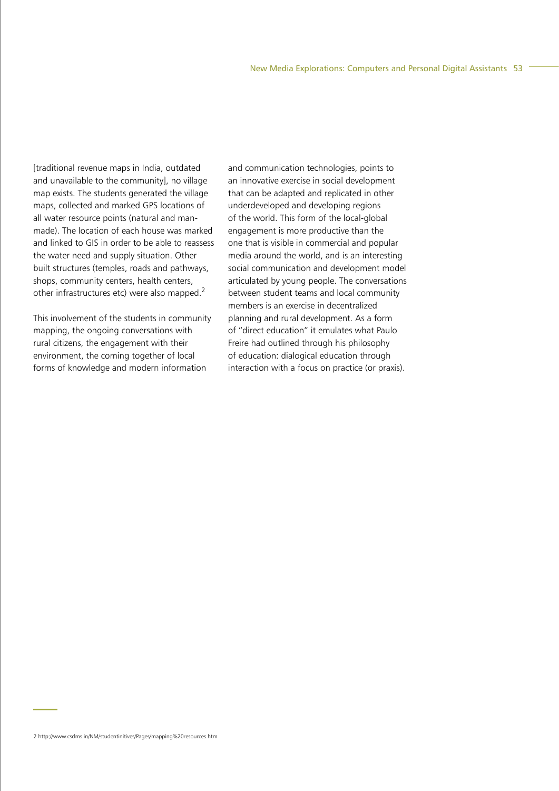[traditional revenue maps in India, outdated and unavailable to the community], no village map exists. The students generated the village maps, collected and marked GPS locations of all water resource points (natural and manmade). The location of each house was marked and linked to GIS in order to be able to reassess the water need and supply situation. Other built structures (temples, roads and pathways, shops, community centers, health centers, other infrastructures etc) were also mapped.<sup>2</sup>

This involvement of the students in community mapping, the ongoing conversations with rural citizens, the engagement with their environment, the coming together of local forms of knowledge and modern information

and communication technologies, points to an innovative exercise in social development that can be adapted and replicated in other underdeveloped and developing regions of the world. This form of the local-global engagement is more productive than the one that is visible in commercial and popular media around the world, and is an interesting social communication and development model articulated by young people. The conversations between student teams and local community members is an exercise in decentralized planning and rural development. As a form of "direct education" it emulates what Paulo Freire had outlined through his philosophy of education: dialogical education through interaction with a focus on practice (or praxis).

<sup>2</sup> http://www.csdms.in/NM/studentinitives/Pages/mapping%20resources.htm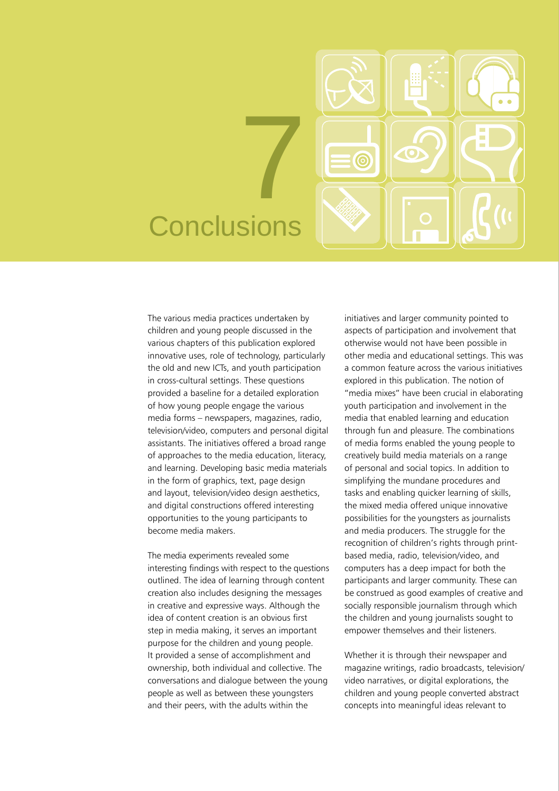

The various media practices undertaken by children and young people discussed in the various chapters of this publication explored innovative uses, role of technology, particularly the old and new ICTs, and youth participation in cross-cultural settings. These questions provided a baseline for a detailed exploration of how young people engage the various media forms – newspapers, magazines, radio, television/video, computers and personal digital assistants. The initiatives offered a broad range of approaches to the media education, literacy, and learning. Developing basic media materials in the form of graphics, text, page design and layout, television/video design aesthetics, and digital constructions offered interesting opportunities to the young participants to become media makers.

The media experiments revealed some interesting findings with respect to the questions outlined. The idea of learning through content creation also includes designing the messages in creative and expressive ways. Although the idea of content creation is an obvious first step in media making, it serves an important purpose for the children and young people. It provided a sense of accomplishment and ownership, both individual and collective. The conversations and dialogue between the young people as well as between these youngsters and their peers, with the adults within the

initiatives and larger community pointed to aspects of participation and involvement that otherwise would not have been possible in other media and educational settings. This was a common feature across the various initiatives explored in this publication. The notion of "media mixes" have been crucial in elaborating youth participation and involvement in the media that enabled learning and education through fun and pleasure. The combinations of media forms enabled the young people to creatively build media materials on a range of personal and social topics. In addition to simplifying the mundane procedures and tasks and enabling quicker learning of skills, the mixed media offered unique innovative possibilities for the youngsters as journalists and media producers. The struggle for the recognition of children's rights through printbased media, radio, television/video, and computers has a deep impact for both the participants and larger community. These can be construed as good examples of creative and socially responsible journalism through which the children and young journalists sought to empower themselves and their listeners.

Whether it is through their newspaper and magazine writings, radio broadcasts, television/ video narratives, or digital explorations, the children and young people converted abstract concepts into meaningful ideas relevant to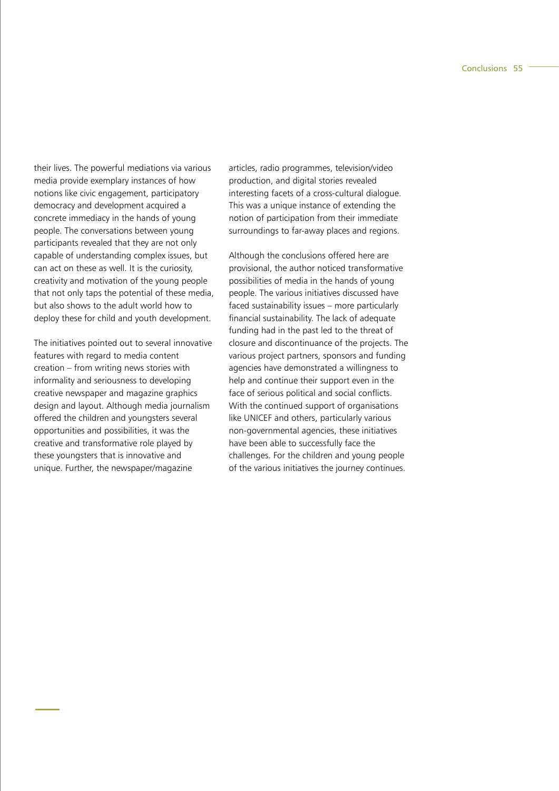their lives. The powerful mediations via various media provide exemplary instances of how notions like civic engagement, participatory democracy and development acquired a concrete immediacy in the hands of young people. The conversations between young participants revealed that they are not only capable of understanding complex issues, but can act on these as well. It is the curiosity, creativity and motivation of the young people that not only taps the potential of these media, but also shows to the adult world how to deploy these for child and youth development.

The initiatives pointed out to several innovative features with regard to media content creation – from writing news stories with informality and seriousness to developing creative newspaper and magazine graphics design and layout. Although media journalism offered the children and youngsters several opportunities and possibilities, it was the creative and transformative role played by these youngsters that is innovative and unique. Further, the newspaper/magazine

articles, radio programmes, television/video production, and digital stories revealed interesting facets of a cross-cultural dialogue. This was a unique instance of extending the notion of participation from their immediate surroundings to far-away places and regions.

Although the conclusions offered here are provisional, the author noticed transformative possibilities of media in the hands of young people. The various initiatives discussed have faced sustainability issues – more particularly financial sustainability. The lack of adequate funding had in the past led to the threat of closure and discontinuance of the projects. The various project partners, sponsors and funding agencies have demonstrated a willingness to help and continue their support even in the face of serious political and social conflicts. With the continued support of organisations like UNICEF and others, particularly various non-governmental agencies, these initiatives have been able to successfully face the challenges. For the children and young people of the various initiatives the journey continues.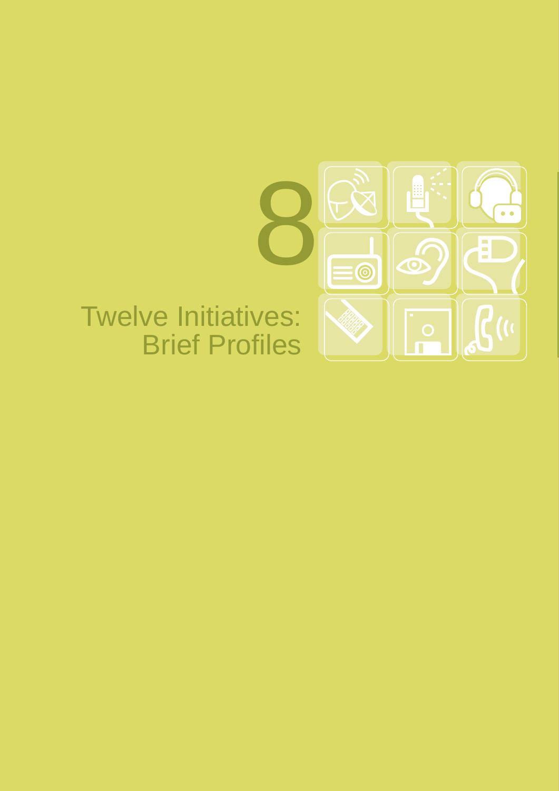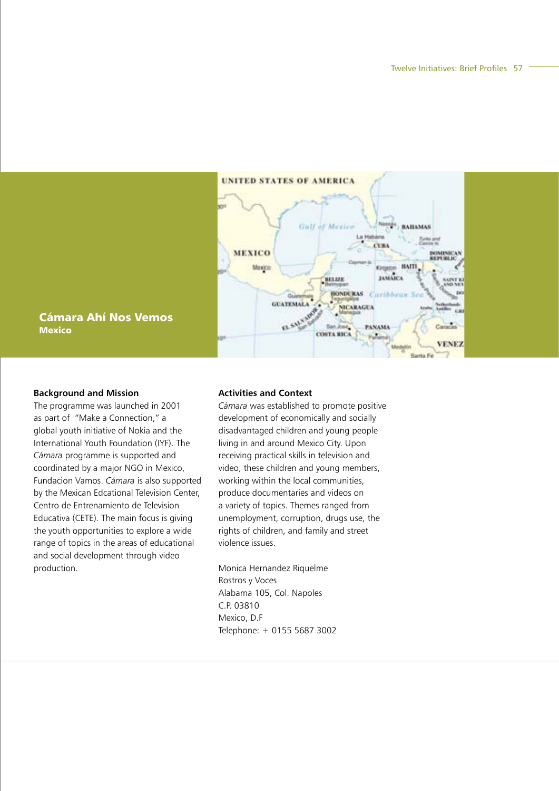

## **Background and Mission**

The programme was launched in 2001 as part of "Make a Connection," a global youth initiative of Nokia and the International Youth Foundation (IYF). The *Cámara* programme is supported and coordinated by a major NGO in Mexico, Fundacion Vamos. *Cámara* is also supported by the Mexican Edcational Television Center, Centro de Entrenamiento de Television Educativa (CETE). The main focus is giving the youth opportunities to explore a wide range of topics in the areas of educational and social development through video production.

## **Activities and Context**

*Cámara* was established to promote positive development of economically and socially disadvantaged children and young people living in and around Mexico City. Upon receiving practical skills in television and video, these children and young members, working within the local communities, produce documentaries and videos on a variety of topics. Themes ranged from unemployment, corruption, drugs use, the rights of children, and family and street violence issues.

Monica Hernandez Riquelme Rostros y Voces Alabama 105, Col. Napoles C.P. 03810 Mexico, D.F Telephone: + 0155 5687 3002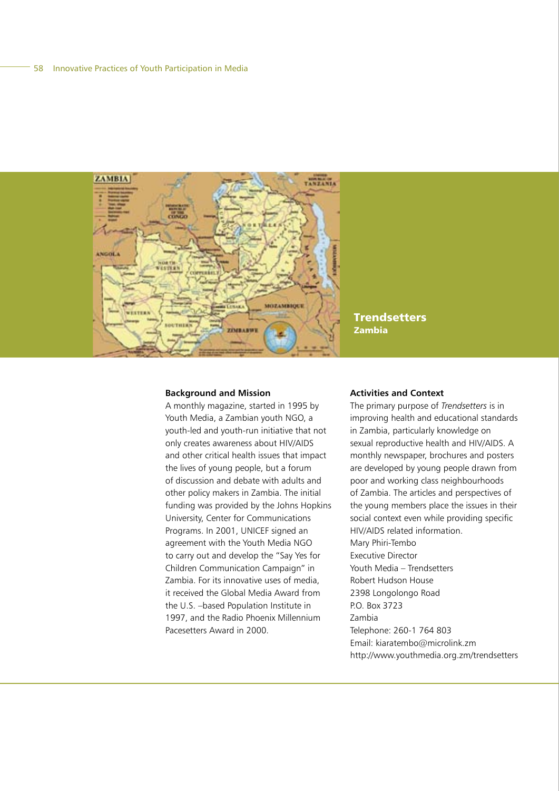

#### **Background and Mission**

A monthly magazine, started in 1995 by Youth Media, a Zambian youth NGO, a youth-led and youth-run initiative that not only creates awareness about HIV/AIDS and other critical health issues that impact the lives of young people, but a forum of discussion and debate with adults and other policy makers in Zambia. The initial funding was provided by the Johns Hopkins University, Center for Communications Programs. In 2001, UNICEF signed an agreement with the Youth Media NGO to carry out and develop the "Say Yes for Children Communication Campaign" in Zambia. For its innovative uses of media, it received the Global Media Award from the U.S. –based Population Institute in 1997, and the Radio Phoenix Millennium Pacesetters Award in 2000.

## **Activities and Context**

The primary purpose of *Trendsetters* is in improving health and educational standards in Zambia, particularly knowledge on sexual reproductive health and HIV/AIDS. A monthly newspaper, brochures and posters are developed by young people drawn from poor and working class neighbourhoods of Zambia. The articles and perspectives of the young members place the issues in their social context even while providing specific HIV/AIDS related information. Mary Phiri-Tembo Executive Director Youth Media – Trendsetters Robert Hudson House 2398 Longolongo Road P.O. Box 3723 Zambia Telephone: 260-1 764 803 Email: kiaratembo@microlink.zm http://www.youthmedia.org.zm/trendsetters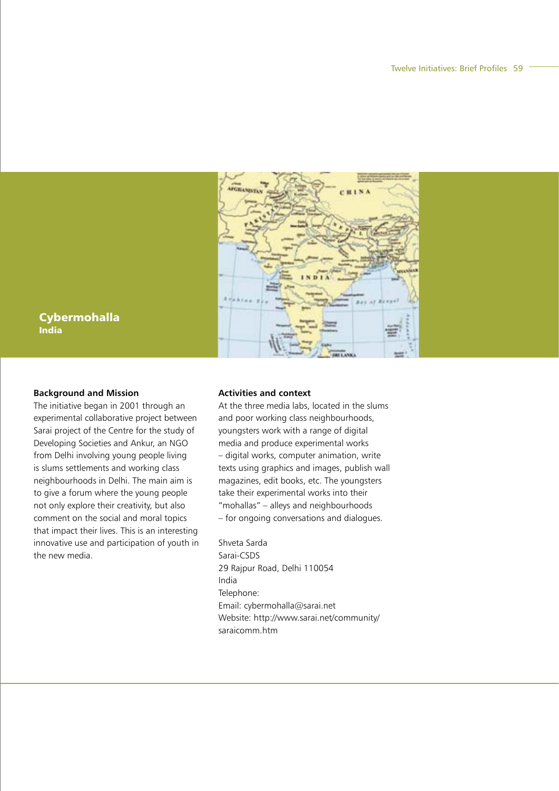

# **Cybermohalla** India

## **Background and Mission**

The initiative began in 2001 through an experimental collaborative project between Sarai project of the Centre for the study of Developing Societies and Ankur, an NGO from Delhi involving young people living is slums settlements and working class neighbourhoods in Delhi. The main aim is to give a forum where the young people not only explore their creativity, but also comment on the social and moral topics that impact their lives. This is an interesting innovative use and participation of youth in the new media.

## **Activities and context**

At the three media labs, located in the slums and poor working class neighbourhoods, youngsters work with a range of digital media and produce experimental works – digital works, computer animation, write texts using graphics and images, publish wall magazines, edit books, etc. The youngsters take their experimental works into their "mohallas" – alleys and neighbourhoods – for ongoing conversations and dialogues.

Shveta Sarda Sarai-CSDS 29 Rajpur Road, Delhi 110054 India Telephone: Email: cybermohalla@sarai.net Website: http://www.sarai.net/community/ saraicomm.htm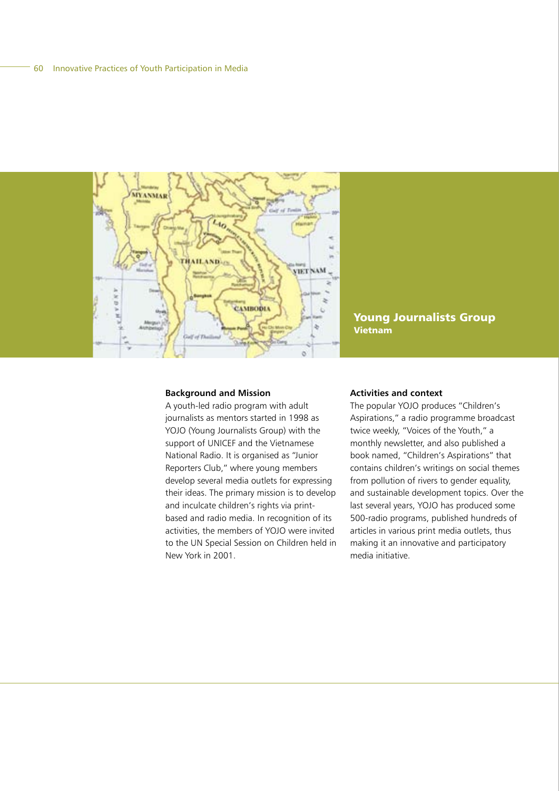

Young Journalists Group Vietnam

#### **Background and Mission**

A youth-led radio program with adult journalists as mentors started in 1998 as YOJO (Young Journalists Group) with the support of UNICEF and the Vietnamese National Radio. It is organised as "Junior Reporters Club," where young members develop several media outlets for expressing their ideas. The primary mission is to develop and inculcate children's rights via printbased and radio media. In recognition of its activities, the members of YOJO were invited to the UN Special Session on Children held in New York in 2001.

## **Activities and context**

The popular YOJO produces "Children's Aspirations," a radio programme broadcast twice weekly, "Voices of the Youth," a monthly newsletter, and also published a book named, "Children's Aspirations" that contains children's writings on social themes from pollution of rivers to gender equality, and sustainable development topics. Over the last several years, YOJO has produced some 500-radio programs, published hundreds of articles in various print media outlets, thus making it an innovative and participatory media initiative.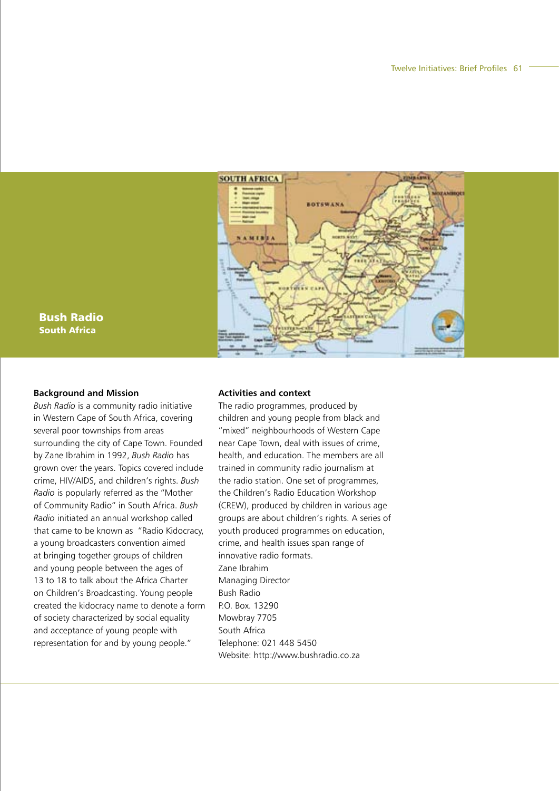

Bush Radio South Africa

## **Background and Mission**

*Bush Radio* is a community radio initiative in Western Cape of South Africa, covering several poor townships from areas surrounding the city of Cape Town. Founded by Zane Ibrahim in 1992, *Bush Radio* has grown over the years. Topics covered include crime, HIV/AIDS, and children's rights. *Bush Radio* is popularly referred as the "Mother of Community Radio" in South Africa. *Bush Radio* initiated an annual workshop called that came to be known as "Radio Kidocracy, a young broadcasters convention aimed at bringing together groups of children and young people between the ages of 13 to 18 to talk about the Africa Charter on Children's Broadcasting. Young people created the kidocracy name to denote a form of society characterized by social equality and acceptance of young people with representation for and by young people."

## **Activities and context**

The radio programmes, produced by children and young people from black and "mixed" neighbourhoods of Western Cape near Cape Town, deal with issues of crime, health, and education. The members are all trained in community radio journalism at the radio station. One set of programmes, the Children's Radio Education Workshop (CREW), produced by children in various age groups are about children's rights. A series of youth produced programmes on education, crime, and health issues span range of innovative radio formats. Zane Ibrahim Managing Director Bush Radio P.O. Box. 13290 Mowbray 7705 South Africa Telephone: 021 448 5450 Website: http://www.bushradio.co.za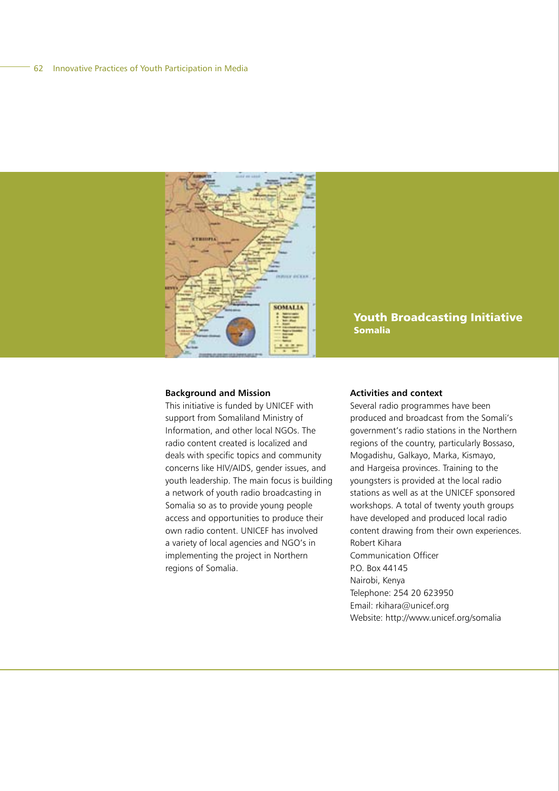

## Youth Broadcasting Initiative Somalia

#### **Background and Mission**

This initiative is funded by UNICEF with support from Somaliland Ministry of Information, and other local NGOs. The radio content created is localized and deals with specific topics and community concerns like HIV/AIDS, gender issues, and youth leadership. The main focus is building a network of youth radio broadcasting in Somalia so as to provide young people access and opportunities to produce their own radio content. UNICEF has involved a variety of local agencies and NGO's in implementing the project in Northern regions of Somalia.

## **Activities and context**

Several radio programmes have been produced and broadcast from the Somali's government's radio stations in the Northern regions of the country, particularly Bossaso, Mogadishu, Galkayo, Marka, Kismayo, and Hargeisa provinces. Training to the youngsters is provided at the local radio stations as well as at the UNICEF sponsored workshops. A total of twenty youth groups have developed and produced local radio content drawing from their own experiences. Robert Kihara Communication Officer P.O. Box 44145 Nairobi, Kenya Telephone: 254 20 623950 Email: rkihara@unicef.org Website: http://www.unicef.org/somalia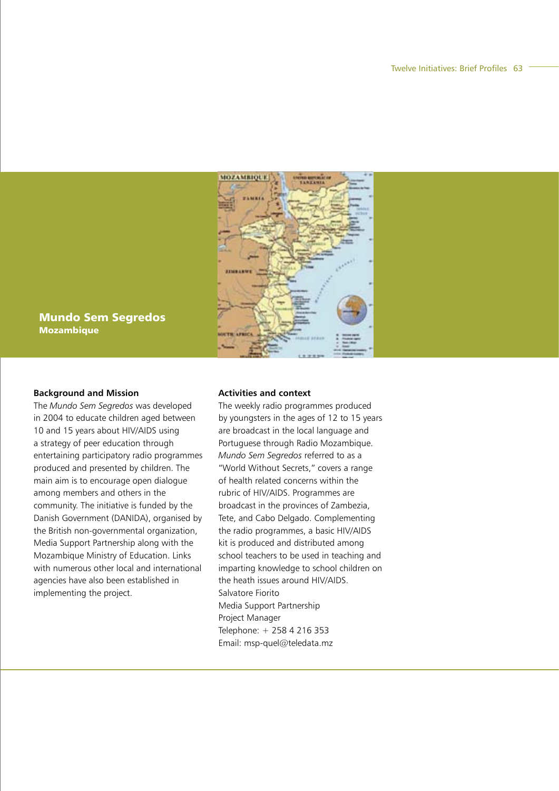

Mundo Sem Segredos Mozambique

## **Background and Mission**

The *Mundo Sem Segredos* was developed in 2004 to educate children aged between 10 and 15 years about HIV/AIDS using a strategy of peer education through entertaining participatory radio programmes produced and presented by children. The main aim is to encourage open dialogue among members and others in the community. The initiative is funded by the Danish Government (DANIDA), organised by the British non-governmental organization, Media Support Partnership along with the Mozambique Ministry of Education. Links with numerous other local and international agencies have also been established in implementing the project.

## **Activities and context**

The weekly radio programmes produced by youngsters in the ages of 12 to 15 years are broadcast in the local language and Portuguese through Radio Mozambique. *Mundo Sem Segredos* referred to as a "World Without Secrets," covers a range of health related concerns within the rubric of HIV/AIDS. Programmes are broadcast in the provinces of Zambezia, Tete, and Cabo Delgado. Complementing the radio programmes, a basic HIV/AIDS kit is produced and distributed among school teachers to be used in teaching and imparting knowledge to school children on the heath issues around HIV/AIDS. Salvatore Fiorito Media Support Partnership Project Manager Telephone: + 258 4 216 353 Email: msp-quel@teledata.mz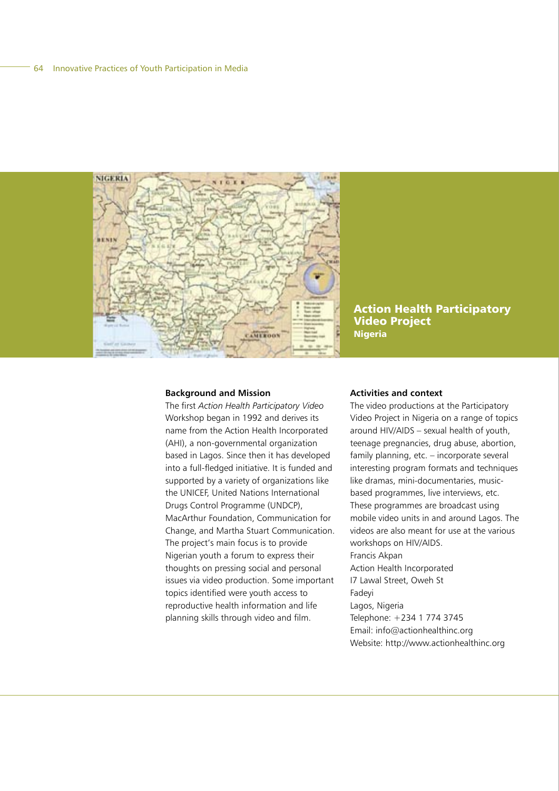

Action Health Participatory Video Project **Nigeria** 

#### **Background and Mission**

The first *Action Health Participatory Video*  Workshop began in 1992 and derives its name from the Action Health Incorporated (AHI), a non-governmental organization based in Lagos. Since then it has developed into a full-fledged initiative. It is funded and supported by a variety of organizations like the UNICEF, United Nations International Drugs Control Programme (UNDCP), MacArthur Foundation, Communication for Change, and Martha Stuart Communication. The project's main focus is to provide Nigerian youth a forum to express their thoughts on pressing social and personal issues via video production. Some important topics identified were youth access to reproductive health information and life planning skills through video and film.

## **Activities and context**

The video productions at the Participatory Video Project in Nigeria on a range of topics around HIV/AIDS – sexual health of youth, teenage pregnancies, drug abuse, abortion, family planning, etc. – incorporate several interesting program formats and techniques like dramas, mini-documentaries, musicbased programmes, live interviews, etc. These programmes are broadcast using mobile video units in and around Lagos. The videos are also meant for use at the various workshops on HIV/AIDS. Francis Akpan Action Health Incorporated I7 Lawal Street, Oweh St Fadeyi Lagos, Nigeria Telephone: +234 1 774 3745 Email: info@actionhealthinc.org Website: http://www.actionhealthinc.org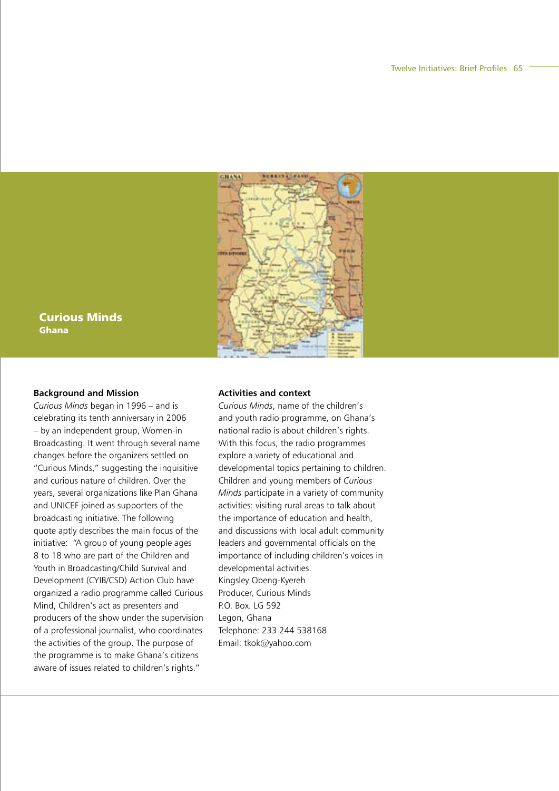

Curious Minds Ghana

## **Background and Mission**

*Curious Minds* began in 1996 – and is celebrating its tenth anniversary in 2006 – by an independent group, Women-in Broadcasting. It went through several name changes before the organizers settled on "Curious Minds," suggesting the inquisitive and curious nature of children. Over the years, several organizations like Plan Ghana and UNICEF joined as supporters of the broadcasting initiative. The following quote aptly describes the main focus of the initiative: "A group of young people ages 8 to 18 who are part of the Children and Youth in Broadcasting/Child Survival and Development (CYIB/CSD) Action Club have organized a radio programme called Curious Mind, Children's act as presenters and producers of the show under the supervision of a professional journalist, who coordinates the activities of the group. The purpose of the programme is to make Ghana's citizens aware of issues related to children's rights."

## **Activities and context**

*Curious Minds*, name of the children's and youth radio programme, on Ghana's national radio is about children's rights. With this focus, the radio programmes explore a variety of educational and developmental topics pertaining to children. Children and young members of *Curious Minds* participate in a variety of community activities: visiting rural areas to talk about the importance of education and health, and discussions with local adult community leaders and governmental officials on the importance of including children's voices in developmental activities. Kingsley Obeng-Kyereh Producer, Curious Minds P.O. Box. LG 592 Legon, Ghana Telephone: 233 244 538168 Email: tkok@yahoo.com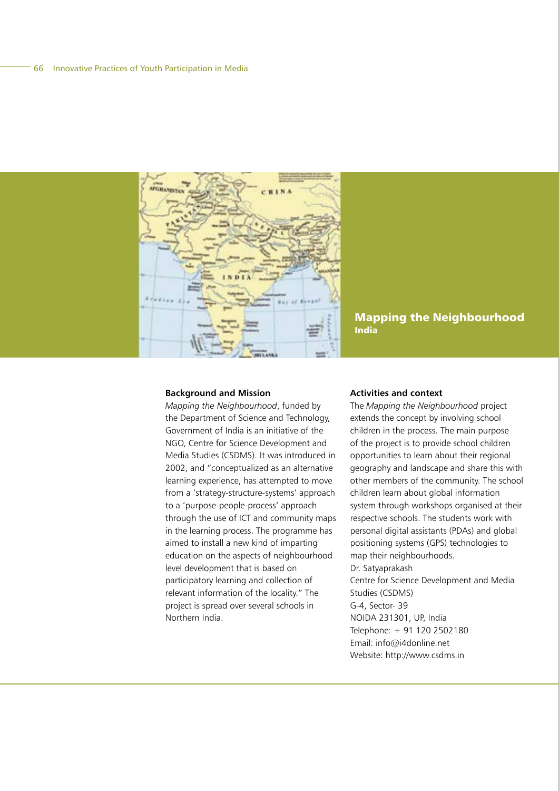

# Mapping the Neighbourhood India

## **Background and Mission**

*Mapping the Neighbourhood*, funded by the Department of Science and Technology, Government of India is an initiative of the NGO, Centre for Science Development and Media Studies (CSDMS). It was introduced in 2002, and "conceptualized as an alternative learning experience, has attempted to move from a 'strategy-structure-systems' approach to a 'purpose-people-process' approach through the use of ICT and community maps in the learning process. The programme has aimed to install a new kind of imparting education on the aspects of neighbourhood level development that is based on participatory learning and collection of relevant information of the locality." The project is spread over several schools in Northern India.

## **Activities and context**

The *Mapping the Neighbourhood* project extends the concept by involving school children in the process. The main purpose of the project is to provide school children opportunities to learn about their regional geography and landscape and share this with other members of the community. The school children learn about global information system through workshops organised at their respective schools. The students work with personal digital assistants (PDAs) and global positioning systems (GPS) technologies to map their neighbourhoods. Dr. Satyaprakash Centre for Science Development and Media Studies (CSDMS) G-4, Sector- 39 NOIDA 231301, UP, India

Telephone: + 91 120 2502180 Email: info@i4donline.net Website: http://www.csdms.in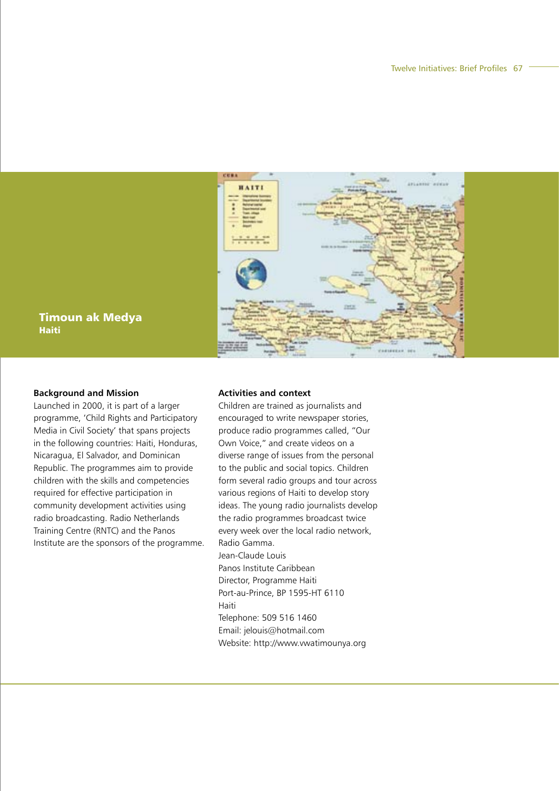

# Timoun ak Medya **Haiti**

## **Background and Mission**

Launched in 2000, it is part of a larger programme, 'Child Rights and Participatory Media in Civil Society' that spans projects in the following countries: Haiti, Honduras, Nicaragua, El Salvador, and Dominican Republic. The programmes aim to provide children with the skills and competencies required for effective participation in community development activities using radio broadcasting. Radio Netherlands Training Centre (RNTC) and the Panos Institute are the sponsors of the programme.

## **Activities and context**

Children are trained as journalists and encouraged to write newspaper stories, produce radio programmes called, "Our Own Voice," and create videos on a diverse range of issues from the personal to the public and social topics. Children form several radio groups and tour across various regions of Haiti to develop story ideas. The young radio journalists develop the radio programmes broadcast twice every week over the local radio network, Radio Gamma. Jean-Claude Louis Panos Institute Caribbean Director, Programme Haiti Port-au-Prince, BP 1595-HT 6110 Haiti Telephone: 509 516 1460 Email: jelouis@hotmail.com Website: http://www.vwatimounya.org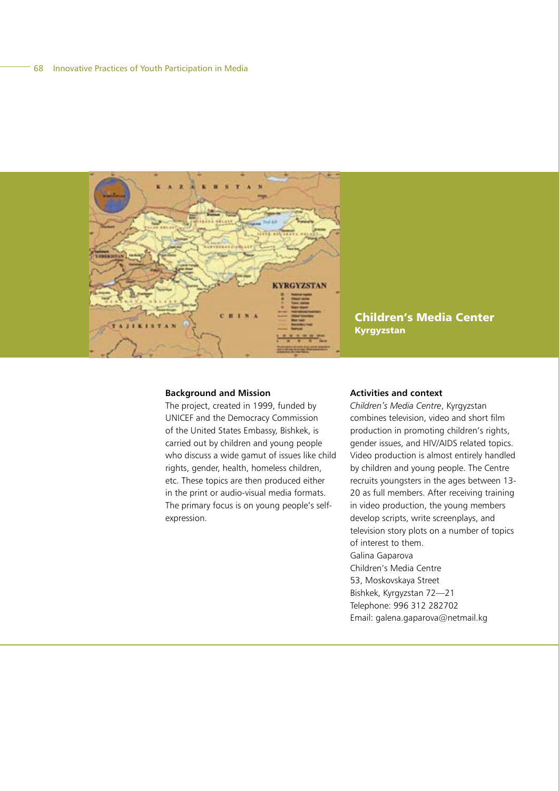

# Children's Media Center Kyrgyzstan

#### **Background and Mission**

The project, created in 1999, funded by UNICEF and the Democracy Commission of the United States Embassy, Bishkek, is carried out by children and young people who discuss a wide gamut of issues like child rights, gender, health, homeless children, etc. These topics are then produced either in the print or audio-visual media formats. The primary focus is on young people's selfexpression.

## **Activities and context**

*Children's Media Centre*, Kyrgyzstan combines television, video and short film production in promoting children's rights, gender issues, and HIV/AIDS related topics. Video production is almost entirely handled by children and young people. The Centre recruits youngsters in the ages between 13- 20 as full members. After receiving training in video production, the young members develop scripts, write screenplays, and television story plots on a number of topics of interest to them. Galina Gaparova Children's Media Centre 53, Moskovskaya Street Bishkek, Kyrgyzstan 72—21 Telephone: 996 312 282702 Email: galena.gaparova@netmail.kg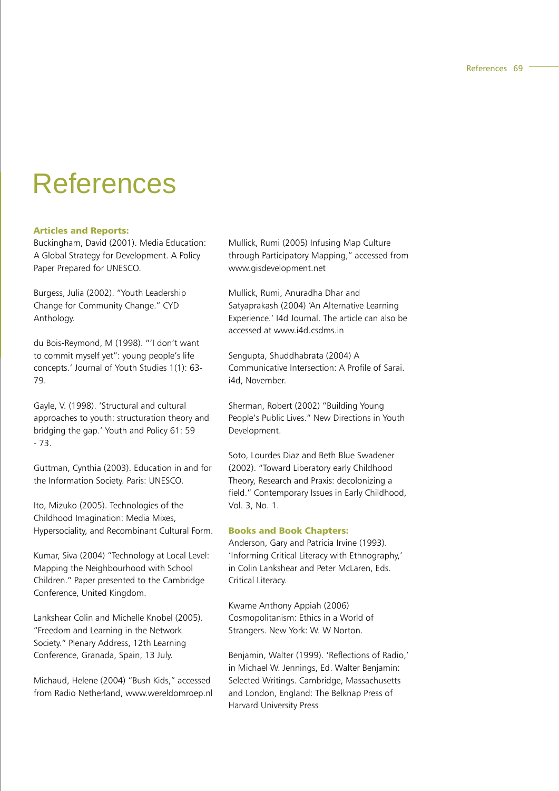# References

## Articles and Reports:

Buckingham, David (2001). Media Education: A Global Strategy for Development. A Policy Paper Prepared for UNESCO.

Burgess, Julia (2002). "Youth Leadership Change for Community Change." CYD Anthology.

du Bois-Reymond, M (1998). "'I don't want to commit myself yet": young people's life concepts.' Journal of Youth Studies 1(1): 63- 79.

Gayle, V. (1998). 'Structural and cultural approaches to youth: structuration theory and bridging the gap.' Youth and Policy 61: 59 - 73.

Guttman, Cynthia (2003). Education in and for the Information Society. Paris: UNESCO.

Ito, Mizuko (2005). Technologies of the Childhood Imagination: Media Mixes, Hypersociality, and Recombinant Cultural Form.

Kumar, Siva (2004) "Technology at Local Level: Mapping the Neighbourhood with School Children." Paper presented to the Cambridge Conference, United Kingdom.

Lankshear Colin and Michelle Knobel (2005). "Freedom and Learning in the Network Society." Plenary Address, 12th Learning Conference, Granada, Spain, 13 July.

Michaud, Helene (2004) "Bush Kids," accessed from Radio Netherland, www.wereldomroep.nl Mullick, Rumi (2005) Infusing Map Culture through Participatory Mapping," accessed from www.gisdevelopment.net

Mullick, Rumi, Anuradha Dhar and Satyaprakash (2004) 'An Alternative Learning Experience.' I4d Journal. The article can also be accessed at www.i4d.csdms.in

Sengupta, Shuddhabrata (2004) A Communicative Intersection: A Profile of Sarai. i4d, November.

Sherman, Robert (2002) "Building Young People's Public Lives." New Directions in Youth Development.

Soto, Lourdes Diaz and Beth Blue Swadener (2002). "Toward Liberatory early Childhood Theory, Research and Praxis: decolonizing a field." Contemporary Issues in Early Childhood, Vol. 3, No. 1.

## Books and Book Chapters:

Anderson, Gary and Patricia Irvine (1993). 'Informing Critical Literacy with Ethnography,' in Colin Lankshear and Peter McLaren, Eds. Critical Literacy.

Kwame Anthony Appiah (2006) Cosmopolitanism: Ethics in a World of Strangers. New York: W. W Norton.

Benjamin, Walter (1999). 'Reflections of Radio,' in Michael W. Jennings, Ed. Walter Benjamin: Selected Writings. Cambridge, Massachusetts and London, England: The Belknap Press of Harvard University Press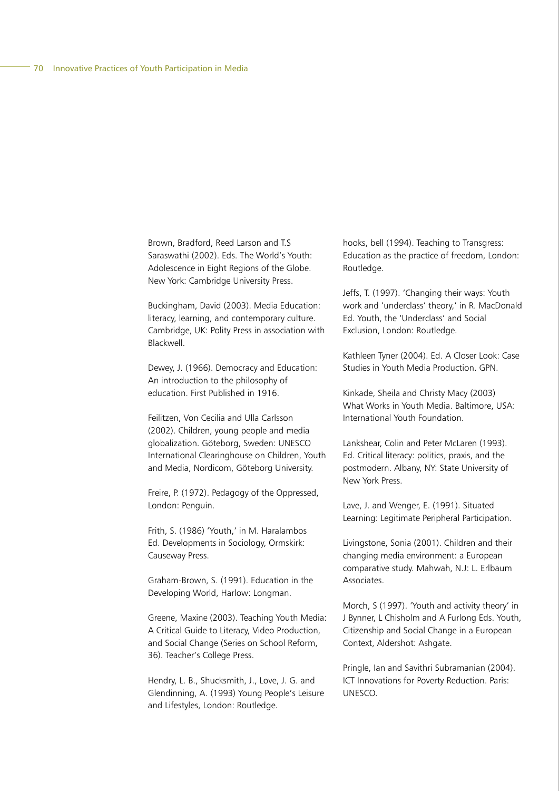Brown, Bradford, Reed Larson and T.S Saraswathi (2002). Eds. The World's Youth: Adolescence in Eight Regions of the Globe. New York: Cambridge University Press.

Buckingham, David (2003). Media Education: literacy, learning, and contemporary culture. Cambridge, UK: Polity Press in association with Blackwell.

Dewey, J. (1966). Democracy and Education: An introduction to the philosophy of education. First Published in 1916.

Feilitzen, Von Cecilia and Ulla Carlsson (2002). Children, young people and media globalization. Göteborg, Sweden: UNESCO International Clearinghouse on Children, Youth and Media, Nordicom, Göteborg University.

Freire, P. (1972). Pedagogy of the Oppressed, London: Penguin.

Frith, S. (1986) 'Youth,' in M. Haralambos Ed. Developments in Sociology, Ormskirk: Causeway Press.

Graham-Brown, S. (1991). Education in the Developing World, Harlow: Longman.

Greene, Maxine (2003). Teaching Youth Media: A Critical Guide to Literacy, Video Production, and Social Change (Series on School Reform, 36). Teacher's College Press.

Hendry, L. B., Shucksmith, J., Love, J. G. and Glendinning, A. (1993) Young People's Leisure and Lifestyles, London: Routledge.

hooks, bell (1994). Teaching to Transgress: Education as the practice of freedom, London: Routledge.

Jeffs, T. (1997). 'Changing their ways: Youth work and 'underclass' theory,' in R. MacDonald Ed. Youth, the 'Underclass' and Social Exclusion, London: Routledge.

Kathleen Tyner (2004). Ed. A Closer Look: Case Studies in Youth Media Production. GPN.

Kinkade, Sheila and Christy Macy (2003) What Works in Youth Media. Baltimore, USA: International Youth Foundation.

Lankshear, Colin and Peter McLaren (1993). Ed. Critical literacy: politics, praxis, and the postmodern. Albany, NY: State University of New York Press.

Lave, J. and Wenger, E. (1991). Situated Learning: Legitimate Peripheral Participation.

Livingstone, Sonia (2001). Children and their changing media environment: a European comparative study. Mahwah, N.J: L. Erlbaum Associates.

Morch, S (1997). 'Youth and activity theory' in J Bynner, L Chisholm and A Furlong Eds. Youth, Citizenship and Social Change in a European Context, Aldershot: Ashgate.

Pringle, Ian and Savithri Subramanian (2004). ICT Innovations for Poverty Reduction. Paris: UNESCO.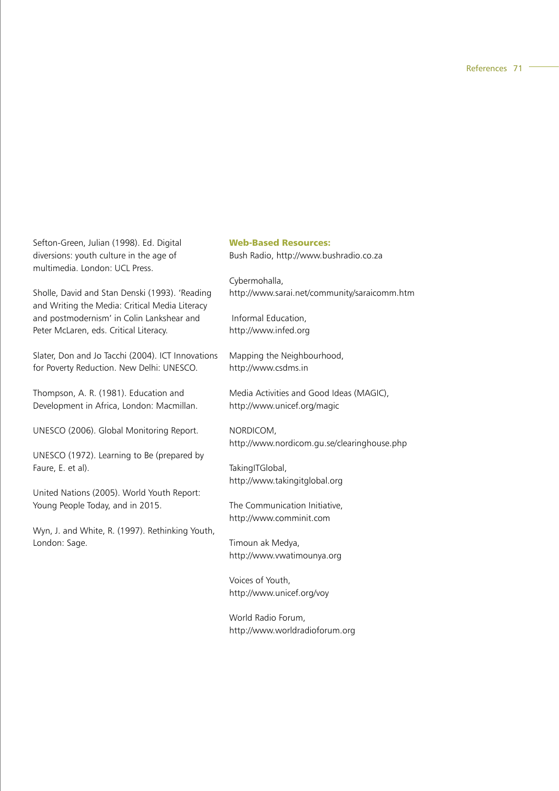Sefton-Green, Julian (1998). Ed. Digital diversions: youth culture in the age of multimedia. London: UCL Press.

Sholle, David and Stan Denski (1993). 'Reading and Writing the Media: Critical Media Literacy and postmodernism' in Colin Lankshear and Peter McLaren, eds. Critical Literacy.

Slater, Don and Jo Tacchi (2004). ICT Innovations for Poverty Reduction. New Delhi: UNESCO.

Thompson, A. R. (1981). Education and Development in Africa, London: Macmillan.

UNESCO (2006). Global Monitoring Report.

UNESCO (1972). Learning to Be (prepared by Faure, E. et al).

United Nations (2005). World Youth Report: Young People Today, and in 2015.

Wyn, J. and White, R. (1997). Rethinking Youth, London: Sage.

## Web-Based Resources:

Bush Radio, http://www.bushradio.co.za

Cybermohalla, http://www.sarai.net/community/saraicomm.htm

 Informal Education, http://www.infed.org

Mapping the Neighbourhood, http://www.csdms.in

Media Activities and Good Ideas (MAGIC), http://www.unicef.org/magic

NORDICOM, http://www.nordicom.gu.se/clearinghouse.php

TakingITGlobal, http://www.takingitglobal.org

The Communication Initiative, http://www.comminit.com

Timoun ak Medya, http://www.vwatimounya.org

Voices of Youth, http://www.unicef.org/voy

World Radio Forum, http://www.worldradioforum.org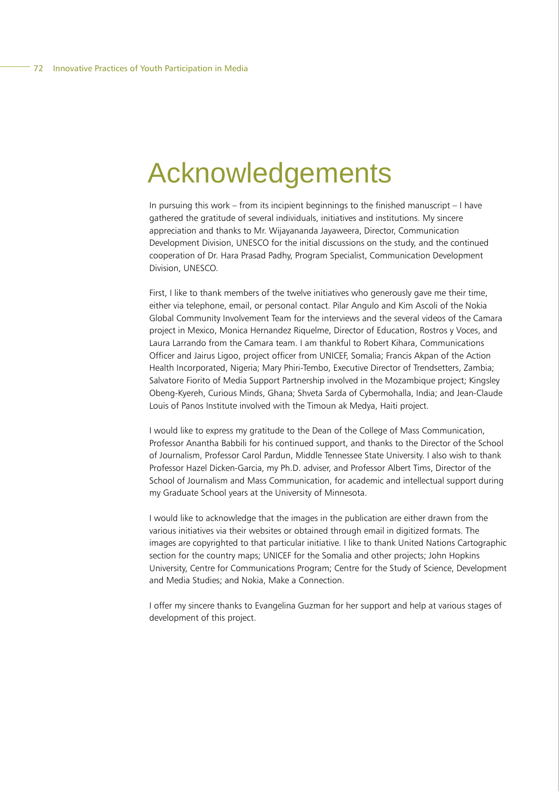## Acknowledgements

In pursuing this work – from its incipient beginnings to the finished manuscript – I have gathered the gratitude of several individuals, initiatives and institutions. My sincere appreciation and thanks to Mr. Wijayananda Jayaweera, Director, Communication Development Division, UNESCO for the initial discussions on the study, and the continued cooperation of Dr. Hara Prasad Padhy, Program Specialist, Communication Development Division, UNESCO.

First, I like to thank members of the twelve initiatives who generously gave me their time, either via telephone, email, or personal contact. Pilar Angulo and Kim Ascoli of the Nokia Global Community Involvement Team for the interviews and the several videos of the Camara project in Mexico, Monica Hernandez Riquelme, Director of Education, Rostros y Voces, and Laura Larrando from the Camara team. I am thankful to Robert Kihara, Communications Officer and Jairus Ligoo, project officer from UNICEF, Somalia; Francis Akpan of the Action Health Incorporated, Nigeria; Mary Phiri-Tembo, Executive Director of Trendsetters, Zambia; Salvatore Fiorito of Media Support Partnership involved in the Mozambique project; Kingsley Obeng-Kyereh, Curious Minds, Ghana; Shveta Sarda of Cybermohalla, India; and Jean-Claude Louis of Panos Institute involved with the Timoun ak Medya, Haiti project.

I would like to express my gratitude to the Dean of the College of Mass Communication, Professor Anantha Babbili for his continued support, and thanks to the Director of the School of Journalism, Professor Carol Pardun, Middle Tennessee State University. I also wish to thank Professor Hazel Dicken-Garcia, my Ph.D. adviser, and Professor Albert Tims, Director of the School of Journalism and Mass Communication, for academic and intellectual support during my Graduate School years at the University of Minnesota.

I would like to acknowledge that the images in the publication are either drawn from the various initiatives via their websites or obtained through email in digitized formats. The images are copyrighted to that particular initiative. I like to thank United Nations Cartographic section for the country maps; UNICEF for the Somalia and other projects; John Hopkins University, Centre for Communications Program; Centre for the Study of Science, Development and Media Studies; and Nokia, Make a Connection.

I offer my sincere thanks to Evangelina Guzman for her support and help at various stages of development of this project.